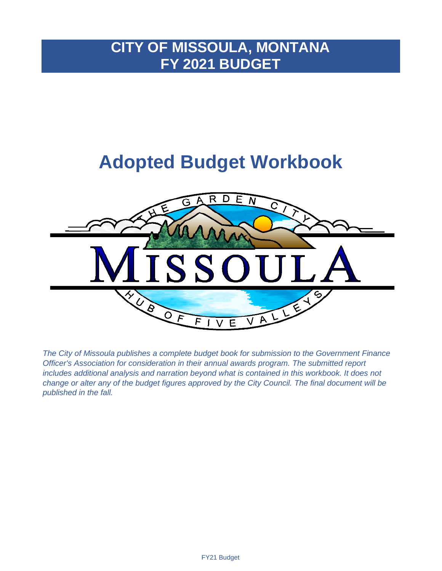# **CITY OF MISSOULA, MONTANA FY 2021 BUDGET**

# **Adopted Budget Workbook**



*The City of Missoula publishes a complete budget book for submission to the Government Finance Officer's Association for consideration in their annual awards program. The submitted report includes additional analysis and narration beyond what is contained in this workbook. It does not change or alter any of the budget figures approved by the City Council. The final document will be published in the fall.*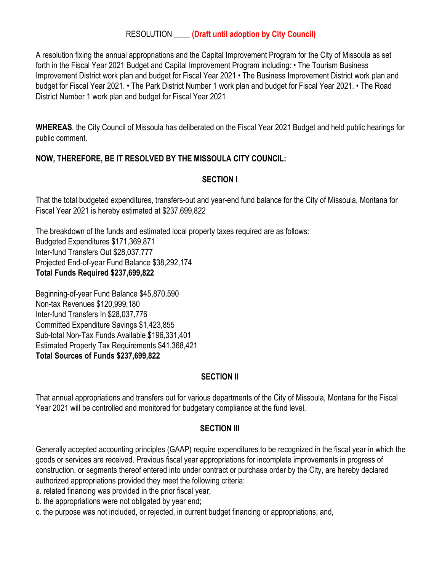### RESOLUTION \_\_\_\_ **(Draft until adoption by City Council)**

A resolution fixing the annual appropriations and the Capital Improvement Program for the City of Missoula as set forth in the Fiscal Year 2021 Budget and Capital Improvement Program including: • The Tourism Business Improvement District work plan and budget for Fiscal Year 2021 • The Business Improvement District work plan and budget for Fiscal Year 2021. • The Park District Number 1 work plan and budget for Fiscal Year 2021. • The Road District Number 1 work plan and budget for Fiscal Year 2021

**WHEREAS**, the City Council of Missoula has deliberated on the Fiscal Year 2021 Budget and held public hearings for public comment.

# **NOW, THEREFORE, BE IT RESOLVED BY THE MISSOULA CITY COUNCIL:**

## **SECTION I**

That the total budgeted expenditures, transfers-out and year-end fund balance for the City of Missoula, Montana for Fiscal Year 2021 is hereby estimated at \$237,699,822

The breakdown of the funds and estimated local property taxes required are as follows: Budgeted Expenditures \$171,369,871 Inter-fund Transfers Out \$28,037,777 Projected End-of-year Fund Balance \$38,292,174 **Total Funds Required \$237,699,822**

Beginning-of-year Fund Balance \$45,870,590 Non-tax Revenues \$120,999,180 Inter-fund Transfers In \$28,037,776 Committed Expenditure Savings \$1,423,855 Sub-total Non-Tax Funds Available \$196,331,401 Estimated Property Tax Requirements \$41,368,421 **Total Sources of Funds \$237,699,822**

### **SECTION II**

That annual appropriations and transfers out for various departments of the City of Missoula, Montana for the Fiscal Year 2021 will be controlled and monitored for budgetary compliance at the fund level.

### **SECTION III**

Generally accepted accounting principles (GAAP) require expenditures to be recognized in the fiscal year in which the goods or services are received. Previous fiscal year appropriations for incomplete improvements in progress of construction, or segments thereof entered into under contract or purchase order by the City, are hereby declared authorized appropriations provided they meet the following criteria:

- a. related financing was provided in the prior fiscal year;
- b. the appropriations were not obligated by year end;
- c. the purpose was not included, or rejected, in current budget financing or appropriations; and,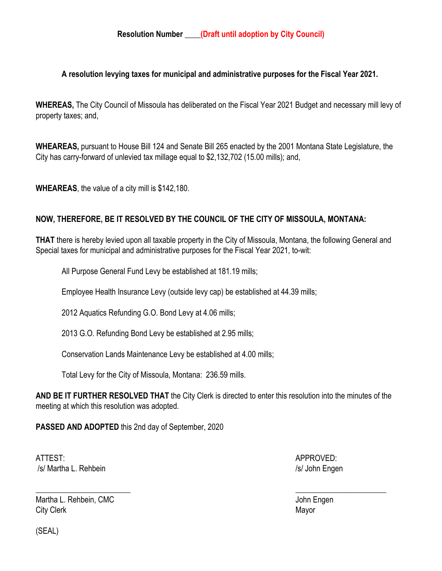### **A resolution levying taxes for municipal and administrative purposes for the Fiscal Year 2021.**

**WHEREAS,** The City Council of Missoula has deliberated on the Fiscal Year 2021 Budget and necessary mill levy of property taxes; and,

**WHEAREAS,** pursuant to House Bill 124 and Senate Bill 265 enacted by the 2001 Montana State Legislature, the City has carry-forward of unlevied tax millage equal to \$2,132,702 (15.00 mills); and,

**WHEAREAS**, the value of a city mill is \$142,180.

# **NOW, THEREFORE, BE IT RESOLVED BY THE COUNCIL OF THE CITY OF MISSOULA, MONTANA:**

**THAT** there is hereby levied upon all taxable property in the City of Missoula, Montana, the following General and Special taxes for municipal and administrative purposes for the Fiscal Year 2021, to-wit:

All Purpose General Fund Levy be established at 181.19 mills;

Employee Health Insurance Levy (outside levy cap) be established at 44.39 mills;

2012 Aquatics Refunding G.O. Bond Levy at 4.06 mills;

2013 G.O. Refunding Bond Levy be established at 2.95 mills;

Conservation Lands Maintenance Levy be established at 4.00 mills;

Total Levy for the City of Missoula, Montana: 236.59 mills.

**AND BE IT FURTHER RESOLVED THAT** the City Clerk is directed to enter this resolution into the minutes of the meeting at which this resolution was adopted.

**PASSED AND ADOPTED** this 2nd day of September, 2020

ATTEST: AND A PERSON DISTURBANCE OF A PERSON BLACK APPROVED: /s/ Martha L. Rehbein /s/ John Engen

Martha L. Rehbein, CMC **Voltage Community Community** Community John Engen City Clerk Mayor

 $\overline{\phantom{a}}$  , and the contract of the contract of the contract of the contract of the contract of the contract of the contract of the contract of the contract of the contract of the contract of the contract of the contrac

(SEAL)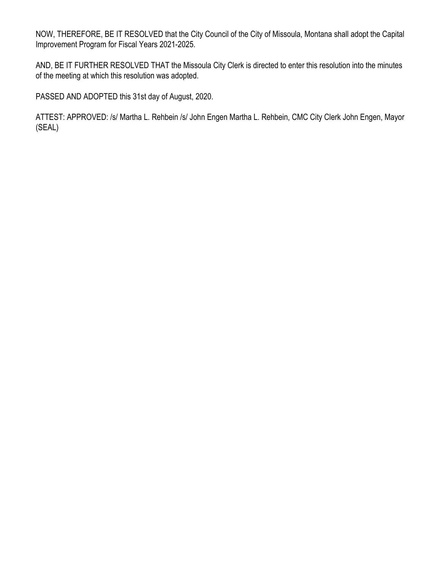NOW, THEREFORE, BE IT RESOLVED that the City Council of the City of Missoula, Montana shall adopt the Capital Improvement Program for Fiscal Years 2021-2025.

AND, BE IT FURTHER RESOLVED THAT the Missoula City Clerk is directed to enter this resolution into the minutes of the meeting at which this resolution was adopted.

PASSED AND ADOPTED this 31st day of August, 2020.

ATTEST: APPROVED: /s/ Martha L. Rehbein /s/ John Engen Martha L. Rehbein, CMC City Clerk John Engen, Mayor (SEAL)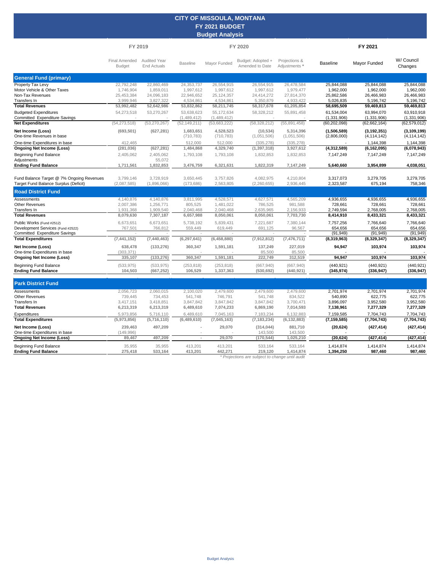#### **CITY OF MISSOULA, MONTANA FY 2021 BUDGET Budget Analysis**

|                                                                                                        | FY 2019                                            |                                                    |                                                      |                                                    | FY 2020                                            |                                                    | FY 2021                                            |                                                    |                                                    |  |
|--------------------------------------------------------------------------------------------------------|----------------------------------------------------|----------------------------------------------------|------------------------------------------------------|----------------------------------------------------|----------------------------------------------------|----------------------------------------------------|----------------------------------------------------|----------------------------------------------------|----------------------------------------------------|--|
|                                                                                                        | <b>Final Amended</b><br><b>Budget</b>              | <b>Audited Year</b><br><b>End Actuals</b>          | <b>Baseline</b>                                      | Mayor Funded                                       | Budget: Adopted +<br>Amended to Date               | Projections &<br>Adjustments'                      | <b>Baseline</b>                                    | Mayor Funded                                       | W/ Council<br>Changes                              |  |
| <b>General Fund (primary)</b>                                                                          |                                                    |                                                    |                                                      |                                                    |                                                    |                                                    |                                                    |                                                    |                                                    |  |
| <b>Property Tax Levy</b><br>Motor Vehicle & Other Taxes<br>Non-Tax Revenues<br>Transfers In            | 22,792,248<br>1,746,904<br>25,453,384<br>3,999,946 | 22,860,469<br>1,859,011<br>24,096,183<br>3,827,322 | 24, 353, 737<br>1,997,612<br>22,946,652<br>4,534,861 | 26,554,915<br>1,997,612<br>25,124,357<br>4,534,861 | 26,554,915<br>1,997,612<br>24,414,272<br>5,350,879 | 26,478,584<br>1,979,477<br>27,814,370<br>4,933,422 | 25,844,088<br>1,962,000<br>25,862,586<br>5,026,835 | 25,844,088<br>1,962,000<br>26,466,983<br>5,196,742 | 25,844,088<br>1,962,000<br>26,466,983<br>5,196,742 |  |
| <b>Total Revenues</b>                                                                                  | 53,992,482                                         | 52,642,986                                         | 53,832,862                                           | 58,211,745                                         | 58,317,678                                         | 61,205,854                                         | 58,695,509                                         | 59,469,813                                         | 59,469,813                                         |  |
| <b>Budgeted Expenditures</b><br>Committed Expenditure Savings                                          | 54,273,518                                         | 53,270,267                                         | 53,638,623<br>(1,489,412)                            | 55,172,634<br>(1,489,412)                          | 58,328,212                                         | 55,891,458                                         | 61,534,004<br>(1, 331, 906)                        | 63,994,070<br>(1, 331, 906)                        | 63,910,918<br>(1, 331, 906)                        |  |
| <b>Net Expenditures</b>                                                                                | (54, 273, 518)                                     | (53, 270, 267)                                     | (52, 149, 211)                                       | (53,683,222)                                       | (58, 328, 212)                                     | (55,891,458)                                       | (60, 202, 098)                                     | (62, 662, 164)                                     | (62, 579, 012)                                     |  |
| Net Income (Loss)<br>One-time Revenues in base                                                         | (693, 501)                                         | (627, 281)                                         | 1,683,651<br>(710, 783)                              | 4,528,523<br>(710, 783)                            | (10, 534)<br>(1,051,506)                           | 5,314,396<br>(1,051,506)                           | (1,506,589)<br>(2,806,000)                         | (3, 192, 351)<br>(4, 114, 142)                     | (3, 109, 199)<br>(4, 114, 142)                     |  |
| One-time Expenditures in base                                                                          | 412,465                                            |                                                    | 512.000                                              | 512,000                                            | (335, 278)                                         | (335, 278)                                         |                                                    | 1,144,398                                          | 1,144,398                                          |  |
| <b>Ongoing Net Income (Loss)</b><br><b>Beginning Fund Balance</b>                                      | (281, 036)<br>2,405,062                            | (627, 281)<br>2,405,062                            | 1,484,868<br>1,793,108                               | 4,329,740<br>1,793,108                             | (1, 397, 318)<br>1,832,853                         | 3,927,612<br>1,832,853                             | (4, 312, 589)<br>7,147,249                         | (6, 162, 095)<br>7,147,249                         | (6,078,943)<br>7,147,249                           |  |
| Adjustments<br><b>Ending Fund Balance</b>                                                              | 1,711,561                                          | 55,072<br>1,832,853                                | 3,476,759                                            | 6,321,631                                          | 1,822,319                                          | 7,147,249                                          | 5,640,660                                          | 3,954,899                                          | 4,038,051                                          |  |
| Fund Balance Target @ 7% Ongoing Revenues<br>Target Fund Balance Surplus (Deficit)                     | 3.799.146<br>(2,087,585)                           | 3.728.919<br>(1,896,066)                           | 3.650.445<br>(173, 686)                              | 3.757.826<br>2,563,805                             | 4,082,975<br>(2,260,655)                           | 4.210.804<br>2,936,445                             | 3,317,073<br>2,323,587                             | 3,279,705<br>675,194                               | 3,279,705<br>758,346                               |  |
| <b>Road District Fund</b>                                                                              |                                                    |                                                    |                                                      |                                                    |                                                    |                                                    |                                                    |                                                    |                                                    |  |
| Assessments<br>Other Revenues<br>Transfers In                                                          | 4,140,876<br>2,007,386<br>1,931,368                | 4,140,876<br>1,256,771<br>1,909,540                | 3,811,995<br>805,525<br>2,040,468                    | 4,528,571<br>1,481,022<br>2,040,468                | 4,627,571<br>786,525<br>2,635,965                  | 4,565,209<br>981,588<br>2,156,933                  | 4,936,655<br>728,661<br>2,749,594                  | 4,936,655<br>728,661<br>2,768,005                  | 4,936,655<br>728,661<br>2,768,005                  |  |
| <b>Total Revenues</b>                                                                                  | 8,079,630                                          | 7,307,187                                          | 6,657,988                                            | 8,050,061                                          | 8,050,061                                          | 7,703,730                                          | 8,414,910                                          | 8,433,321                                          | 8,433,321                                          |  |
| Public Works (Fund #2512)<br>Development Services (Fund #2522)<br><b>Committed Expenditure Savings</b> | 6,673,651<br>767,501                               | 6,673,651<br>766,812                               | 5,738,192<br>559,449                                 | 5,839,431<br>619,449                               | 7,221,687<br>691,125                               | 7,380,144<br>96,567                                | 7,757,256<br>654,656<br>(91, 949)                  | 7,766,640<br>654,656<br>(91, 949)                  | 7,766,640<br>654,656<br>(91, 949)                  |  |
| <b>Total Expenditures</b>                                                                              | (7, 441, 152)                                      | (7, 440, 463)                                      | (6, 297, 641)                                        | (6, 458, 880)                                      | (7,912,812)                                        | (7, 476, 711)                                      | (8,319,963)                                        | (8,329,347)                                        | (8,329,347)                                        |  |
| Net Income (Loss)<br>One-time Expenditures in base                                                     | 638,478<br>(303, 371)                              | (133, 276)                                         | 360,347                                              | 1,591,181                                          | 137,249<br>85,500                                  | 227,019<br>85,500                                  | 94,947                                             | 103,974                                            | 103,974                                            |  |
| <b>Ongoing Net Income (Loss)</b>                                                                       | 335,107                                            | (133, 276)                                         | 360,347                                              | 1,591,181                                          | 222,749                                            | 312,519                                            | 94,947                                             | 103,974                                            | 103,974                                            |  |
| Beginning Fund Balance<br><b>Ending Fund Balance</b>                                                   | (533, 975)<br>104,503                              | (533, 975)<br>(667, 252)                           | (253, 818)<br>106,529                                | (253, 818)<br>1,337,363                            | (667, 940)<br>(530, 692)                           | (667, 940)<br>(440, 921)                           | (440, 921)<br>(345,974)                            | (440, 921)<br>(336, 947)                           | (440, 921)<br>(336, 947)                           |  |
| <b>Park District Fund</b>                                                                              |                                                    |                                                    |                                                      |                                                    |                                                    |                                                    |                                                    |                                                    |                                                    |  |
| Assessments<br>Other Revenues<br>Transfers In<br><b>Total Revenues</b>                                 | 2,056,723<br>739,445<br>3,417,151<br>6,213,319     | 2,060,015<br>734,453<br>3,418,851<br>6,213,319     | 2,100,020<br>541,748<br>3,847,842<br>6,489,610       | 2,479,600<br>746,791<br>3,847,842<br>7,074,233     | 2,479,600<br>541,748<br>3,847,842<br>6,869,190     | 2,479,600<br>834,522<br>3,700,471<br>7,014,593     | 2,701,974<br>540,890<br>3,896,097<br>7,138,961     | 2,701,974<br>622,775<br>3,952,580<br>7,277,329     | 2,701,974<br>622,775<br>3,952,580<br>7,277,329     |  |
| Expenditures                                                                                           | 5,973,856                                          | 5,716,110                                          | 6,489,610                                            | 7,045,163                                          | 7,183,234                                          | 6,132,883                                          | 7,159,585                                          | 7,704,743                                          | 7,704,743                                          |  |
| <b>Total Expenditures</b>                                                                              | (5,973,856)                                        | (5,716,110)                                        | (6,489,610)                                          | (7,045,163)                                        | (7, 183, 234)                                      | (6, 132, 883)                                      | (7, 159, 585)                                      | (7,704,743)                                        | (7, 704, 743)                                      |  |
| Net Income (Loss)<br>One-time Expenditures in base                                                     | 239,463<br>(149, 996)                              | 497,209                                            |                                                      | 29,070                                             | (314, 044)<br>143,500                              | 881,710<br>143,500                                 | (20, 624)                                          | (427, 414)                                         | (427, 414)                                         |  |
| <b>Ongoing Net Income (Loss)</b>                                                                       | 89,467                                             | 497,209                                            |                                                      | 29,070                                             | (170, 544)                                         | 1,025,210                                          | (20, 624)                                          | (427, 414)                                         | (427, 414)                                         |  |
| <b>Beginning Fund Balance</b><br><b>Ending Fund Balance</b>                                            | 35,955<br>275,418                                  | 35,955<br>533,164                                  | 413,201<br>413,201                                   | 413,201<br>442,271                                 | 533,164<br>219,120                                 | 533,164<br>1,414,874                               | 1,414,874<br>1,394,250                             | 1,414,874<br>987,460                               | 1,414,874<br>987,460                               |  |
|                                                                                                        |                                                    |                                                    |                                                      |                                                    | * Projections are subject to change until audit    |                                                    |                                                    |                                                    |                                                    |  |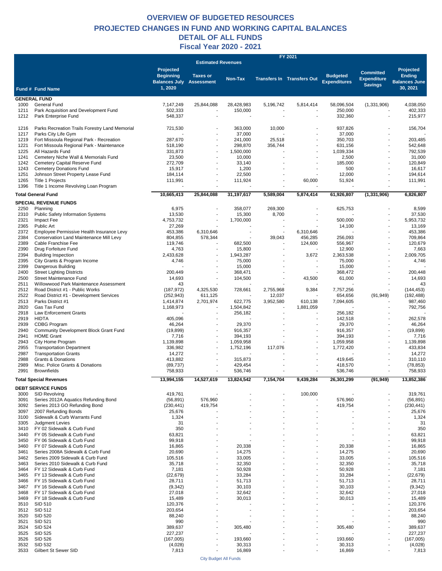#### **OVERVIEW OF BUDGETED RESOURCES Fiscal Year 2020 - 2021 DETAIL OF ALL FUNDS PROJECTED CHANGES IN FUND AND WORKING CAPITAL BALANCES**

|              |                                                                      |                                                     |                           |                    |                          | FY 2021                           |                                        |                                                          |                                       |
|--------------|----------------------------------------------------------------------|-----------------------------------------------------|---------------------------|--------------------|--------------------------|-----------------------------------|----------------------------------------|----------------------------------------------------------|---------------------------------------|
|              |                                                                      | Projected                                           | <b>Estimated Revenues</b> |                    |                          |                                   |                                        |                                                          | Projected                             |
|              |                                                                      | <b>Beginning</b><br><b>Balances July Assessment</b> | <b>Taxes or</b>           | Non-Tax            |                          | <b>Transfers In Transfers Out</b> | <b>Budgeted</b><br><b>Expenditures</b> | <b>Committed</b><br><b>Expenditure</b><br><b>Savings</b> | <b>Ending</b><br><b>Balances June</b> |
|              | Fund # Fund Name                                                     | 1,2020                                              |                           |                    |                          |                                   |                                        |                                                          | 30, 2021                              |
|              | <b>GENERAL FUND</b>                                                  |                                                     |                           |                    |                          |                                   |                                        |                                                          |                                       |
| 1000         | General Fund                                                         | 7,147,249                                           | 25,844,088                | 28,428,983         | 5,196,742                | 5,814,414                         | 58,096,504                             | (1,331,906)                                              | 4,038,050                             |
| 1211         | Park Acquisition and Development Fund                                | 502,333                                             |                           | 150,000            |                          |                                   | 250,000                                |                                                          | 402,333                               |
| 1212         | Park Enterprise Fund                                                 | 548,337                                             |                           |                    |                          |                                   | 332,360                                |                                                          | 215,977                               |
| 1216         | Parks Recreation Trails Forestry Land Memorial                       | 721,530                                             |                           | 363,000            | 10,000                   |                                   | 937,826                                |                                                          | 156,704                               |
| 1217         | Parks City Life Gym                                                  |                                                     |                           | 37,000             |                          | $\blacksquare$                    | 37,000                                 |                                                          |                                       |
| 1219         | Fort Missoula Regional Park - Recreation                             | 287,670                                             |                           | 241,000            | 25,518                   | $\blacksquare$                    | 350,703                                |                                                          | 203,485                               |
| 1221         | Fort Missoula Regional Park - Maintenance                            | 518,190                                             |                           | 298,870            | 356,744                  |                                   | 631,156                                |                                                          | 542,648                               |
| 1225         | All Hazards Fund                                                     | 331,873                                             |                           | 1,500,000          |                          | $\blacksquare$                    | 1,039,334                              | $\blacksquare$                                           | 792,539                               |
| 1241         | Cemetery Niche Wall & Memorials Fund                                 | 23,500                                              |                           | 10,000             |                          |                                   | 2,500                                  |                                                          | 31,000                                |
| 1242         | Cemetery Capital Reserve Fund                                        | 272,709                                             |                           | 33,140             |                          |                                   | 185,000                                |                                                          | 120,849                               |
| 1243<br>1251 | <b>Cemetery Donations Fund</b><br>Johnson Street Property Lease Fund | 15,917                                              |                           | 1,200<br>22,500    |                          | $\blacksquare$                    | 500<br>12,000                          | $\blacksquare$                                           | 16,617<br>194,614                     |
| 1265         | Title 1 Projects                                                     | 184,114<br>111,991                                  |                           | 111,924            |                          | 60,000                            | 51,924                                 |                                                          | 111,991                               |
| 1396         | Title 1 Income Revolving Loan Program                                |                                                     |                           |                    | $\overline{\phantom{a}}$ |                                   |                                        |                                                          |                                       |
|              |                                                                      |                                                     |                           |                    |                          |                                   |                                        |                                                          |                                       |
|              | <b>Total General Fund</b>                                            | 10,665,413                                          | 25,844,088                | 31,197,617         | 5,589,004                | 5,874,414                         | 61,926,807                             | (1, 331, 906)                                            | 6,826,807                             |
|              | <b>SPECIAL REVENUE FUNDS</b>                                         |                                                     |                           |                    |                          |                                   |                                        |                                                          |                                       |
| 2250         | Planning                                                             | 6,975                                               |                           | 358,077            | 269.300                  |                                   | 625,753                                |                                                          | 8,599                                 |
| 2310         | <b>Public Safety Information Systems</b>                             | 13,530                                              |                           | 15,300             | 8,700                    |                                   |                                        |                                                          | 37,530                                |
| 2321<br>2365 | Impact Fee<br>Public Art                                             | 4,753,732<br>27,269                                 |                           | 1,700,000          |                          |                                   | 500,000<br>14,100                      |                                                          | 5,953,732<br>13,169                   |
| 2372         | Employee Permissive Health Insurance Levy                            | 453,386                                             | 6,310,646                 | $\blacksquare$     | $\overline{\phantom{a}}$ | 6,310,646                         |                                        |                                                          | 453,386                               |
| 2384         | Conservation Land Maintenance Mill Levy                              | 804,855                                             | 578,344                   |                    | 39,043                   | 456,285                           | 256,093                                |                                                          | 709,864                               |
| 2389         | Cable Franchise Fee                                                  | 119,746                                             |                           | 682,500            |                          | 124,600                           | 556,967                                |                                                          | 120,679                               |
| 2390         | Drug Forfeiture Fund                                                 | 4,763                                               |                           | 15,800             |                          |                                   | 12,900                                 |                                                          | 7,663                                 |
| 2394         | <b>Building Inspection</b>                                           | 2,433,628                                           |                           | 1,943,287          |                          | 3,672                             | 2,363,538                              |                                                          | 2,009,705                             |
| 2395         | City Grants & Program Income                                         | 4,746                                               |                           | 75,000             |                          | $\overline{a}$                    | 75,000                                 |                                                          | 4,746                                 |
| 2399         | Dangerous Building                                                   |                                                     |                           | 15,000             |                          | $\overline{a}$                    | 15,000                                 |                                                          |                                       |
| 2400         | <b>Street Lighting Districts</b>                                     | 200,449                                             |                           | 368,471            |                          |                                   | 368,472                                |                                                          | 200,448                               |
| 2500<br>2511 | Street Maintenance Fund<br>Willowwood Park Maintenance Assessment    | 14,693<br>43                                        |                           | 104,500            |                          | 43,500                            | 61,000                                 |                                                          | 14,693<br>43                          |
| 2512         | Road District #1 - Public Works                                      | (187, 972)                                          | 4,325,530                 | 728,661            | 2,755,968                | 9,384                             | 7,757,256                              |                                                          | (144, 453)                            |
| 2522         | Road District #1 - Development Services                              | (252, 943)                                          | 611,125                   |                    | 12,037                   |                                   | 654,656                                | (91, 949)                                                | (192, 488)                            |
| 2513         | Parks District #1                                                    | 1,414,874                                           | 2,701,974                 | 622,775            | 3,952,580                | 610,138                           | 7,094,605                              |                                                          | 987,460                               |
| 2820         | Gas Tax Fund                                                         | 1,168,973                                           |                           | 1,504,842          |                          | 1,881,059                         | $\blacksquare$                         | $\blacksquare$                                           | 792,756                               |
| 2918         | <b>Law Enforcement Grants</b>                                        |                                                     |                           | 256,182            |                          |                                   | 256,182                                |                                                          |                                       |
| 2919         | <b>HIDTA</b>                                                         | 405,096                                             |                           |                    |                          |                                   | 142,518                                |                                                          | 262,578                               |
| 2939         | <b>CDBG Program</b>                                                  | 46,264                                              |                           | 29,370             |                          | $\blacksquare$                    | 29,370                                 | $\overline{a}$                                           | 46,264                                |
| 2940<br>2941 | Community Development Block Grant Fund<br><b>HOME Grant</b>          | (19, 899)<br>7,716                                  |                           | 916,357<br>394,193 |                          |                                   | 916,357<br>394,193                     |                                                          | (19, 899)<br>7,716                    |
| 2943         | City Home Program                                                    | 1.139.898                                           |                           | 1,059,958          |                          | $\blacksquare$                    | 1,059,958                              | $\overline{a}$                                           | 1,139,898                             |
| 2955         | <b>Transportation Department</b>                                     | 336,982                                             |                           | 1,752,196          | 117,076                  | $\overline{a}$                    | 1,772,420                              |                                                          | 433,834                               |
| 2987         | <b>Transportation Grants</b>                                         | 14,272                                              |                           |                    |                          |                                   |                                        |                                                          | 14,272                                |
| 2988         | <b>Grants &amp; Donations</b>                                        | 413,882                                             |                           | 315,873            |                          | $\blacksquare$                    | 419,645                                |                                                          | 310,110                               |
| 2989         | Misc. Police Grants & Donations                                      | (89, 737)                                           |                           | 429,454            |                          |                                   | 418,570                                |                                                          | (78, 853)                             |
| 2991         | <b>Brownfields</b>                                                   | 758,933                                             | $\overline{\phantom{a}}$  | 536,746            |                          | $\blacksquare$                    | 536,746                                |                                                          | 758,933                               |
|              | <b>Total Special Revenues</b>                                        | 13,994,155                                          | 14,527,619                | 13,824,542         | 7,154,704                | 9,439,284                         | 26,301,299                             | (91, 949)                                                | 13,852,386                            |
|              | <b>DEBT SERVICE FUNDS</b>                                            |                                                     |                           |                    |                          |                                   |                                        |                                                          |                                       |
| 3000         | SID Revolving                                                        | 419,761                                             |                           |                    |                          | 100,000                           |                                        |                                                          | 319,761                               |
| 3091         | Series 2012A Aquatics Refunding Bond                                 | (56, 891)                                           | 576,960                   |                    |                          |                                   | 576,960                                |                                                          | (56, 891)                             |
| 3092         | Series 2013 GO Refunding Bond                                        | (230, 441)                                          | 419,754                   |                    |                          |                                   | 419,754                                |                                                          | (230, 441)                            |
| 3097         | 2007 Refunding Bonds                                                 | 25,676                                              |                           |                    |                          |                                   |                                        |                                                          | 25,676                                |
| 3100         | Sidewalk & Curb Warrants Fund                                        | 1,324                                               |                           |                    |                          |                                   |                                        |                                                          | 1,324                                 |
| 3305         | <b>Judgment Levies</b>                                               | 31                                                  |                           |                    |                          |                                   |                                        |                                                          | 31                                    |
| 3410<br>3440 | FY 02 Sidewalk & Curb Fund                                           | 350<br>63,821                                       |                           |                    |                          |                                   |                                        |                                                          | 350<br>63,821                         |
| 3450         | FY 05 Sidewalk & Curb Fund<br>FY 06 Sidewalk & Curb Fund             | 99,918                                              |                           |                    |                          |                                   |                                        |                                                          | 99,918                                |
| 3460         | FY 07 Sidewalk & Curb Fund                                           | 16,865                                              |                           | 20,338             |                          |                                   | 20,338                                 |                                                          | 16,865                                |
| 3461         | Series 2008A Sidewalk & Curb Fund                                    | 20,690                                              |                           | 14,275             |                          |                                   | 14,275                                 |                                                          | 20,690                                |
| 3462         | Series 2009 Sidewalk & Curb Fund                                     | 105,516                                             |                           | 33,005             |                          |                                   | 33,005                                 |                                                          | 105,516                               |
| 3463         | Series 2010 Sidewalk & Curb Fund                                     | 35,718                                              |                           | 32,350             |                          | L,                                | 32,350                                 |                                                          | 35,718                                |
| 3464         | FY 12 Sidewalk & Curb Fund                                           | 7,181                                               |                           | 50,928             |                          | $\blacksquare$                    | 50,928                                 |                                                          | 7,181                                 |
| 3465         | FY 13 Sidewalk & Curb Fund                                           | (22, 679)                                           |                           | 33,284             |                          |                                   | 33,284                                 |                                                          | (22, 679)                             |
| 3466<br>3467 | FY 15 Sidewalk & Curb Fund<br>FY 16 Sidewalk & Curb Fund             | 28,711<br>(9, 342)                                  |                           | 51,713<br>30,103   |                          | $\overline{a}$<br>$\blacksquare$  | 51,713                                 |                                                          | 28,711<br>(9, 342)                    |
| 3468         | FY 17 Sidewalk & Curb Fund                                           | 27,018                                              |                           | 32,642             |                          |                                   | 30,103<br>32,642                       |                                                          | 27,018                                |
| 3469         | FY 18 Sidewalk & Curb Fund                                           | 15,489                                              |                           | 30,013             |                          | Ĭ.                                | 30,013                                 |                                                          | 15,489                                |
| 3510         | SID 510                                                              | 120,376                                             |                           |                    |                          | J.                                |                                        |                                                          | 120,376                               |
| 3512         | SID 512                                                              | 203,654                                             |                           |                    |                          |                                   |                                        |                                                          | 203,654                               |
| 3520         | <b>SID 520</b>                                                       | 88,240                                              |                           |                    |                          |                                   |                                        |                                                          | 88,240                                |
| 3521         | SID 521                                                              | 990                                                 |                           |                    |                          |                                   |                                        |                                                          | 990                                   |
| 3524         | SID 524                                                              | 389,637                                             |                           | 305,480            |                          |                                   | 305,480                                |                                                          | 389,637                               |
| 3525         | SID 525                                                              | 227,237                                             |                           |                    |                          |                                   |                                        |                                                          | 227,237                               |
| 3526<br>3532 | SID 526<br>SID 532                                                   | (167,005)<br>(4,028)                                |                           | 193,660<br>30,313  |                          |                                   | 193,660<br>30,313                      |                                                          | (167,005)<br>(4,028)                  |
| 3533         | Gilbert St Sewer SID                                                 | 7,813                                               | $\blacksquare$            | 16,869             |                          | $\blacksquare$                    | 16,869                                 |                                                          | 7,813                                 |
|              |                                                                      |                                                     |                           |                    |                          |                                   |                                        |                                                          |                                       |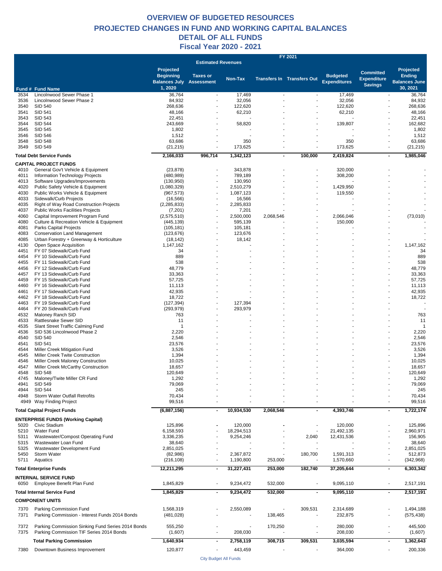#### **OVERVIEW OF BUDGETED RESOURCES Fiscal Year 2020 - 2021 DETAIL OF ALL FUNDS PROJECTED CHANGES IN FUND AND WORKING CAPITAL BALANCES**

|      |                                                   |                                 |                           |            |                          | FY 2021                           |                     |                    |                                        |
|------|---------------------------------------------------|---------------------------------|---------------------------|------------|--------------------------|-----------------------------------|---------------------|--------------------|----------------------------------------|
|      |                                                   |                                 | <b>Estimated Revenues</b> |            |                          |                                   |                     |                    |                                        |
|      |                                                   | Projected                       |                           |            |                          |                                   |                     | <b>Committed</b>   | Projected                              |
|      |                                                   | <b>Beginning</b>                | <b>Taxes or</b>           | Non-Tax    |                          | <b>Transfers In Transfers Out</b> | <b>Budgeted</b>     | <b>Expenditure</b> | <b>Ending</b>                          |
|      |                                                   | <b>Balances July Assessment</b> |                           |            |                          |                                   | <b>Expenditures</b> | <b>Savings</b>     | <b>Balances June</b>                   |
|      | Fund # Fund Name                                  | 1,2020                          |                           |            |                          |                                   |                     |                    | 30, 2021                               |
| 3534 | Lincolnwood Sewer Phase 1                         | 36,764                          | $\sim$                    | 17,469     | $\overline{\phantom{a}}$ | $\overline{\phantom{a}}$          | 17,469              |                    | 36,764                                 |
| 3536 | Lincolnwood Sewer Phase 2                         | 84,932                          | $\overline{\phantom{a}}$  | 32,056     |                          | $\blacksquare$                    | 32,056              |                    | 84,932                                 |
| 3540 | <b>SID 540</b>                                    | 268,636                         |                           | 122,620    |                          |                                   | 122,620             |                    | 268,636                                |
| 3541 | SID 541                                           | 48,166                          |                           | 62,210     |                          |                                   | 62,210              |                    | 48,166                                 |
| 3543 | <b>SID 543</b>                                    | 22,451                          |                           |            |                          |                                   |                     |                    | 22,451                                 |
| 3544 | <b>SID 544</b>                                    | 243,669                         |                           | 58,820     |                          |                                   | 139,807             |                    | 162,682                                |
| 3545 | SID 545                                           | 1,802                           |                           |            |                          |                                   |                     |                    | 1,802                                  |
| 3546 | SID 546                                           | 1,512                           |                           |            |                          |                                   |                     |                    | 1,512                                  |
| 3548 | <b>SID 548</b>                                    | 63,686                          |                           | 350        |                          |                                   | 350                 |                    | 63,686                                 |
| 3549 | SID 549                                           | (21, 215)                       |                           | 173,625    |                          | $\overline{\phantom{a}}$          | 173,625             |                    | (21, 215)<br>$\overline{\phantom{a}}$  |
|      |                                                   |                                 |                           |            |                          |                                   |                     |                    |                                        |
|      | <b>Total Debt Service Funds</b>                   | 2,166,033                       | 996,714                   | 1,342,123  |                          | 100,000                           | 2,419,824           |                    | 1,985,046<br>$\blacksquare$            |
|      | <b>CAPITAL PROJECT FUNDS</b>                      |                                 |                           |            |                          |                                   |                     |                    |                                        |
| 4010 | General Gov't Vehicle & Equipment                 | (23, 878)                       |                           | 343,878    |                          |                                   | 320,000             |                    |                                        |
| 4011 | Information Technology Projects                   | (480, 989)                      |                           | 789,189    |                          | $\overline{\phantom{a}}$          | 308,200             |                    |                                        |
| 4013 | Software Upgrades/Improvements                    | (130, 950)                      |                           | 130,950    |                          |                                   |                     |                    |                                        |
| 4020 | Public Safety Vehicle & Equipment                 | (1,080,329)                     |                           | 2,510,279  |                          |                                   | 1,429,950           |                    |                                        |
| 4030 | Public Works Vehicle & Equipment                  | (967, 573)                      |                           | 1,087,123  |                          |                                   | 119,550             |                    |                                        |
| 4033 | Sidewalk/Curb Projects                            | (16, 566)                       |                           | 16,566     |                          |                                   |                     |                    |                                        |
| 4035 | Right of Way Road Construction Projects           | (2, 285, 833)                   |                           | 2,285,833  |                          |                                   |                     |                    |                                        |
| 4037 | <b>Public Works Facilities Projects</b>           | (7,201)                         |                           | 7,201      |                          |                                   |                     |                    |                                        |
| 4060 | Capital Improvement Program Fund                  |                                 |                           |            |                          |                                   |                     |                    |                                        |
|      |                                                   | (2,575,510)                     |                           | 2,500,000  | 2,068,546                |                                   | 2,066,046           |                    | (73,010)                               |
| 4080 | Culture & Recreation Vehicle & Equipment          | (445, 139)                      |                           | 595,139    |                          |                                   | 150,000             |                    |                                        |
| 4081 | Parks Capital Projects                            | (105, 181)                      |                           | 105,181    |                          |                                   |                     |                    |                                        |
| 4083 | <b>Conservation Land Management</b>               | (123, 676)                      |                           | 123,676    |                          |                                   |                     |                    |                                        |
| 4085 | Urban Forestry + Greenway & Horticulture          | (18, 142)                       |                           | 18,142     |                          |                                   |                     |                    |                                        |
| 4130 | Open Space Acquisition                            | 1,147,162                       |                           |            |                          |                                   |                     |                    | 1,147,162                              |
| 4451 | FY 07 Sidewalk/Curb Fund                          | 34                              |                           |            |                          |                                   |                     |                    | 34                                     |
| 4454 | FY 10 Sidewalk/Curb Fund                          | 889                             |                           |            |                          |                                   |                     |                    | 889                                    |
| 4455 | FY 11 Sidewalk/Curb Fund                          | 538                             |                           |            |                          |                                   |                     |                    | 538                                    |
| 4456 | FY 12 Sidewalk/Curb Fund                          | 48,779                          |                           |            |                          |                                   |                     |                    | 48,779                                 |
| 4457 | FY 13 Sidewalk/Curb Fund                          | 33,363                          |                           |            |                          |                                   |                     |                    | 33,363                                 |
| 4459 | FY 15 Sidewalk/Curb Fund                          | 57,725                          |                           |            |                          |                                   |                     |                    | 57,725                                 |
| 4460 | FY 16 Sidewalk/Curb Fund                          | 11,113                          |                           |            |                          |                                   |                     |                    | 11,113                                 |
| 4461 | FY 17 Sidewalk/Curb Fund                          | 42,935                          |                           |            |                          |                                   |                     |                    | 42,935                                 |
| 4462 | FY 18 Sidewalk/Curb Fund                          | 18,722                          |                           |            |                          |                                   |                     |                    | 18,722                                 |
| 4463 | FY 19 Sidewalk/Curb Fund                          | (127, 394)                      |                           | 127,394    |                          |                                   |                     |                    |                                        |
|      |                                                   |                                 |                           |            |                          |                                   |                     |                    |                                        |
| 4464 | FY 20 Sidewalk/Curb Fund                          | (293, 979)                      |                           | 293,979    |                          |                                   |                     |                    |                                        |
| 4532 | Maloney Ranch SID                                 | 763                             |                           |            |                          |                                   |                     |                    | 763                                    |
| 4533 | Rattlesnake Sewer SID                             | 11                              |                           |            |                          |                                   |                     |                    | 11                                     |
| 4535 | Slant Street Traffic Calming Fund                 | $\overline{1}$                  |                           |            |                          |                                   |                     |                    |                                        |
| 4536 | SID 536 Lincolnwood Phase 2                       | 2,220                           |                           |            |                          |                                   |                     |                    | 2,220                                  |
| 4540 | <b>SID 540</b>                                    | 2,546                           |                           |            |                          |                                   |                     |                    | 2,546                                  |
| 4541 | SID 541                                           | 23,576                          |                           |            |                          |                                   |                     |                    | 23,576                                 |
| 4544 | Miller Creek Mitigation Fund                      | 3,526                           |                           |            |                          |                                   |                     |                    | 3,526                                  |
| 4545 | Miller Creek Twite Construction                   | 1,394                           |                           |            |                          |                                   |                     |                    | 1,394                                  |
| 4546 | Miller Creek Maloney Construction                 | 10,025                          |                           |            |                          |                                   |                     |                    | 10,025                                 |
| 4547 | Miller Creek McCarthy Construction                | 18,657                          |                           |            |                          |                                   |                     |                    | 18,657                                 |
| 4548 | <b>SID 548</b>                                    | 120,649                         |                           |            |                          |                                   |                     |                    | 120,649                                |
|      | 4745 Maloney/Twite Miller CR Fund                 | 1,292                           |                           |            |                          |                                   |                     |                    | 1,292                                  |
| 4941 | SID 549                                           | 79,069                          |                           |            |                          |                                   |                     |                    | 79,069                                 |
| 4944 | <b>SID 544</b>                                    | 245                             |                           |            |                          |                                   |                     |                    | 245                                    |
| 4948 | Storm Water Outfall Retrofits                     | 70,434                          |                           |            |                          |                                   |                     |                    | 70,434                                 |
|      | 4949 Way Finding Project                          | 99,516                          |                           |            |                          |                                   |                     |                    | 99,516                                 |
|      |                                                   |                                 |                           |            |                          |                                   |                     |                    |                                        |
|      | <b>Total Capital Project Funds</b>                | (6,887,156)                     | $\blacksquare$            | 10,934,530 | 2,068,546                | $\blacksquare$                    | 4,393,746           |                    | 1,722,174<br>$\blacksquare$            |
|      |                                                   |                                 |                           |            |                          |                                   |                     |                    |                                        |
|      | <b>ENTERPRISE FUNDS (Working Capital)</b>         |                                 |                           |            |                          |                                   |                     |                    |                                        |
| 5020 | Civic Stadium                                     | 125,896                         |                           | 120,000    |                          |                                   | 120,000             |                    | 125,896                                |
| 5210 | Water Fund                                        | 6,158,593                       |                           | 18,294,513 |                          |                                   | 21,492,135          |                    | 2,960,971                              |
| 5311 | Wastewater/Compost Operating Fund                 | 3,336,235                       |                           | 9,254,246  |                          | 2,040                             | 12,431,536          |                    | 156,905                                |
| 5315 | Wastewater Loan Fund                              | 38,640                          |                           |            |                          |                                   |                     |                    | 38,640                                 |
| 5325 | Wastewater Development Fund                       | 2,851,025                       |                           |            |                          |                                   |                     |                    | 2,851,025                              |
| 5450 | Storm Water                                       | (82,986)                        |                           | 2,367,872  |                          | 180,700                           | 1,591,313           |                    | 512,873                                |
| 5711 | Aquatics                                          | (216, 108)                      |                           | 1,190,800  | 253,000                  |                                   | 1,570,660           |                    | (342, 968)<br>$\overline{\phantom{a}}$ |
|      |                                                   |                                 |                           |            |                          |                                   |                     |                    |                                        |
|      | <b>Total Enterprise Funds</b>                     | 12,211,295                      | $\blacksquare$            | 31,227,431 | 253,000                  | 182,740                           | 37,205,644          |                    | 6,303,342<br>$\blacksquare$            |
|      | <b>INTERNAL SERVICE FUND</b>                      |                                 |                           |            |                          |                                   |                     |                    |                                        |
| 6050 | Employee Benefit Plan Fund                        | 1,845,829                       |                           | 9,234,472  | 532,000                  |                                   | 9,095,110           |                    | 2,517,191<br>$\overline{\phantom{a}}$  |
|      |                                                   |                                 |                           |            |                          |                                   |                     |                    |                                        |
|      | <b>Total Internal Service Fund</b>                | 1,845,829                       | $\blacksquare$            | 9,234,472  | 532,000                  | $\blacksquare$                    | 9,095,110           |                    | 2,517,191<br>$\blacksquare$            |
|      | <b>COMPONENT UNITS</b>                            |                                 |                           |            |                          |                                   |                     |                    |                                        |
|      |                                                   |                                 |                           |            |                          |                                   |                     |                    |                                        |
| 7370 | Parking Commission Fund                           | 1,568,319                       |                           | 2,550,089  |                          | 309,531                           | 2,314,689           |                    | 1,494,188                              |
| 7371 | Parking Commission - Interest Funds 2014 Bonds    | (481, 028)                      |                           |            | 138,465                  |                                   | 232,875             |                    | (575, 438)<br>$\overline{\phantom{a}}$ |
|      |                                                   |                                 |                           |            |                          |                                   |                     |                    |                                        |
| 7372 | Parking Commission Sinking Fund Series 2014 Bonds | 555,250                         |                           |            | 170,250                  |                                   | 280,000             |                    | 445,500                                |
| 7375 | Parking Commission TIF Series 2014 Bonds          | (1,607)                         | $\overline{\phantom{a}}$  | 208,030    |                          | $\overline{a}$                    | 208,030             |                    | (1,607)<br>$\overline{\phantom{a}}$    |
|      |                                                   |                                 |                           |            |                          |                                   |                     |                    |                                        |
|      | <b>Total Parking Commission</b>                   | 1,640,934                       | $\overline{\phantom{a}}$  | 2,758,119  | 308,715                  | 309,531                           | 3,035,594           |                    | 1,362,643<br>$\blacksquare$            |
| 7380 | Downtown Business Improvement                     | 120,877                         |                           | 443,459    |                          |                                   | 364,000             |                    | 200,336                                |
|      |                                                   |                                 |                           |            |                          |                                   |                     |                    |                                        |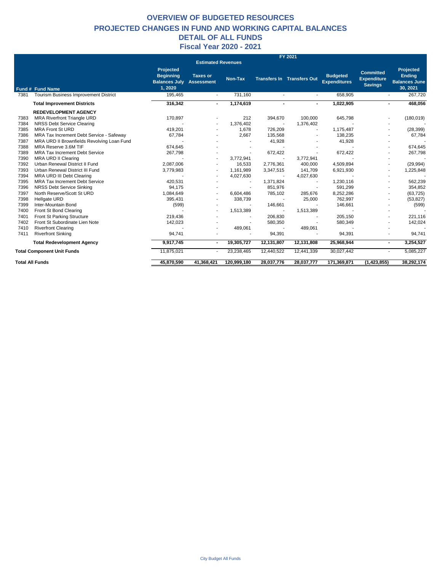#### **OVERVIEW OF BUDGETED RESOURCES Fiscal Year 2020 - 2021 DETAIL OF ALL FUNDS PROJECTED CHANGES IN FUND AND WORKING CAPITAL BALANCES**

|      |                                              |                                                                        |                                      |             |            | FY 2021                           |                                        |                                                          |                                                                       |
|------|----------------------------------------------|------------------------------------------------------------------------|--------------------------------------|-------------|------------|-----------------------------------|----------------------------------------|----------------------------------------------------------|-----------------------------------------------------------------------|
|      |                                              |                                                                        | <b>Estimated Revenues</b>            |             |            |                                   |                                        |                                                          |                                                                       |
|      | Fund # Fund Name                             | <b>Projected</b><br><b>Beginning</b><br><b>Balances July</b><br>1,2020 | <b>Taxes or</b><br><b>Assessment</b> | Non-Tax     |            | <b>Transfers In Transfers Out</b> | <b>Budgeted</b><br><b>Expenditures</b> | <b>Committed</b><br><b>Expenditure</b><br><b>Savings</b> | <b>Projected</b><br><b>Ending</b><br><b>Balances June</b><br>30, 2021 |
| 7381 | <b>Tourism Business Improvement District</b> | 195,465                                                                | $\overline{a}$                       | 731,160     |            | $\overline{\phantom{a}}$          | 658,905                                | $\sim$                                                   | 267,720                                                               |
|      | <b>Total Improvement Districts</b>           | 316,342                                                                | $\blacksquare$                       | 1,174,619   |            |                                   | 1,022,905                              |                                                          | 468,056<br>$\blacksquare$                                             |
|      | <b>REDEVELOPMENT AGENCY</b>                  |                                                                        |                                      |             |            |                                   |                                        |                                                          |                                                                       |
| 7383 | <b>MRA Riverfront Triangle URD</b>           | 170,897                                                                |                                      | 212         | 394,670    | 100.000                           | 645,798                                | $\overline{\phantom{a}}$                                 | (180, 019)                                                            |
| 7384 | NRSS Debt Service Clearing                   |                                                                        |                                      | 1.376.402   |            | 1,376,402                         |                                        |                                                          |                                                                       |
| 7385 | <b>MRA Front St URD</b>                      | 419,201                                                                |                                      | 1,678       | 726,209    |                                   | 1,175,487                              |                                                          | (28, 399)                                                             |
| 7386 | MRA Tax Increment Debt Service - Safeway     | 67,784                                                                 |                                      | 2,667       | 135,568    |                                   | 138.235                                |                                                          | 67,784                                                                |
| 7387 | MRA URD II Brownfields Revolving Loan Fund   |                                                                        |                                      |             | 41,928     |                                   | 41,928                                 |                                                          |                                                                       |
| 7388 | MRA Reserve 3.6M TIF                         | 674,645                                                                |                                      |             |            |                                   |                                        |                                                          | 674,645                                                               |
| 7389 | <b>MRA Tax Increment Debt Service</b>        | 267,798                                                                |                                      |             | 672,422    |                                   | 672,422                                |                                                          | 267,798                                                               |
| 7390 | <b>MRA URD II Clearing</b>                   |                                                                        |                                      | 3,772,941   |            | 3,772,941                         |                                        |                                                          |                                                                       |
| 7392 | Urban Renewal District II Fund               | 2,087,006                                                              |                                      | 16,533      | 2,776,361  | 400,000                           | 4,509,894                              |                                                          | (29, 994)                                                             |
| 7393 | Urban Renewal District III Fund              | 3,779,983                                                              |                                      | 1,161,989   | 3,347,515  | 141,709                           | 6,921,930                              |                                                          | 1,225,848                                                             |
| 7394 | MRA URD III Debt Clearing                    |                                                                        |                                      | 4,027,630   |            | 4,027,630                         |                                        |                                                          |                                                                       |
| 7395 | <b>MRA Tax Increment Debt Service</b>        | 420,531                                                                |                                      |             | 1,371,824  |                                   | 1,230,116                              |                                                          | 562,239                                                               |
| 7396 | <b>NRSS Debt Service Sinking</b>             | 94,175                                                                 |                                      |             | 851,976    |                                   | 591,299                                |                                                          | 354,852                                                               |
| 7397 | North Reserve/Scott St URD                   | 1,084,649                                                              |                                      | 6,604,486   | 785,102    | 285,676                           | 8,252,286                              |                                                          | (63, 725)                                                             |
| 7398 | Hellgate URD                                 | 395,431                                                                |                                      | 338,739     |            | 25,000                            | 762,997                                |                                                          | (53, 827)                                                             |
| 7399 | Inter-Mountain Bond                          | (599)                                                                  |                                      |             | 146,661    |                                   | 146,661                                |                                                          | (599)                                                                 |
| 7400 | Front St Bond Clearing                       |                                                                        |                                      | 1,513,389   |            | 1,513,389                         |                                        |                                                          |                                                                       |
| 7401 | Front St Parking Structure                   | 219.436                                                                |                                      |             | 206,830    |                                   | 205.150                                |                                                          | 221,116                                                               |
| 7402 | Front St Subordinate Lien Note               | 142,023                                                                |                                      |             | 580,350    |                                   | 580,349                                | ٠                                                        | 142,024                                                               |
| 7410 | <b>Riverfront Clearing</b>                   |                                                                        |                                      | 489,061     |            | 489,061                           |                                        |                                                          |                                                                       |
| 7411 | <b>Riverfront Sinking</b>                    | 94,741                                                                 |                                      |             | 94,391     |                                   | 94,391                                 | $\blacksquare$                                           | 94,741                                                                |
|      | <b>Total Redevelopment Agency</b>            | 9,917,745                                                              | $\blacksquare$                       | 19,305,727  | 12,131,807 | 12,131,808                        | 25,968,944                             |                                                          | 3,254,527<br>$\sim$                                                   |
|      | <b>Total Component Unit Funds</b>            | 11,875,021                                                             |                                      | 23,238,465  | 12,440,522 | 12,441,339                        | 30,027,442                             | $\blacksquare$                                           | 5,085,227                                                             |
|      | <b>Total All Funds</b>                       | 45.870.590                                                             | 41.368.421                           | 120,999,180 | 28,037,776 | 28,037,777                        | 171.369.871                            | (1, 423, 855)                                            | 38,292,174                                                            |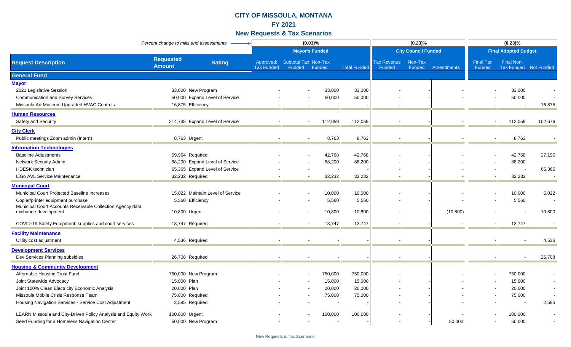|                                                                                    | Percent change to mills and assessments |                                  |                                |                                | (0.03)%               |                     |                              | (0.23)%                    |            |                            | $(0.23)\%$                                 |         |
|------------------------------------------------------------------------------------|-----------------------------------------|----------------------------------|--------------------------------|--------------------------------|-----------------------|---------------------|------------------------------|----------------------------|------------|----------------------------|--------------------------------------------|---------|
|                                                                                    |                                         |                                  |                                |                                | <b>Mayor's Funded</b> |                     |                              | <b>City Council Funded</b> |            |                            | <b>Final Adopted Budget</b>                |         |
| <b>Request Description</b>                                                         | <b>Requested</b><br><b>Amount</b>       | <b>Rating</b>                    | Approved:<br><b>Tax Funded</b> | Subtotal Tax Non-Tax<br>Funded | Funded                | <b>Total Funded</b> | <b>Tax Revenue</b><br>Funded | Non-Tax<br>Funded          | Amendments | <b>Final Tax</b><br>Funded | <b>Final Non-</b><br>Tax Funded Not Funded |         |
| <b>General Fund</b>                                                                |                                         |                                  |                                |                                |                       |                     |                              |                            |            |                            |                                            |         |
| <b>Mayor</b>                                                                       |                                         |                                  |                                |                                |                       |                     |                              |                            |            |                            |                                            |         |
| 2021 Legislative Session                                                           | 33,000 New Program                      |                                  |                                |                                | 33,000                | 33,000              |                              |                            |            |                            | 33,000                                     |         |
| <b>Communication and Survey Services</b>                                           |                                         | 50,000 Expand Level of Service   |                                |                                | 50,000                | 50,000              |                              |                            |            |                            | 50,000                                     |         |
| Missoula Art Museum Upgraded HVAC Controls                                         | 16,875 Efficiency                       |                                  |                                |                                |                       |                     |                              |                            |            |                            |                                            | 16,875  |
| <b>Human Resources</b>                                                             |                                         |                                  |                                |                                |                       |                     |                              |                            |            |                            |                                            |         |
| Safety and Security                                                                |                                         | 214,735 Expand Level of Service  |                                |                                | 112,059               | 112,059             |                              |                            |            |                            | 112,059                                    | 102,676 |
| <b>City Clerk</b>                                                                  |                                         |                                  |                                |                                |                       |                     |                              |                            |            |                            |                                            |         |
| Public meetings Zoom admin (Intern)                                                | 8,763 Urgent                            |                                  |                                |                                | 8,763                 | 8,763               |                              |                            |            |                            | 8,763                                      |         |
| <b>Information Technologies</b>                                                    |                                         |                                  |                                |                                |                       |                     |                              |                            |            |                            |                                            |         |
| <b>Baseline Adjustments</b>                                                        | 69,964 Required                         |                                  |                                |                                | 42,768                | 42,768              |                              |                            |            |                            | 42,768                                     | 27,196  |
| Network Security Admin                                                             |                                         | 88,200 Expand Level of Service   |                                |                                | 88,200                | 88,200              |                              |                            |            |                            | 88,200                                     |         |
| <b>HDESK</b> technician                                                            |                                         | 65,365 Expand Level of Service   |                                |                                |                       |                     |                              |                            |            |                            |                                            | 65,365  |
| LiGo AVL Service Maintenance                                                       | 32,232 Required                         |                                  |                                |                                | 32,232                | 32,232              |                              |                            |            |                            | 32,232                                     |         |
| <b>Municipal Court</b>                                                             |                                         |                                  |                                |                                |                       |                     |                              |                            |            |                            |                                            |         |
| Municipal Court Projected Baseline Increases                                       |                                         | 15,022 Maintain Level of Service |                                |                                | 10,000                | 10,000              |                              |                            |            |                            | 10,000                                     | 5,022   |
| Copier/printer equipment purchase                                                  | 5,560 Efficiency                        |                                  |                                |                                | 5,560                 | 5,560               |                              |                            |            |                            | 5,560                                      |         |
| Municipal Court Accounts Receivable Collection Agency data<br>exchange development | 10,800 Urgent                           |                                  |                                |                                | 10,800                | 10,800              |                              |                            | (10, 800)  |                            |                                            | 10,800  |
|                                                                                    |                                         |                                  |                                |                                |                       |                     |                              |                            |            |                            |                                            |         |
| COVID-19 Safety Equipment, supplies and court services                             | 13,747 Required                         |                                  |                                |                                | 13,747                | 13,747              | $\sim$                       |                            |            |                            | 13,747                                     |         |
| <b>Facility Maintenance</b>                                                        |                                         |                                  |                                |                                |                       |                     |                              |                            |            |                            |                                            |         |
| Utility cost adjustment                                                            | 4,536 Required                          |                                  |                                |                                |                       |                     |                              |                            |            |                            |                                            | 4,536   |
| <b>Development Services</b>                                                        |                                         |                                  |                                |                                |                       |                     |                              |                            |            |                            |                                            |         |
| Dev Services Planning subsidies                                                    | 26,708 Required                         |                                  |                                |                                |                       |                     |                              |                            |            |                            |                                            | 26,708  |
| <b>Housing &amp; Community Development</b>                                         |                                         |                                  |                                |                                |                       |                     |                              |                            |            |                            |                                            |         |
| Affordable Housing Trust Fund                                                      | 750,000 New Program                     |                                  |                                |                                | 750,000               | 750,000             |                              |                            |            |                            | 750,000                                    |         |
| Joint Statewide Advocacy                                                           | 15,000 Plan                             |                                  |                                |                                | 15,000                | 15,000              |                              |                            |            |                            | 15,000                                     |         |
| Joint 100% Clean Electricity Economic Analysis                                     | 20,000 Plan                             |                                  |                                |                                | 20,000                | 20,000              |                              |                            |            |                            | 20,000                                     |         |
| Missoula Mobile Crisis Response Team                                               | 75,000 Required                         |                                  |                                |                                | 75,000                | 75,000              |                              |                            |            |                            | 75,000                                     |         |
| Housing Navigation Services - Service Cost Adjustment                              | 2,585 Required                          |                                  |                                |                                |                       |                     |                              |                            |            |                            |                                            | 2,585   |
| LEARN Missoula and City-Driven Policy Analysis and Equity Work                     | 100,000 Urgent                          |                                  |                                |                                | 100,000               | 100,000             |                              |                            |            |                            | 100,000                                    |         |
| Seed Funding for a Homeless Navigation Center                                      | 50,000 New Program                      |                                  |                                |                                |                       |                     |                              |                            | 50,000     |                            | 50.000                                     |         |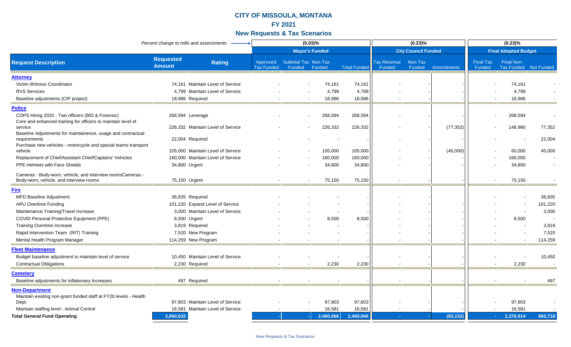|                                                                                                                  | Percent change to mills and assessments |                                   |                                |                                              | (0.03)%               |                     |                              | (0.23)%                    |            |                            | $(0.23)\%$                                 |         |
|------------------------------------------------------------------------------------------------------------------|-----------------------------------------|-----------------------------------|--------------------------------|----------------------------------------------|-----------------------|---------------------|------------------------------|----------------------------|------------|----------------------------|--------------------------------------------|---------|
|                                                                                                                  |                                         |                                   |                                |                                              | <b>Mayor's Funded</b> |                     |                              | <b>City Council Funded</b> |            |                            | <b>Final Adopted Budget</b>                |         |
| <b>Request Description</b>                                                                                       | <b>Requested</b><br><b>Amount</b>       | <b>Rating</b>                     | Approved:<br><b>Tax Funded</b> | <b>Subtotal Tax Non-Tax</b><br>Funded Funded |                       | <b>Total Funded</b> | <b>Tax Revenue</b><br>Funded | Non-Tax<br>Funded          | Amendments | <b>Final Tax</b><br>Funded | <b>Final Non-</b><br>Tax Funded Not Funded |         |
| <u>Attorney</u>                                                                                                  |                                         |                                   |                                |                                              |                       |                     |                              |                            |            |                            |                                            |         |
| Victim Witness Coordinator                                                                                       |                                         | 74,161 Maintain Level of Service  |                                |                                              | 74,161                | 74,161              |                              |                            |            |                            | 74,161                                     |         |
| <b>RVS Services</b>                                                                                              |                                         | 4,799 Maintain Level of Service   |                                |                                              | 4,799                 | 4,799               |                              |                            |            |                            | 4,799                                      |         |
| Baseline adjustments (CIP project)                                                                               | 18,986 Required                         |                                   |                                |                                              | 18,986                | 18,986              |                              |                            |            |                            | 18,986                                     |         |
| <b>Police</b>                                                                                                    |                                         |                                   |                                |                                              |                       |                     |                              |                            |            |                            |                                            |         |
| COPS Hiring 2020 - Two officers (BID & Forensic)<br>Core and enhanced training for officers to maintain level of | 268,594 Leverage                        |                                   |                                |                                              | 268,594               | 268,594             |                              |                            |            |                            | 268,594                                    |         |
| service<br>Baseline Adjustments for maintainence, usage and contractual                                          |                                         | 226,332 Maintain Level of Service |                                |                                              | 226,332               | 226,332             |                              |                            | (77, 352)  |                            | 148,980                                    | 77,352  |
| requirements<br>Purchase new vehicles - motorcycle and special teams transport                                   | 22,004 Required                         |                                   |                                |                                              |                       |                     |                              |                            |            |                            |                                            | 22,004  |
| vehicle                                                                                                          |                                         | 105,000 Maintain Level of Service |                                |                                              | 105,000               | 105,000             |                              |                            | (45,000)   |                            | 60,000                                     | 45,000  |
| Replacement of Chief/Assistant Chief/Captains' Vehicles                                                          |                                         | 160,000 Maintain Level of Service |                                |                                              | 160,000               | 160,000             |                              |                            |            |                            | 160,000                                    |         |
| <b>PPE Helmets with Face Shields</b>                                                                             | 34,800 Urgent                           |                                   |                                |                                              | 34,800                | 34,800              |                              |                            |            |                            | 34,800                                     |         |
| Cameras - Body-worn, vehicle, and interview roomsCameras -<br>Body-worn, vehicle, and interview rooms            | 75,150 Urgent                           |                                   |                                |                                              | 75,150                | 75,150              |                              |                            |            |                            | 75,150                                     |         |
| <b>Fire</b>                                                                                                      |                                         |                                   |                                |                                              |                       |                     |                              |                            |            |                            |                                            |         |
| <b>MFD Baseline Adjustment</b>                                                                                   | 36,835 Required                         |                                   |                                |                                              |                       |                     |                              |                            |            |                            |                                            | 36,835  |
| <b>ARU Overtime Funding</b>                                                                                      |                                         | 101,220 Expand Level of Service   |                                |                                              |                       |                     |                              |                            |            |                            |                                            | 101,220 |
| Maintenance Training/Travel Increase                                                                             |                                         | 3,000 Maintain Level of Service   |                                |                                              |                       |                     |                              |                            |            |                            |                                            | 3,000   |
| COVID Personal Protective Equipment (PPE)                                                                        | 8,500 Urgent                            |                                   |                                |                                              | 8,500                 | 8,500               |                              |                            |            |                            | 8,500                                      |         |
| <b>Training Overtime Increase</b>                                                                                | 3,819 Required                          |                                   |                                |                                              |                       |                     |                              |                            |            |                            |                                            | 3,819   |
| Rapid Intervention Team (RIT) Training                                                                           | 7,520 New Program                       |                                   |                                |                                              |                       |                     |                              |                            |            |                            |                                            | 7,520   |
| Mental Health Program Manager                                                                                    | 114,259 New Program                     |                                   |                                |                                              |                       |                     |                              |                            |            |                            |                                            | 114,259 |
| <b>Fleet Maintenance</b>                                                                                         |                                         |                                   |                                |                                              |                       |                     |                              |                            |            |                            |                                            |         |
| Budget baseline adjustment to maintain level of service                                                          |                                         | 10,450 Maintain Level of Service  |                                |                                              |                       |                     |                              |                            |            |                            |                                            | 10,450  |
| <b>Contractual Obligations</b>                                                                                   | 2,230 Required                          |                                   |                                |                                              | 2,230                 | 2,230               |                              |                            |            |                            | 2,230                                      |         |
| <b>Cemetery</b>                                                                                                  |                                         |                                   |                                |                                              |                       |                     |                              |                            |            |                            |                                            |         |
| Baseline adjustments for inflationary Increases                                                                  | 497 Required                            |                                   |                                |                                              |                       |                     |                              |                            |            |                            |                                            | 497     |
| <b>Non-Department</b>                                                                                            |                                         |                                   |                                |                                              |                       |                     |                              |                            |            |                            |                                            |         |
| Maintain existing non-grant funded staff at FY20 levels - Health                                                 |                                         | 97,803 Maintain Level of Service  |                                |                                              | 97,803                |                     |                              |                            |            |                            | 97,803                                     |         |
| Dept.<br>Maintain staffing level - Animal Control                                                                |                                         | 16,581 Maintain Level of Service  |                                |                                              | 16,581                | 97,803<br>16,581    |                              |                            |            |                            | 16,581                                     |         |
| <b>Total General Fund Operating</b>                                                                              | 3,060,632                               |                                   |                                |                                              | 2,460,066             | 2,460,066           | п.                           |                            | (83, 152)  | $\sim 10$                  | 2,376,914                                  | 683,718 |
|                                                                                                                  |                                         |                                   |                                |                                              |                       |                     |                              |                            |            |                            |                                            |         |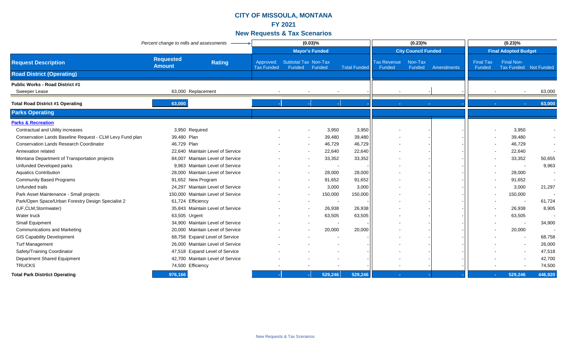|                                                          | Percent change to mills and assessments |                                   |                                |                                       | (0.03)%<br>$(0.23)\%$ |                     |                              |                            | $(0.23)\%$ |                                   |                                     |         |
|----------------------------------------------------------|-----------------------------------------|-----------------------------------|--------------------------------|---------------------------------------|-----------------------|---------------------|------------------------------|----------------------------|------------|-----------------------------------|-------------------------------------|---------|
|                                                          |                                         |                                   |                                |                                       | <b>Mayor's Funded</b> |                     |                              | <b>City Council Funded</b> |            |                                   | <b>Final Adopted Budget</b>         |         |
| <b>Request Description</b>                               | <b>Requested</b><br><b>Amount</b>       | <b>Rating</b>                     | Approved:<br><b>Tax Funded</b> | <b>Subtotal Tax Non-Tax</b><br>Funded | Funded                | <b>Total Funded</b> | <b>Tax Revenue</b><br>Funded | Non-Tax<br>Funded          | Amendments | <b>Final Tax</b><br><b>Funded</b> | Final Non-<br>Tax Funded Not Funded |         |
| <b>Road District (Operating)</b>                         |                                         |                                   |                                |                                       |                       |                     |                              |                            |            |                                   |                                     |         |
| <b>Public Works - Road District #1</b>                   |                                         |                                   |                                |                                       |                       |                     |                              |                            |            |                                   |                                     |         |
| <b>Sweeper Lease</b>                                     | 63,000 Replacement                      |                                   |                                |                                       |                       |                     |                              |                            |            |                                   |                                     | 63,000  |
| <b>Total Road District #1 Operating</b>                  | 63,000                                  |                                   |                                |                                       |                       |                     | $\sim$                       |                            | m.         | <b>COL</b>                        |                                     | 63,000  |
| <b>Parks Operating</b>                                   |                                         |                                   |                                |                                       |                       |                     |                              |                            |            |                                   |                                     |         |
| <b>Parks &amp; Recreation</b>                            |                                         |                                   |                                |                                       |                       |                     |                              |                            |            |                                   |                                     |         |
| Contractual and Utility increases                        | 3,950 Required                          |                                   |                                |                                       | 3,950                 | 3,950               |                              |                            |            |                                   | 3,950                               |         |
| Conservation Lands Baseline Request - CLM Levy Fund plan | 39,480 Plan                             |                                   |                                |                                       | 39,480                | 39,480              |                              |                            |            |                                   | 39,480                              |         |
| <b>Conservation Lands Research Coordinator</b>           | 46,729 Plan                             |                                   |                                |                                       | 46,729                | 46,729              |                              |                            |            |                                   | 46,729                              |         |
| Annexation related                                       |                                         | 22,640 Maintain Level of Service  |                                |                                       | 22,640                | 22,640              |                              |                            |            |                                   | 22,640                              |         |
| Montana Department of Transportation projects            |                                         | 84,007 Maintain Level of Service  |                                |                                       | 33,352                | 33,352              |                              |                            |            |                                   | 33,352                              | 50,655  |
| Unfunded Developed parks                                 |                                         | 9.963 Maintain Level of Service   |                                |                                       | $\sim$                | $\sim$              |                              |                            |            |                                   | $\sim$                              | 9,963   |
| <b>Aquatics Contribution</b>                             |                                         | 28,000 Maintain Level of Service  |                                | $\sim$                                | 28,000                | 28,000              |                              |                            |            |                                   | 28,000                              |         |
| <b>Community Based Programs</b>                          | 91,652 New Program                      |                                   |                                |                                       | 91,652                | 91,652              |                              |                            |            |                                   | 91,652                              |         |
| Unfunded trails                                          |                                         | 24,297 Maintain Level of Service  |                                |                                       | 3,000                 | 3,000               |                              |                            |            |                                   | 3,000                               | 21,297  |
| Park Asset Maintenance - Small projects                  |                                         | 150,000 Maintain Level of Service |                                |                                       | 150,000               | 150,000             |                              |                            |            |                                   | 150,000                             |         |
| Park/Open Space/Urban Forestry Design Specialist 2       | 61,724 Efficiency                       |                                   |                                |                                       |                       |                     |                              |                            |            |                                   | $\sim$                              | 61,724  |
| (UF,CLM,Stormwater)                                      |                                         | 35,843 Maintain Level of Service  |                                |                                       | 26,938                | 26,938              |                              |                            |            |                                   | 26,938                              | 8,905   |
| Water truck                                              | 63,505 Urgent                           |                                   |                                |                                       | 63,505                | 63,505              |                              |                            |            |                                   | 63,505                              |         |
| Small Equipment                                          |                                         | 34.900 Maintain Level of Service  |                                |                                       |                       |                     |                              |                            |            |                                   |                                     | 34,900  |
| Communications and Marketing                             |                                         | 20,000 Maintain Level of Service  |                                |                                       | 20,000                | 20,000              |                              |                            |            |                                   | 20,000                              |         |
| <b>GIS Capability Development</b>                        |                                         | 68,758 Expand Level of Service    |                                |                                       |                       |                     |                              |                            |            |                                   |                                     | 68,758  |
| <b>Turf Management</b>                                   |                                         | 26,000 Maintain Level of Service  |                                |                                       |                       |                     |                              |                            |            |                                   |                                     | 26,000  |
| Safety/Training Coordinator                              |                                         | 47,518 Expand Level of Service    |                                |                                       |                       |                     |                              |                            |            |                                   |                                     | 47,518  |
| Department Shared Equipment                              |                                         | 42,700 Maintain Level of Service  |                                |                                       |                       |                     |                              |                            |            |                                   |                                     | 42,700  |
| <b>TRUCKS</b>                                            | 74,500 Efficiency                       |                                   |                                |                                       |                       |                     |                              |                            |            |                                   |                                     | 74,500  |
| <b>Total Park Distrtict Operating</b>                    | 976,166                                 |                                   |                                |                                       | 529,246               | 529,246             |                              |                            |            |                                   | 529,246                             | 446,920 |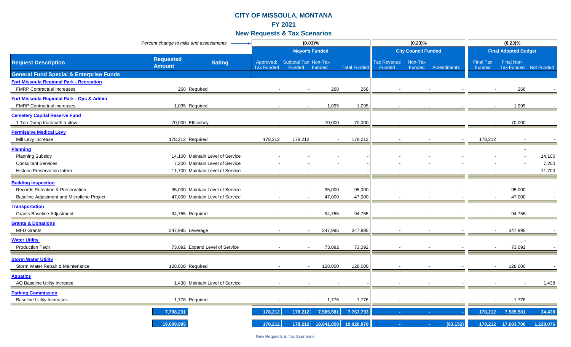|                                                    | Percent change to mills and assessments            |                                |                                       | (0.03)%               |                     |                       | (0.23)%                    |            | $(0.23)\%$                 |                                            |           |
|----------------------------------------------------|----------------------------------------------------|--------------------------------|---------------------------------------|-----------------------|---------------------|-----------------------|----------------------------|------------|----------------------------|--------------------------------------------|-----------|
|                                                    |                                                    |                                |                                       | <b>Mayor's Funded</b> |                     |                       | <b>City Council Funded</b> |            |                            | <b>Final Adopted Budget</b>                |           |
| <b>Request Description</b>                         | <b>Requested</b><br><b>Rating</b><br><b>Amount</b> | Approved:<br><b>Tax Funded</b> | <b>Subtotal Tax Non-Tax</b><br>Funded | Funded                | <b>Total Funded</b> | Tax Revenue<br>Funded | Non-Tax<br>Funded          | Amendments | <b>Final Tax</b><br>Funded | <b>Final Non-</b><br>Tax Funded Not Funded |           |
| <b>General Fund Special &amp; Enterprise Funds</b> |                                                    |                                |                                       |                       |                     |                       |                            |            |                            |                                            |           |
| <b>Fort Missoula Regional Park - Recreation</b>    |                                                    |                                |                                       |                       |                     |                       |                            |            |                            |                                            |           |
| <b>FMRP Contractual increases</b>                  | 268 Required                                       |                                |                                       | 268                   | 268                 |                       |                            |            |                            | 268                                        |           |
| Fort Missoula Regional Park - Ops & Admin          |                                                    |                                |                                       |                       |                     |                       |                            |            |                            |                                            |           |
| <b>FMRP Contractual increases</b>                  | 1,095 Required                                     |                                |                                       | 1,095                 | 1,095               |                       |                            |            |                            | 1,095                                      |           |
| <b>Cemetery Capital Reserve Fund</b>               |                                                    |                                |                                       |                       |                     |                       |                            |            |                            |                                            |           |
| 1 Ton Dump truck with a plow                       | 70,000 Efficiency                                  |                                |                                       | 70,000                | 70,000              |                       |                            |            |                            | 70,000                                     |           |
| <b>Permissive Medical Levy</b>                     |                                                    |                                |                                       |                       |                     |                       |                            |            |                            |                                            |           |
| Mill Levy Increase                                 | 178,212 Required                                   | 178,212                        | 178,212                               | $\sim$                | 178,212             |                       |                            |            | 178,212                    |                                            |           |
| <b>Planning</b>                                    |                                                    |                                |                                       |                       |                     |                       |                            |            |                            |                                            |           |
| <b>Planning Subsidy</b>                            | 14,100 Maintain Level of Service                   |                                |                                       |                       |                     |                       |                            |            |                            |                                            | 14,100    |
| <b>Consultant Services</b>                         | 7,200 Maintain Level of Service                    |                                |                                       |                       |                     |                       |                            |            |                            |                                            | 7,200     |
| <b>Historic Preservation Intern</b>                | 11,700 Maintain Level of Service                   |                                |                                       |                       |                     |                       |                            |            |                            |                                            | 11,700    |
| <b>Building Inspection</b>                         |                                                    |                                |                                       |                       |                     |                       |                            |            |                            |                                            |           |
| <b>Records Retention &amp; Preservation</b>        | 95,000 Maintain Level of Service                   |                                |                                       | 95,000                | 95,000              |                       |                            |            |                            | 95,000                                     |           |
| Baseline Adjustment and Microfiche Project         | 47,000 Maintain Level of Service                   |                                |                                       | 47,000                | 47,000              |                       |                            |            |                            | 47,000                                     |           |
| <b>Transportation</b>                              |                                                    |                                |                                       |                       |                     |                       |                            |            |                            |                                            |           |
| <b>Grants Baseline Adjustment</b>                  | 94,755 Required                                    |                                |                                       | 94,755                | 94,755              |                       |                            |            |                            | 94,755                                     |           |
| <b>Grants &amp; Donations</b>                      |                                                    |                                |                                       |                       |                     |                       |                            |            |                            |                                            |           |
| <b>MFD Grants</b>                                  | 347,995 Leverage                                   |                                |                                       | 347,995               | 347,995             |                       |                            |            |                            | 347,995                                    |           |
| <b>Water Utility</b>                               |                                                    |                                |                                       |                       |                     |                       |                            |            |                            |                                            |           |
| Production Tech                                    | 73,092 Expand Level of Service                     |                                |                                       | 73,092                | 73,092              |                       |                            |            |                            | 73,092                                     |           |
| <b>Storm Water Utility</b>                         |                                                    |                                |                                       |                       |                     |                       |                            |            |                            |                                            |           |
| Storm Water Repair & Maintenance                   | 128,000 Required                                   |                                |                                       | 128,000               | 128,000             |                       |                            |            |                            | 128,000                                    |           |
| <b>Aquatics</b>                                    |                                                    |                                |                                       |                       |                     |                       |                            |            |                            |                                            |           |
| AQ Baseline Utility Increase                       | 1,438 Maintain Level of Service                    |                                |                                       |                       |                     |                       |                            |            |                            |                                            | 1,438     |
| <b>Parking Commission</b>                          |                                                    |                                |                                       |                       |                     |                       |                            |            |                            |                                            |           |
| <b>Baseline Utility Increases</b>                  | 1,776 Required                                     |                                |                                       | 1,776                 | 1,776               |                       |                            |            |                            | 1,776                                      |           |
|                                                    | 7,798,231                                          | 178,212                        | 178,212                               | 7,585,581             | 7,763,793           |                       |                            |            | 178,212                    | 7,585,581                                  | 34,438    |
|                                                    | 19,009,995                                         | 178,212                        |                                       | 178,212 18,841,858    | 19,020,070          |                       |                            | (83, 152)  |                            | 178,212 17,603,706                         | 1,228,076 |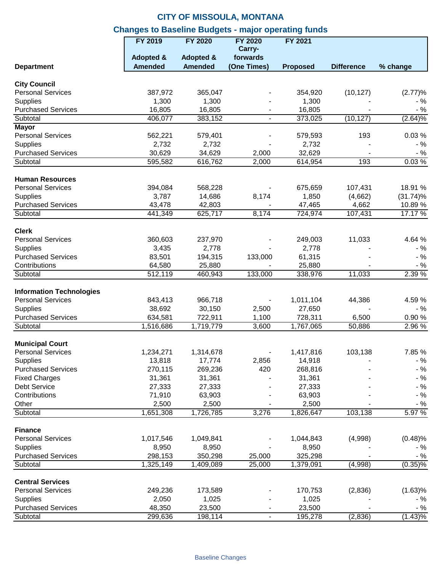|                                                    | <b>FY 2019</b>       | <b>FY 2020</b>       | <b>FY 2020</b> | FY 2021             |                   |                 |
|----------------------------------------------------|----------------------|----------------------|----------------|---------------------|-------------------|-----------------|
|                                                    |                      |                      | Carry-         |                     |                   |                 |
|                                                    | <b>Adopted &amp;</b> | <b>Adopted &amp;</b> | forwards       |                     |                   |                 |
| <b>Department</b>                                  | <b>Amended</b>       | <b>Amended</b>       | (One Times)    | <b>Proposed</b>     | <b>Difference</b> | % change        |
| <b>City Council</b>                                |                      |                      |                |                     |                   |                 |
| <b>Personal Services</b>                           | 387,972              | 365,047              |                | 354,920             | (10, 127)         | (2.77)%         |
| <b>Supplies</b>                                    | 1,300                | 1,300                |                | 1,300               |                   | $-$ %           |
| <b>Purchased Services</b>                          | 16,805               | 16,805               |                | 16,805              |                   | $-$ %           |
| Subtotal                                           | 406,077              | 383,152              | $\blacksquare$ | 373,025             | (10, 127)         | $(2.64)\%$      |
| <b>Mayor</b>                                       |                      |                      |                |                     |                   |                 |
| <b>Personal Services</b>                           | 562,221              | 579,401              |                | 579,593             | 193               | 0.03%           |
| <b>Supplies</b>                                    | 2,732                | 2,732                |                | 2,732               |                   | $-$ %           |
| <b>Purchased Services</b>                          | 30,629               | 34,629               | 2,000          | 32,629              |                   | $-$ %           |
| Subtotal                                           | 595,582              | 616,762              | 2,000          | 614,954             | 193               | 0.03%           |
| <b>Human Resources</b>                             |                      |                      |                |                     |                   |                 |
| <b>Personal Services</b>                           | 394,084              | 568,228              |                | 675,659             | 107,431           | 18.91 %         |
| <b>Supplies</b>                                    | 3,787                | 14,686               | 8,174          | 1,850               | (4,662)           | $(31.74)\%$     |
| <b>Purchased Services</b>                          | 43,478               | 42,803               |                | 47,465              | 4,662             | 10.89%          |
| Subtotal                                           | 441,349              | 625,717              | 8,174          | 724,974             | 107,431           | 17.17 %         |
|                                                    |                      |                      |                |                     |                   |                 |
| <b>Clerk</b>                                       |                      |                      |                |                     |                   |                 |
| <b>Personal Services</b>                           | 360,603              | 237,970              |                | 249,003             | 11,033            | 4.64 %          |
| <b>Supplies</b>                                    | 3,435                | 2,778                |                | 2,778               |                   | $-$ %           |
| <b>Purchased Services</b>                          | 83,501               | 194,315              | 133,000        | 61,315              |                   | $-$ %           |
| Contributions                                      | 64,580               | 25,880               |                | 25,880              |                   | $-$ %           |
| Subtotal                                           | 512,119              | 460,943              | 133,000        | 338,976             | 11,033            | 2.39 %          |
| <b>Information Technologies</b>                    |                      |                      |                |                     |                   |                 |
| <b>Personal Services</b>                           | 843,413              | 966,718              |                | 1,011,104           | 44,386            | 4.59 %          |
| <b>Supplies</b>                                    | 38,692               | 30,150               | 2,500          | 27,650              |                   | $-$ %           |
| <b>Purchased Services</b>                          | 634,581              | 722,911              | 1,100          | 728,311             | 6,500             | 0.90%           |
| Subtotal                                           | 1,516,686            | 1,719,779            | 3,600          | 1,767,065           | 50,886            | 2.96 %          |
|                                                    |                      |                      |                |                     |                   |                 |
| <b>Municipal Court</b><br><b>Personal Services</b> | 1,234,271            | 1,314,678            |                |                     |                   |                 |
|                                                    | 13,818               | 17,774               |                | 1,417,816<br>14,918 | 103,138           | 7.85 %<br>$-$ % |
| Supplies<br><b>Purchased Services</b>              | 270,115              | 269,236              | 2,856<br>420   | 268,816             |                   | $-$ %           |
|                                                    | 31,361               | 31,361               |                | 31,361              |                   | $-$ %           |
| <b>Fixed Charges</b><br>Debt Service               | 27,333               | 27,333               |                | 27,333              |                   | $-$ %           |
| Contributions                                      | 71,910               | 63,903               |                | 63,903              |                   | $-$ %           |
| Other                                              | 2,500                | 2,500                |                | 2,500               |                   |                 |
| Subtotal                                           |                      |                      |                |                     | 103,138           | $-$ %<br>5.97 % |
|                                                    | 1,651,308            | 1,726,785            | 3,276          | 1,826,647           |                   |                 |
| <b>Finance</b>                                     |                      |                      |                |                     |                   |                 |
| <b>Personal Services</b>                           | 1,017,546            | 1,049,841            |                | 1,044,843           | (4,998)           | (0.48)%         |
| Supplies                                           | 8,950                | 8,950                |                | 8,950               |                   | - %             |
| <b>Purchased Services</b>                          | 298,153              | 350,298              | 25,000         | 325,298             |                   | $-$ %           |
| Subtotal                                           | 1,325,149            | 1,409,089            | 25,000         | 1,379,091           | (4,998)           | $(0.35)\%$      |
| <b>Central Services</b>                            |                      |                      |                |                     |                   |                 |
| <b>Personal Services</b>                           | 249,236              | 173,589              |                | 170,753             | (2,836)           | (1.63)%         |
| <b>Supplies</b>                                    | 2,050                | 1,025                |                | 1,025               |                   | - %             |
| <b>Purchased Services</b>                          | 48,350               | 23,500               |                | 23,500              |                   | $-$ %           |
| Subtotal                                           | 299,636              | 198,114              | $\blacksquare$ | 195,278             | (2,836)           | $(1.43)\%$      |
|                                                    |                      |                      |                |                     |                   |                 |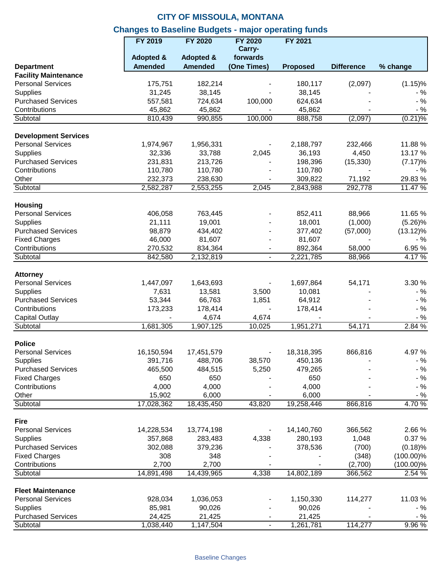|                                                  | FY 2019              | <b>FY 2020</b>       | <b>FY 2020</b> | FY 2021         |                   |              |
|--------------------------------------------------|----------------------|----------------------|----------------|-----------------|-------------------|--------------|
|                                                  |                      |                      | Carry-         |                 |                   |              |
|                                                  | <b>Adopted &amp;</b> | <b>Adopted &amp;</b> | forwards       |                 |                   |              |
| <b>Department</b><br><b>Facility Maintenance</b> | <b>Amended</b>       | <b>Amended</b>       | (One Times)    | <b>Proposed</b> | <b>Difference</b> | % change     |
| <b>Personal Services</b>                         | 175,751              | 182,214              |                | 180,117         | (2,097)           | $(1.15)\%$   |
| <b>Supplies</b>                                  | 31,245               | 38,145               |                | 38,145          |                   | $-$ %        |
| <b>Purchased Services</b>                        | 557,581              | 724,634              | 100,000        | 624,634         |                   | $-$ %        |
| Contributions                                    | 45,862               | 45,862               |                | 45,862          |                   | $-$ %        |
| Subtotal                                         | 810,439              | 990,855              | 100,000        | 888,758         | (2,097)           | $(0.21)\%$   |
|                                                  |                      |                      |                |                 |                   |              |
| <b>Development Services</b>                      |                      |                      |                |                 |                   |              |
| <b>Personal Services</b>                         | 1,974,967            | 1,956,331            |                | 2,188,797       | 232,466           | 11.88%       |
| Supplies                                         | 32,336               | 33,788               | 2,045          | 36,193          | 4,450             | 13.17 %      |
| <b>Purchased Services</b>                        | 231,831              | 213,726              |                | 198,396         | (15, 330)         | $(7.17)\%$   |
| Contributions                                    | 110,780              | 110,780              |                | 110,780         |                   | $-$ %        |
| Other                                            | 232,373              | 238,630              |                | 309,822         | 71,192            | 29.83%       |
| Subtotal                                         | 2,582,287            | 2,553,255            | 2,045          | 2,843,988       | 292,778           | 11.47 %      |
| <b>Housing</b>                                   |                      |                      |                |                 |                   |              |
| <b>Personal Services</b>                         | 406,058              | 763,445              |                | 852,411         | 88,966            | 11.65 %      |
| Supplies                                         | 21,111               | 19,001               |                | 18,001          | (1,000)           | $(5.26)\%$   |
| <b>Purchased Services</b>                        | 98,879               | 434,402              |                | 377,402         | (57,000)          | $(13.12)\%$  |
| <b>Fixed Charges</b>                             | 46,000               | 81,607               |                | 81,607          |                   | $-$ %        |
| Contributions                                    | 270,532              | 834,364              | $\blacksquare$ | 892,364         | 58,000            | 6.95%        |
| Subtotal                                         | 842,580              | 2,132,819            | $\blacksquare$ | 2,221,785       | 88,966            | 4.17%        |
|                                                  |                      |                      |                |                 |                   |              |
| <b>Attorney</b>                                  |                      |                      |                |                 |                   |              |
| <b>Personal Services</b>                         | 1,447,097            | 1,643,693            |                | 1,697,864       | 54,171            | 3.30 %       |
| Supplies                                         | 7,631                | 13,581               | 3,500          | 10,081          |                   | $-$ %        |
| <b>Purchased Services</b>                        | 53,344               | 66,763               | 1,851          | 64,912          |                   | $-$ %        |
| Contributions                                    | 173,233              | 178,414              |                | 178,414         |                   | $-$ %        |
| <b>Capital Outlay</b>                            |                      | 4,674                | 4,674          |                 |                   | $-$ %        |
| Subtotal                                         | 1,681,305            | 1,907,125            | 10,025         | 1,951,271       | 54,171            | 2.84%        |
| <b>Police</b>                                    |                      |                      |                |                 |                   |              |
| <b>Personal Services</b>                         | 16,150,594           | 17,451,579           |                | 18,318,395      | 866,816           | 4.97%        |
| Supplies                                         | 391,716              | 488,706              | 38,570         | 450,136         |                   | $-$ %        |
| <b>Purchased Services</b>                        | 465,500              | 484,515              | 5,250          | 479,265         |                   | $-$ %        |
| <b>Fixed Charges</b>                             | 650                  | 650                  |                | 650             |                   | $-$ %        |
| Contributions                                    | 4,000                | 4,000                |                | 4,000           |                   | $-$ %        |
| Other                                            | 15,902               | 6,000                |                | 6,000           |                   | $-$ %        |
| Subtotal                                         | 17,028,362           | 18,435,450           | 43,820         | 19,258,446      | 866,816           | 4.70 %       |
|                                                  |                      |                      |                |                 |                   |              |
| <b>Fire</b><br><b>Personal Services</b>          |                      |                      |                |                 |                   |              |
|                                                  | 14,228,534           | 13,774,198           |                | 14,140,760      | 366,562           | 2.66 %       |
| Supplies                                         | 357,868              | 283,483              | 4,338          | 280,193         | 1,048             | 0.37 %       |
| <b>Purchased Services</b>                        | 302,088              | 379,236              |                | 378,536         | (700)             | (0.18)%      |
| <b>Fixed Charges</b>                             | 308                  | 348                  |                |                 | (348)             | $(100.00)\%$ |
| Contributions                                    | 2,700                | 2,700                |                |                 | (2,700)           | $(100.00)\%$ |
| Subtotal                                         | 14,891,498           | 14,439,965           | 4,338          | 14,802,189      | 366,562           | 2.54 %       |
| <b>Fleet Maintenance</b>                         |                      |                      |                |                 |                   |              |
| <b>Personal Services</b>                         | 928,034              | 1,036,053            |                | 1,150,330       | 114,277           | 11.03%       |
| Supplies                                         | 85,981               | 90,026               |                | 90,026          |                   | $-$ %        |
| <b>Purchased Services</b>                        | 24,425               | 21,425               |                | 21,425          |                   | $-$ %        |
| Subtotal                                         | 1,038,440            | 1,147,504            | $\blacksquare$ | 1,261,781       | 114,277           | 9.96%        |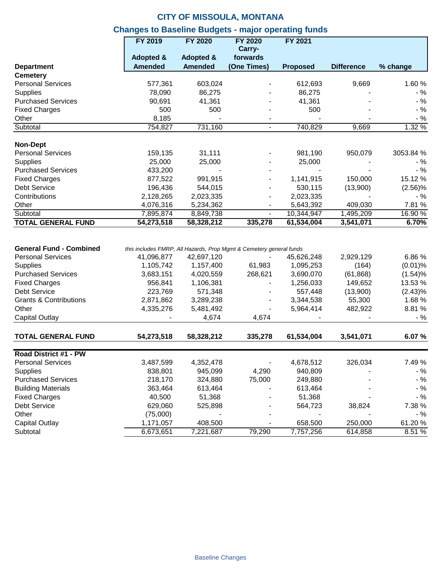|                                   | <b>FY 2019</b>       | <b>FY 2020</b>       | <b>FY 2020</b><br>Carry-                                            | FY 2021         |                   |            |
|-----------------------------------|----------------------|----------------------|---------------------------------------------------------------------|-----------------|-------------------|------------|
|                                   | <b>Adopted &amp;</b> | <b>Adopted &amp;</b> | forwards                                                            |                 |                   |            |
| <b>Department</b>                 | <b>Amended</b>       | <b>Amended</b>       | (One Times)                                                         | <b>Proposed</b> | <b>Difference</b> | % change   |
| <b>Cemetery</b>                   |                      |                      |                                                                     |                 |                   |            |
| <b>Personal Services</b>          | 577,361              | 603,024              |                                                                     | 612,693         | 9,669             | 1.60%      |
| <b>Supplies</b>                   | 78,090               | 86,275               |                                                                     | 86,275          |                   | $-$ %      |
| <b>Purchased Services</b>         | 90,691               | 41,361               |                                                                     | 41,361          |                   | $-$ %      |
| <b>Fixed Charges</b>              | 500                  | 500                  |                                                                     | 500             |                   | $-$ %      |
| Other                             | 8,185                |                      |                                                                     |                 |                   | $-$ %      |
| Subtotal                          | 754,827              | 731,160              | $\overline{\phantom{0}}$                                            | 740,829         | 9,669             | 1.32%      |
| <b>Non-Dept</b>                   |                      |                      |                                                                     |                 |                   |            |
| <b>Personal Services</b>          | 159,135              | 31,111               |                                                                     | 981,190         | 950,079           | 3053.84 %  |
| <b>Supplies</b>                   | 25,000               | 25,000               |                                                                     | 25,000          |                   | $-$ %      |
| <b>Purchased Services</b>         | 433,200              |                      |                                                                     |                 |                   | $-$ %      |
|                                   |                      |                      |                                                                     |                 |                   |            |
| <b>Fixed Charges</b>              | 877,522              | 991,915              |                                                                     | 1,141,915       | 150,000           | 15.12 %    |
| <b>Debt Service</b>               | 196,436              | 544,015              |                                                                     | 530,115         | (13,900)          | $(2.56)\%$ |
| Contributions                     | 2,128,265            | 2,023,335            |                                                                     | 2,023,335       |                   | $-$ %      |
| Other                             | 4,076,316            | 5,234,362            |                                                                     | 5,643,392       | 409,030           | 7.81 %     |
| Subtotal                          | 7,895,874            | 8,849,738            |                                                                     | 10,344,947      | 1,495,209         | 16.90 %    |
| <b>TOTAL GENERAL FUND</b>         | 54,273,518           | 58,328,212           | 335,278                                                             | 61,534,004      | 3,541,071         | 6.70%      |
| <b>General Fund - Combined</b>    |                      |                      | this includes FMRP, All Hazards, Prop Mgmt & Cemetery general funds |                 |                   |            |
| <b>Personal Services</b>          | 41,096,877           | 42,697,120           |                                                                     | 45,626,248      | 2,929,129         | 6.86%      |
| Supplies                          | 1,105,742            | 1,157,400            | 61,983                                                              | 1,095,253       | (164)             | $(0.01)$ % |
| <b>Purchased Services</b>         | 3,683,151            | 4,020,559            | 268,621                                                             | 3,690,070       | (61, 868)         | (1.54)%    |
| <b>Fixed Charges</b>              | 956,841              | 1,106,381            |                                                                     | 1,256,033       | 149,652           | 13.53 %    |
| <b>Debt Service</b>               | 223,769              | 571,348              |                                                                     | 557,448         | (13,900)          | $(2.43)\%$ |
| <b>Grants &amp; Contributions</b> | 2,871,862            | 3,289,238            |                                                                     | 3,344,538       | 55,300            | 1.68 %     |
| Other                             | 4,335,276            | 5,481,492            |                                                                     | 5,964,414       | 482,922           | 8.81%      |
| Capital Outlay                    |                      | 4,674                | 4,674                                                               |                 |                   | $-$ %      |
| <b>TOTAL GENERAL FUND</b>         | 54,273,518           | 58,328,212           | 335,278                                                             | 61,534,004      | 3,541,071         | 6.07%      |
| Road District #1 - PW             |                      |                      |                                                                     |                 |                   |            |
| <b>Personal Services</b>          | 3,487,599            | 4,352,478            |                                                                     | 4,678,512       | 326,034           | 7.49 %     |
| <b>Supplies</b>                   | 838,801              | 945,099              | 4,290                                                               | 940,809         |                   | $-$ %      |
| <b>Purchased Services</b>         | 218,170              | 324,880              | 75,000                                                              | 249,880         |                   | $-$ %      |
| <b>Building Materials</b>         |                      | 613,464              |                                                                     |                 |                   | - %        |
|                                   | 363,464              |                      |                                                                     | 613,464         |                   | $-$ %      |
| <b>Fixed Charges</b>              | 40,500               | 51,368               |                                                                     | 51,368          |                   |            |
| Debt Service                      | 629,060              | 525,898              |                                                                     | 564,723         | 38,824            | 7.38 %     |
| Other                             | (75,000)             |                      |                                                                     |                 |                   | - %        |
| <b>Capital Outlay</b>             | 1,171,057            | 408,500              |                                                                     | 658,500         | 250,000           | 61.20%     |
| Subtotal                          | 6,673,651            | 7,221,687            | 79,290                                                              | 7,757,256       | 614,858           | 8.51%      |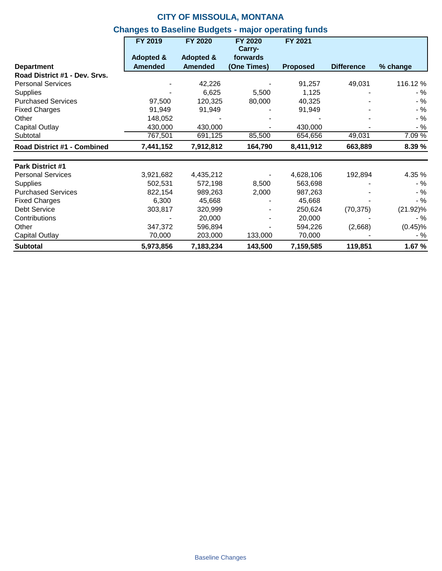|                               | FY 2019        | <b>FY 2020</b>       | FY 2020<br>Carry- | FY 2021         |                   |             |
|-------------------------------|----------------|----------------------|-------------------|-----------------|-------------------|-------------|
|                               | Adopted &      | <b>Adopted &amp;</b> | forwards          |                 |                   |             |
| <b>Department</b>             | <b>Amended</b> | <b>Amended</b>       | (One Times)       | <b>Proposed</b> | <b>Difference</b> | $%$ change  |
| Road District #1 - Dev. Srvs. |                |                      |                   |                 |                   |             |
| <b>Personal Services</b>      |                | 42,226               |                   | 91,257          | 49,031            | 116.12 %    |
| <b>Supplies</b>               |                | 6,625                | 5,500             | 1,125           |                   | - %         |
| <b>Purchased Services</b>     | 97,500         | 120,325              | 80,000            | 40,325          |                   | $-$ %       |
| <b>Fixed Charges</b>          | 91,949         | 91,949               |                   | 91,949          |                   | $-$ %       |
| Other                         | 148,052        |                      |                   |                 |                   | $-$ %       |
| Capital Outlay                | 430,000        | 430,000              |                   | 430,000         |                   | $-$ %       |
| Subtotal                      | 767,501        | 691,125              | 85,500            | 654,656         | 49,031            | 7.09 %      |
| Road District #1 - Combined   | 7,441,152      | 7,912,812            | 164,790           | 8,411,912       | 663,889           | 8.39 %      |
| <b>Park District #1</b>       |                |                      |                   |                 |                   |             |
| <b>Personal Services</b>      | 3,921,682      | 4,435,212            |                   | 4,628,106       | 192,894           | 4.35 %      |
| <b>Supplies</b>               | 502,531        | 572,198              | 8,500             | 563,698         |                   | - %         |
| <b>Purchased Services</b>     | 822,154        | 989,263              | 2,000             | 987,263         |                   | $-$ %       |
| <b>Fixed Charges</b>          | 6,300          | 45,668               |                   | 45,668          |                   | $-$ %       |
| Debt Service                  | 303,817        | 320,999              |                   | 250,624         | (70, 375)         | $(21.92)\%$ |
| Contributions                 |                | 20,000               |                   | 20,000          |                   | - %         |
| Other                         | 347,372        | 596,894              |                   | 594,226         | (2,668)           | $(0.45)\%$  |
| Capital Outlay                | 70,000         | 203,000              | 133,000           | 70,000          |                   | $-$ %       |
| <b>Subtotal</b>               | 5,973,856      | 7,183,234            | 143,500           | 7,159,585       | 119,851           | 1.67 %      |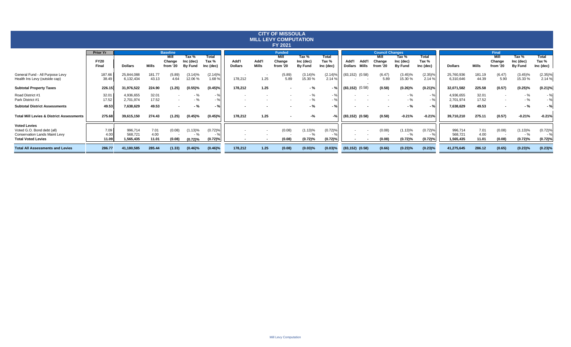| <b>CITY OF MISSOULA</b><br><b>MILL LEVY COMPUTATION</b><br>FY 2021                                                     |                                         |                                 |                       |                                               |                                      |                                    |                         |                |                                             |                                      |                                            |                         |                      |                                                      |                                      |                                    |                                 |                       |                                                      |                                      |                                 |
|------------------------------------------------------------------------------------------------------------------------|-----------------------------------------|---------------------------------|-----------------------|-----------------------------------------------|--------------------------------------|------------------------------------|-------------------------|----------------|---------------------------------------------|--------------------------------------|--------------------------------------------|-------------------------|----------------------|------------------------------------------------------|--------------------------------------|------------------------------------|---------------------------------|-----------------------|------------------------------------------------------|--------------------------------------|---------------------------------|
|                                                                                                                        | <b>Prior Yr</b><br><b>FY20</b><br>Final | <b>Dollars</b>                  | Mills                 | <b>Baseline</b><br>Mill<br>Change<br>from '20 | Tax %<br>Inc (dec)<br><b>By Fund</b> | <b>Total</b><br>Tax %<br>Inc (dec) | Add'l<br><b>Dollars</b> | Add'l<br>Mills | <b>Funded</b><br>Mill<br>Change<br>from '20 | Tax %<br>Inc (dec)<br><b>By Fund</b> | <b>Total</b><br>Tax %<br>Inc (dec)         | Add'l<br><b>Dollars</b> | Add'I<br>Mills       | <b>Council Changes</b><br>Mill<br>Change<br>from '20 | Tax %<br>Inc (dec)<br><b>By Fund</b> | <b>Total</b><br>Tax %<br>Inc (dec) | <b>Dollars</b>                  | Mills                 | Final<br>Mill<br>Change<br>from '20                  | Tax %<br>Inc (dec)<br><b>By Fund</b> | Total<br>Tax %<br>Inc (dec)     |
| General Fund - All Purpose Levy<br>Health Ins Levy (outside cap)                                                       | 187.66<br>38.49                         | 25,844,088<br>6,132,434         | 181.77<br>43.13       | (5.89)<br>4.64                                | (3.14)%<br>12.06%                    | (2.14)%<br>1.68%                   | 178,212                 | 1.25           | (5.89)<br>5.89                              | $(3.14)\%$<br>15.30 %                | $(2.14)$ <sup>9</sup><br>2.14 <sup>9</sup> |                         | $(83, 152)$ $(0.58)$ | (6.47)<br>5.89                                       | $(3.45)\%$<br>15.30 %                | $(2.35)\%$<br>2.14 %               | 25,760,936<br>6,310,646         | 181.19<br>44.39       | (6.47)<br>5.90                                       | $(3.45)\%$<br>15.33 %                | $(2.35)\%$<br>2.14 %            |
| <b>Subtotal Property Taxes</b>                                                                                         | 226.15                                  | 31,976,522                      | 224.90                | (1.25)                                        | (0.55)%                              | $(0.45)\%$                         | 178,212                 | 1.25           | $\sim$                                      | - %                                  | $-$ %                                      |                         | $(83, 152)$ $(0.58)$ | (0.58)                                               | $(0.26)\%$                           | $(0.21)\%$                         | 32,071,582                      | 225.58                | (0.57)                                               | $(0.25)\%$                           | $(0.21)\%$                      |
| Road District #1<br>Park District #1                                                                                   | 32.0<br>17.52                           | 4,936,655<br>2,701,974          | 32.01<br>17.52        | $\sim$<br>$\overline{\phantom{a}}$            | - %<br>- %                           | $-$ %<br>$-$ %                     |                         |                |                                             | - %<br>$-$ %                         | $-$ %<br>$-9/6$                            |                         |                      |                                                      | $-$ %<br>$-$ %                       | - %<br>$-$ %                       | 4,936,655<br>2,701,974          | 32.01<br>17.52        | $\overline{\phantom{a}}$<br>$\overline{\phantom{a}}$ | $-$ %<br>$-$ %                       | $-$ %<br>$-$ %                  |
| <b>Subtotal District Assessments</b>                                                                                   | 49.53                                   | 7,638,629                       | 49.53                 | $\overline{\phantom{a}}$                      | - %                                  | $-$ %                              |                         |                |                                             | - %                                  | $-$ %                                      |                         |                      |                                                      | - %                                  | $-$ %                              | 7,638,629                       | 49.53                 |                                                      | - %                                  | $-$ %                           |
| <b>Total Mill Levies &amp; District Assessments</b>                                                                    | 275.68                                  | 39,615,150                      | 274.43                | (1.25)                                        | $(0.45)\%$                           | $(0.45)\%$                         | 178,212                 | 1.25           | $\sim$                                      | -%                                   | -%                                         |                         | $(83, 152)$ $(0.58)$ | (0.58)                                               | $-0.21%$                             | $-0.21%$                           | 39,710,210                      | 275.11                | (0.57)                                               | $-0.21%$                             | $-0.21%$                        |
| <b>Voted Levies</b><br>Voted G.O. Bond debt (all)<br><b>Conservation Lands Maint Levy</b><br><b>Total Voted Levies</b> | 7.09<br>4.00<br>11.09                   | 996,714<br>568,721<br>1,565,435 | 7.01<br>4.00<br>11.01 | (0.08)<br>(0.08)                              | $(1.13)\%$<br>$-$ %<br>(0.72)%       | (0.72)%<br>$-$ %<br>(0.72)%        |                         |                | (0.08)<br>(0.08)                            | (1.13)%<br>- %<br>(0.72)%            | (0.72)%<br>(0.72)%                         |                         |                      | (0.08)<br>(0.08)                                     | (1.13)%<br>- %<br>(0.72)%            | (0.72)%<br>- %<br>(0.72)%          | 996,714<br>568,721<br>1,565,435 | 7.01<br>4.00<br>11.01 | (0.08)<br>(0.08)                                     | $(1.13)\%$<br>$-$ %<br>(0.72)%       | $(0.72)$ %<br>- %<br>$(0.72)$ % |
| <b>Total All Assessments and Levies</b>                                                                                | 286.77                                  | 41,180,585                      | 285.44                | (1.33)                                        | $(0.46)\%$                           | $(0.46)\%$                         | 178,212                 | 1.25           | (0.08)                                      | $(0.03)$ %                           | $(0.03)$ %                                 |                         | $(83, 152)$ $(0.58)$ | (0.66)                                               | $(0.23)\%$                           | (0.23)%                            | 41,275,645                      | 286.12                | (0.65)                                               | (0.23)%                              | (0.23)%                         |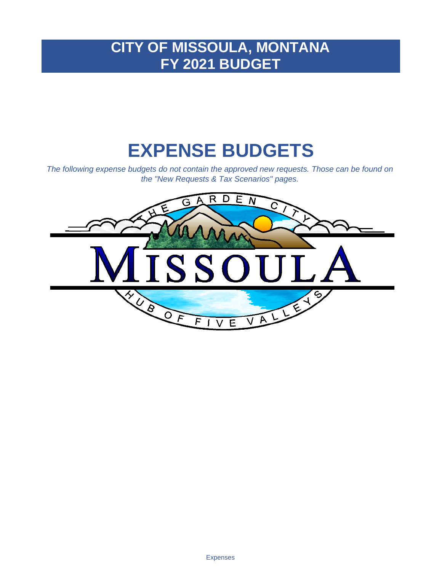# **CITY OF MISSOULA, MONTANA FY 2021 BUDGET**

# **EXPENSE BUDGETS**

*The following expense budgets do not contain the approved new requests. Those can be found on the "New Requests & Tax Scenarios" pages.*

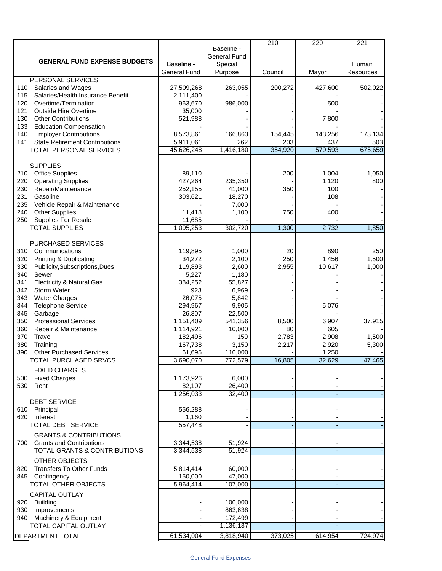|                                                |                     |                     | 210     | 220     | 221       |
|------------------------------------------------|---------------------|---------------------|---------|---------|-----------|
|                                                |                     | Baseline -          |         |         |           |
| <b>GENERAL FUND EXPENSE BUDGETS</b>            |                     | <b>General Fund</b> |         |         |           |
|                                                | Baseline -          | Special             |         |         | Human     |
|                                                | <b>General Fund</b> | Purpose             | Council | Mayor   | Resources |
| <b>PERSONAL SERVICES</b><br>Salaries and Wages | 27,509,268          |                     |         |         |           |
| 110                                            |                     | 263,055             | 200,272 | 427,600 | 502,022   |
| Salaries/Health Insurance Benefit<br>115       | 2,111,400           |                     |         |         |           |
| 120<br>Overtime/Termination                    | 963,670             | 986,000             |         | 500     |           |
| 121<br><b>Outside Hire Overtime</b>            | 35,000              |                     |         |         |           |
| 130<br><b>Other Contributions</b>              | 521,988             |                     |         | 7,800   |           |
| 133<br><b>Education Compensation</b>           |                     |                     |         |         |           |
| 140<br><b>Employer Contributions</b>           | 8,573,861           | 166,863             | 154,445 | 143,256 | 173,134   |
| 141<br><b>State Retirement Contributions</b>   | 5,911,061           | 262                 | 203     | 437     | 503       |
| TOTAL PERSONAL SERVICES                        | 45,626,248          | 1,416,180           | 354,920 | 579,593 | 675,659   |
|                                                |                     |                     |         |         |           |
| <b>SUPPLIES</b>                                |                     |                     |         |         |           |
| <b>Office Supplies</b><br>210                  | 89,110              |                     | 200     | 1,004   | 1,050     |
| 220<br><b>Operating Supplies</b>               | 427,264             | 235,350             |         | 1,120   | 800       |
| 230<br>Repair/Maintenance                      | 252,155             | 41,000              | 350     | 100     |           |
| 231<br>Gasoline                                | 303,621             | 18,270              |         | 108     |           |
| 235<br>Vehicle Repair & Maintenance            |                     | 7,000               |         |         |           |
| 240<br><b>Other Supplies</b>                   | 11,418              | 1,100               | 750     | 400     |           |
| 250<br><b>Supplies For Resale</b>              | 11,685              |                     |         |         |           |
| <b>TOTAL SUPPLIES</b>                          | 1,095,253           | 302,720             | 1,300   | 2,732   | 1,850     |
|                                                |                     |                     |         |         |           |
| <b>PURCHASED SERVICES</b>                      |                     |                     |         |         |           |
| 310<br>Communications                          | 119,895             | 1,000               | 20      | 890     | 250       |
| <b>Printing &amp; Duplicating</b><br>320       | 34,272              | 2,100               | 250     | 1,456   | 1,500     |
| 330<br>Publicity, Subscriptions, Dues          | 119,893             | 2,600               | 2,955   | 10,617  | 1,000     |
| Sewer<br>340                                   | 5,227               | 1,180               |         |         |           |
| 341<br><b>Electricity &amp; Natural Gas</b>    | 384,252             | 55,827              |         |         |           |
| 342<br><b>Storm Water</b>                      | 923                 | 6,969               |         |         |           |
| 343<br><b>Water Charges</b>                    | 26,075              | 5,842               |         |         |           |
| 344<br><b>Telephone Service</b>                | 294,967             | 9,905               |         | 5,076   |           |
| 345<br>Garbage                                 | 26,307              | 22,500              |         |         |           |
| 350<br><b>Professional Services</b>            | 1,151,409           | 541,356             | 8,500   | 6,907   | 37,915    |
| 360<br>Repair & Maintenance                    | 1,114,921           | 10,000              | 80      | 605     |           |
| 370<br>Travel                                  | 182,496             | 150                 | 2,783   | 2,908   | 1,500     |
| 380<br>Training                                | 167,738             | 3,150               | 2,217   | 2,920   | 5,300     |
| <b>Other Purchased Services</b><br>390         | 61,695              | 110,000             |         | 1,250   |           |
| TOTAL PURCHASED SRVCS                          | 3,690,070           | 772,579             | 16,805  | 32,629  | 47,465    |
| <b>FIXED CHARGES</b>                           |                     |                     |         |         |           |
| <b>Fixed Charges</b>                           |                     | 6,000               |         |         |           |
| 500                                            | 1,173,926           |                     |         |         |           |
| 530<br>Rent                                    | 82,107              | 26,400<br>32,400    |         |         |           |
|                                                | 1,256,033           |                     |         |         |           |
| <b>DEBT SERVICE</b>                            |                     |                     |         |         |           |
| 610 Principal                                  | 556,288             |                     |         |         |           |
| 620<br>Interest                                | 1,160               |                     |         |         |           |
| <b>TOTAL DEBT SERVICE</b>                      | 557,448             |                     |         |         |           |
| <b>GRANTS &amp; CONTRIBUTIONS</b>              |                     |                     |         |         |           |
| <b>Grants and Contributions</b><br>700         | 3,344,538           | 51,924              |         |         |           |
| TOTAL GRANTS & CONTRIBUTIONS                   | 3,344,538           | 51,924              |         |         |           |
| OTHER OBJECTS                                  |                     |                     |         |         |           |
| <b>Transfers To Other Funds</b><br>820         | 5,814,414           | 60,000              |         |         |           |
| 845 Contingency                                | 150,000             | 47,000              |         |         |           |
| TOTAL OTHER OBJECTS                            | 5,964,414           | 107,000             |         |         |           |
|                                                |                     |                     |         |         |           |
| <b>CAPITAL OUTLAY</b>                          |                     |                     |         |         |           |
| Building<br>920                                |                     | 100,000             |         |         |           |
| Improvements<br>930                            |                     | 863,638             |         |         |           |
| Machinery & Equipment<br>940                   |                     | 172,499             |         |         |           |
| <b>TOTAL CAPITAL OUTLAY</b>                    |                     | 1,136,137           |         |         |           |
| DEPARTMENT TOTAL                               | 61,534,004          | 3,818,940           | 373,025 | 614,954 | 724,974   |
|                                                |                     |                     |         |         |           |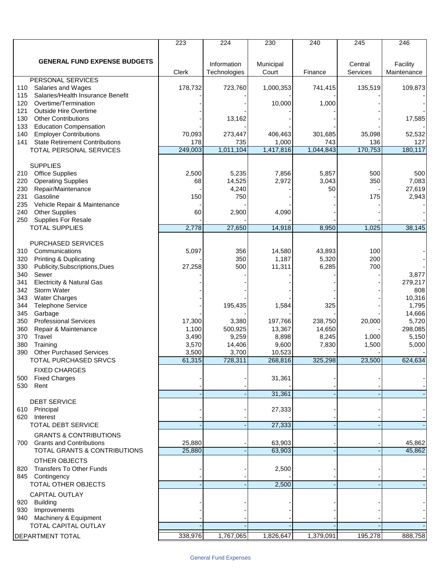|                                              | 223     | $\overline{224}$ | 230       | 240       | 245      | 246         |
|----------------------------------------------|---------|------------------|-----------|-----------|----------|-------------|
|                                              |         |                  |           |           |          |             |
| <b>GENERAL FUND EXPENSE BUDGETS</b>          |         |                  |           |           |          |             |
|                                              |         | Information      | Municipal |           | Central  | Facility    |
| PERSONAL SERVICES                            | Clerk   | Technologies     | Court     | Finance   | Services | Maintenance |
| 110<br>Salaries and Wages                    | 178,732 | 723,760          | 1,000,353 | 741,415   | 135,519  | 109,873     |
| Salaries/Health Insurance Benefit<br>115     |         |                  |           |           |          |             |
| 120<br>Overtime/Termination                  |         |                  | 10,000    | 1,000     |          |             |
| <b>Outside Hire Overtime</b><br>121          |         |                  |           |           |          |             |
| 130<br><b>Other Contributions</b>            |         | 13,162           |           |           |          | 17,585      |
| 133<br><b>Education Compensation</b>         |         |                  |           |           |          |             |
| 140<br><b>Employer Contributions</b>         | 70,093  | 273,447          | 406,463   | 301,685   | 35,098   | 52,532      |
| 141<br><b>State Retirement Contributions</b> | 178     | 735              | 1,000     | 743       | 136      | 127         |
| TOTAL PERSONAL SERVICES                      | 249,003 | 1,011,104        | 1,417,816 | 1,044,843 | 170,753  | 180,117     |
|                                              |         |                  |           |           |          |             |
| <b>SUPPLIES</b>                              |         |                  |           |           |          |             |
| <b>Office Supplies</b><br>210                | 2,500   | 5,235            | 7,856     | 5,857     | 500      | 500         |
| 220<br><b>Operating Supplies</b>             | 68      | 14,525           | 2,972     | 3,043     | 350      | 7,083       |
| 230<br>Repair/Maintenance                    |         | 4,240            |           | 50        |          | 27,619      |
| 231<br>Gasoline                              | 150     | 750              |           |           | 175      | 2,943       |
| 235<br>Vehicle Repair & Maintenance          |         |                  |           |           |          |             |
| 240<br><b>Other Supplies</b>                 | 60      | 2,900            | 4,090     |           |          |             |
| 250<br>Supplies For Resale                   |         |                  |           |           |          |             |
| <b>TOTAL SUPPLIES</b>                        | 2,778   | 27,650           | 14,918    | 8,950     | 1,025    | 38,145      |
|                                              |         |                  |           |           |          |             |
| <b>PURCHASED SERVICES</b>                    |         |                  |           |           |          |             |
| 310<br>Communications                        | 5,097   | 356              | 14,580    | 43,893    | 100      |             |
| <b>Printing &amp; Duplicating</b><br>320     |         | 350              | 1,187     | 5,320     | 200      |             |
| 330<br>Publicity, Subscriptions, Dues        | 27,258  | 500              | 11,311    | 6,285     | 700      |             |
| 340<br>Sewer                                 |         |                  |           |           |          | 3,877       |
| 341<br><b>Electricity &amp; Natural Gas</b>  |         |                  |           |           |          | 279,217     |
| 342<br>Storm Water                           |         |                  |           |           |          | 808         |
| 343<br><b>Water Charges</b>                  |         |                  |           |           |          | 10,316      |
| 344<br><b>Telephone Service</b>              |         | 195,435          | 1,584     | 325       |          | 1,795       |
| 345<br>Garbage                               |         |                  |           |           |          | 14,666      |
| 350<br><b>Professional Services</b>          | 17,300  | 3,380            | 197,766   | 238,750   | 20,000   | 5,720       |
| 360<br>Repair & Maintenance                  | 1,100   | 500,925          | 13,367    | 14,650    |          | 298,085     |
| 370<br>Travel                                | 3,490   | 9,259            | 8,898     | 8,245     | 1,000    | 5,150       |
| 380<br>Training                              | 3,570   | 14,406           | 9,600     | 7,830     | 1,500    | 5,000       |
| 390<br><b>Other Purchased Services</b>       | 3,500   | 3,700            | 10,523    |           |          |             |
| <b>TOTAL PURCHASED SRVCS</b>                 | 61,315  | 728,311          | 268,816   | 325,298   | 23,500   | 624,634     |
| <b>FIXED CHARGES</b>                         |         |                  |           |           |          |             |
| <b>Fixed Charges</b><br>500                  |         |                  | 31,361    |           |          |             |
| 530 Rent                                     |         |                  |           |           |          |             |
|                                              |         |                  | 31,361    |           |          |             |
| <b>DEBT SERVICE</b>                          |         |                  |           |           |          |             |
| 610 Principal                                |         |                  | 27,333    |           |          |             |
| 620 Interest                                 |         |                  |           |           |          |             |
| <b>TOTAL DEBT SERVICE</b>                    |         |                  | 27,333    |           |          |             |
| <b>GRANTS &amp; CONTRIBUTIONS</b>            |         |                  |           |           |          |             |
| <b>Grants and Contributions</b><br>700       | 25,880  |                  | 63,903    |           |          | 45,862      |
| <b>TOTAL GRANTS &amp; CONTRIBUTIONS</b>      | 25,880  |                  | 63,903    |           |          | 45,862      |
|                                              |         |                  |           |           |          |             |
| <b>OTHER OBJECTS</b>                         |         |                  |           |           |          |             |
| 820 Transfers To Other Funds                 |         |                  | 2,500     |           |          |             |
| 845 Contingency<br>TOTAL OTHER OBJECTS       |         |                  | 2,500     |           |          |             |
|                                              |         |                  |           |           |          |             |
| <b>CAPITAL OUTLAY</b>                        |         |                  |           |           |          |             |
| 920 Building                                 |         |                  |           |           |          |             |
| 930 Improvements                             |         |                  |           |           |          |             |
| 940 Machinery & Equipment                    |         |                  |           |           |          |             |
| TOTAL CAPITAL OUTLAY                         |         |                  |           |           |          |             |
| <b>DEPARTMENT TOTAL</b>                      | 338,976 | 1,767,065        | 1,826,647 | 1,379,091 | 195,278  | 888,758     |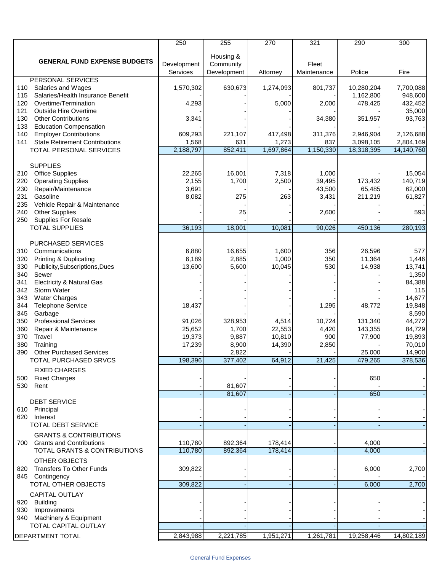|                                                                           | 250             | 255         | 270       | 321         | 290        | 300        |
|---------------------------------------------------------------------------|-----------------|-------------|-----------|-------------|------------|------------|
|                                                                           |                 | Housing &   |           |             |            |            |
| <b>GENERAL FUND EXPENSE BUDGETS</b>                                       | Development     | Community   |           | Fleet       |            |            |
|                                                                           | <b>Services</b> | Development | Attorney  | Maintenance | Police     | Fire       |
| PERSONAL SERVICES                                                         |                 |             |           |             |            |            |
| Salaries and Wages<br>110                                                 | 1,570,302       | 630,673     | 1,274,093 | 801,737     | 10,280,204 | 7,700,088  |
| Salaries/Health Insurance Benefit<br>115                                  |                 |             |           |             | 1,162,800  | 948,600    |
| 120<br>Overtime/Termination                                               | 4,293           |             | 5,000     | 2,000       | 478,425    | 432,452    |
| <b>Outside Hire Overtime</b><br>121                                       |                 |             |           |             |            | 35,000     |
| 130<br><b>Other Contributions</b><br>133<br><b>Education Compensation</b> | 3,341           |             |           | 34,380      | 351,957    | 93,763     |
| <b>Employer Contributions</b><br>140                                      | 609,293         | 221,107     | 417,498   | 311,376     | 2,946,904  | 2,126,688  |
| 141<br><b>State Retirement Contributions</b>                              | 1,568           | 631         | 1,273     | 837         | 3,098,105  | 2,804,169  |
| TOTAL PERSONAL SERVICES                                                   | 2,188,797       | 852,411     | 1,697,864 | 1,150,330   | 18,318,395 | 14,140,760 |
|                                                                           |                 |             |           |             |            |            |
| <b>SUPPLIES</b>                                                           |                 |             |           |             |            |            |
| <b>Office Supplies</b><br>210                                             | 22,265          | 16,001      | 7,318     | 1,000       |            | 15,054     |
| 220<br><b>Operating Supplies</b>                                          | 2,155           | 1,700       | 2,500     | 39,495      | 173,432    | 140,719    |
| 230<br>Repair/Maintenance                                                 | 3,691           |             |           | 43,500      | 65,485     | 62,000     |
| 231<br>Gasoline                                                           | 8,082           | 275         | 263       | 3,431       | 211,219    | 61,827     |
| 235<br>Vehicle Repair & Maintenance                                       |                 |             |           |             |            |            |
| 240<br><b>Other Supplies</b>                                              |                 | 25          |           | 2,600       |            | 593        |
| 250<br>Supplies For Resale                                                |                 |             |           |             |            |            |
| <b>TOTAL SUPPLIES</b>                                                     | 36,193          | 18,001      | 10,081    | 90,026      | 450,136    | 280,193    |
| <b>PURCHASED SERVICES</b>                                                 |                 |             |           |             |            |            |
| 310<br>Communications                                                     | 6,880           | 16,655      | 1,600     | 356         | 26,596     | 577        |
| <b>Printing &amp; Duplicating</b><br>320                                  | 6,189           | 2,885       | 1,000     | 350         | 11,364     | 1,446      |
| 330<br>Publicity, Subscriptions, Dues                                     | 13,600          | 5,600       | 10,045    | 530         | 14,938     | 13,741     |
| 340<br>Sewer                                                              |                 |             |           |             |            | 1,350      |
| 341<br><b>Electricity &amp; Natural Gas</b>                               |                 |             |           |             |            | 84,388     |
| 342<br>Storm Water                                                        |                 |             |           |             |            | 115        |
| 343<br><b>Water Charges</b>                                               |                 |             |           |             |            | 14,677     |
| 344<br><b>Telephone Service</b>                                           | 18,437          |             |           | 1,295       | 48,772     | 19,848     |
| 345<br>Garbage                                                            |                 |             |           |             |            | 8,590      |
| 350<br><b>Professional Services</b>                                       | 91,026          | 328,953     | 4,514     | 10,724      | 131,340    | 44,272     |
| 360<br>Repair & Maintenance                                               | 25,652          | 1,700       | 22,553    | 4,420       | 143,355    | 84,729     |
| 370<br>Travel                                                             | 19,373          | 9,887       | 10,810    | 900         | 77,900     | 19,893     |
| 380<br>Training                                                           | 17,239          | 8,900       | 14,390    | 2,850       |            | 70,010     |
| 390<br><b>Other Purchased Services</b>                                    |                 | 2,822       |           |             | 25,000     | 14,900     |
| <b>TOTAL PURCHASED SRVCS</b>                                              | 198,396         | 377,402     | 64,912    | 21,425      | 479,265    | 378,536    |
| <b>FIXED CHARGES</b>                                                      |                 |             |           |             |            |            |
| <b>Fixed Charges</b><br>500                                               |                 |             |           |             | 650        |            |
| 530<br>Rent                                                               |                 | 81,607      |           |             |            |            |
| <b>DEBT SERVICE</b>                                                       |                 | 81,607      |           |             | 650        |            |
| 610 Principal                                                             |                 |             |           |             |            |            |
| 620 Interest                                                              |                 |             |           |             |            |            |
| <b>TOTAL DEBT SERVICE</b>                                                 |                 |             |           |             |            |            |
| <b>GRANTS &amp; CONTRIBUTIONS</b>                                         |                 |             |           |             |            |            |
| <b>Grants and Contributions</b><br>700                                    | 110,780         | 892,364     | 178,414   |             | 4,000      |            |
| <b>TOTAL GRANTS &amp; CONTRIBUTIONS</b>                                   | 110,780         | 892,364     | 178,414   |             | 4,000      |            |
|                                                                           |                 |             |           |             |            |            |
| OTHER OBJECTS<br><b>Transfers To Other Funds</b>                          |                 |             |           |             |            |            |
| 820                                                                       | 309,822         |             |           |             | 6,000      | 2,700      |
| 845 Contingency<br>TOTAL OTHER OBJECTS                                    | 309,822         |             |           |             | 6,000      | 2,700      |
|                                                                           |                 |             |           |             |            |            |
| <b>CAPITAL OUTLAY</b><br>920 Building                                     |                 |             |           |             |            |            |
| 930 Improvements                                                          |                 |             |           |             |            |            |
| 940 Machinery & Equipment                                                 |                 |             |           |             |            |            |
| TOTAL CAPITAL OUTLAY                                                      |                 |             |           |             |            |            |
|                                                                           |                 |             |           |             |            |            |
| DEPARTMENT TOTAL                                                          | 2,843,988       | 2,221,785   | 1,951,271 | 1,261,781   | 19,258,446 | 14,802,189 |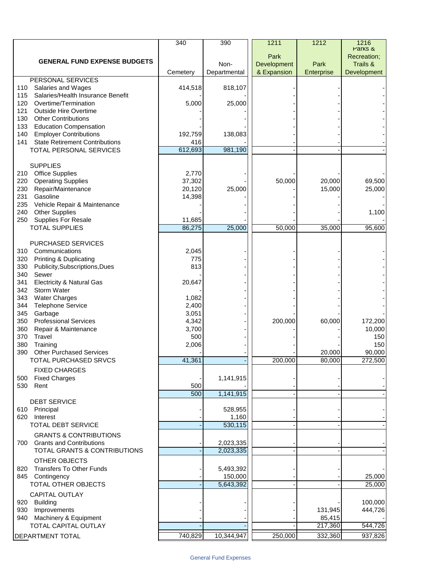|                                                                                   | 340             | 390          | 1211        | 1212             | 1216                   |
|-----------------------------------------------------------------------------------|-----------------|--------------|-------------|------------------|------------------------|
|                                                                                   |                 |              | Park        |                  | Parks &<br>Recreation; |
| <b>GENERAL FUND EXPENSE BUDGETS</b>                                               |                 | Non-         | Development | Park             | Trails &               |
|                                                                                   | Cemetery        | Departmental | & Expansion | Enterprise       | Development            |
| PERSONAL SERVICES                                                                 |                 |              |             |                  |                        |
| Salaries and Wages<br>110                                                         | 414,518         | 818,107      |             |                  |                        |
| Salaries/Health Insurance Benefit<br>115                                          |                 |              |             |                  |                        |
| 120<br>Overtime/Termination<br>121<br><b>Outside Hire Overtime</b>                | 5,000           | 25,000       |             |                  |                        |
| 130<br><b>Other Contributions</b>                                                 |                 |              |             |                  |                        |
| <b>Education Compensation</b><br>133                                              |                 |              |             |                  |                        |
| <b>Employer Contributions</b><br>140                                              | 192,759         | 138,083      |             |                  |                        |
| 141<br><b>State Retirement Contributions</b>                                      | 416             |              |             |                  |                        |
| TOTAL PERSONAL SERVICES                                                           | 612,693         | 981,190      |             |                  |                        |
|                                                                                   |                 |              |             |                  |                        |
| <b>SUPPLIES</b>                                                                   |                 |              |             |                  |                        |
| <b>Office Supplies</b><br>210<br>220<br><b>Operating Supplies</b>                 | 2,770<br>37,302 |              | 50,000      | 20,000           | 69,500                 |
| 230<br>Repair/Maintenance                                                         | 20,120          | 25,000       |             | 15,000           | 25,000                 |
| 231<br>Gasoline                                                                   | 14,398          |              |             |                  |                        |
| 235<br>Vehicle Repair & Maintenance                                               |                 |              |             |                  |                        |
| <b>Other Supplies</b><br>240                                                      |                 |              |             |                  | 1,100                  |
| 250<br>Supplies For Resale                                                        | 11,685          |              |             |                  |                        |
| <b>TOTAL SUPPLIES</b>                                                             | 86,275          | 25,000       | 50,000      | 35,000           | 95,600                 |
|                                                                                   |                 |              |             |                  |                        |
| PURCHASED SERVICES                                                                |                 |              |             |                  |                        |
| 310<br>Communications                                                             | 2,045           |              |             |                  |                        |
| <b>Printing &amp; Duplicating</b><br>320<br>330<br>Publicity, Subscriptions, Dues | 775<br>813      |              |             |                  |                        |
| 340<br>Sewer                                                                      |                 |              |             |                  |                        |
| <b>Electricity &amp; Natural Gas</b><br>341                                       | 20,647          |              |             |                  |                        |
| 342<br>Storm Water                                                                |                 |              |             |                  |                        |
| 343<br><b>Water Charges</b>                                                       | 1,082           |              |             |                  |                        |
| 344<br><b>Telephone Service</b>                                                   | 2,400           |              |             |                  |                        |
| 345<br>Garbage                                                                    | 3,051           |              |             |                  |                        |
| <b>Professional Services</b><br>350                                               | 4,342           |              | 200,000     | 60,000           | 172,200                |
| 360<br>Repair & Maintenance                                                       | 3,700           |              |             |                  | 10,000                 |
| 370<br>Travel                                                                     | 500             |              |             |                  | 150                    |
| 380<br>Training<br><b>Other Purchased Services</b>                                | 2,006           |              |             |                  | 150                    |
| 390<br>TOTAL PURCHASED SRVCS                                                      | 41,361          |              | 200,000     | 20,000<br>80,000 | 90,000<br>272,500      |
|                                                                                   |                 |              |             |                  |                        |
| <b>FIXED CHARGES</b>                                                              |                 |              |             |                  |                        |
| <b>Fixed Charges</b><br>500<br>530<br>Rent                                        | 500             | 1,141,915    |             |                  |                        |
|                                                                                   | 500             | 1,141,915    |             |                  |                        |
| <b>DEBT SERVICE</b>                                                               |                 |              |             |                  |                        |
| 610 Principal                                                                     |                 | 528,955      |             |                  |                        |
| 620<br>Interest                                                                   |                 | 1,160        |             |                  |                        |
| <b>TOTAL DEBT SERVICE</b>                                                         |                 | 530,115      |             |                  |                        |
| <b>GRANTS &amp; CONTRIBUTIONS</b>                                                 |                 |              |             |                  |                        |
| <b>Grants and Contributions</b><br>700                                            |                 | 2,023,335    |             |                  |                        |
| TOTAL GRANTS & CONTRIBUTIONS                                                      |                 | 2,023,335    |             |                  |                        |
| <b>OTHER OBJECTS</b>                                                              |                 |              |             |                  |                        |
| <b>Transfers To Other Funds</b><br>820                                            |                 | 5,493,392    |             |                  |                        |
| 845<br>Contingency                                                                |                 | 150,000      |             |                  | 25,000                 |
| TOTAL OTHER OBJECTS                                                               |                 | 5,643,392    |             |                  | 25,000                 |
| <b>CAPITAL OUTLAY</b>                                                             |                 |              |             |                  |                        |
| 920<br><b>Building</b>                                                            |                 |              |             |                  | 100,000                |
| 930<br>Improvements                                                               |                 |              |             | 131,945          | 444,726                |
| Machinery & Equipment<br>940                                                      |                 |              |             | 85,415           |                        |
| TOTAL CAPITAL OUTLAY                                                              |                 |              |             | 217,360          | 544,726                |
| DEPARTMENT TOTAL                                                                  | 740,829         | 10,344,947   | 250,000     | 332,360          | 937,826                |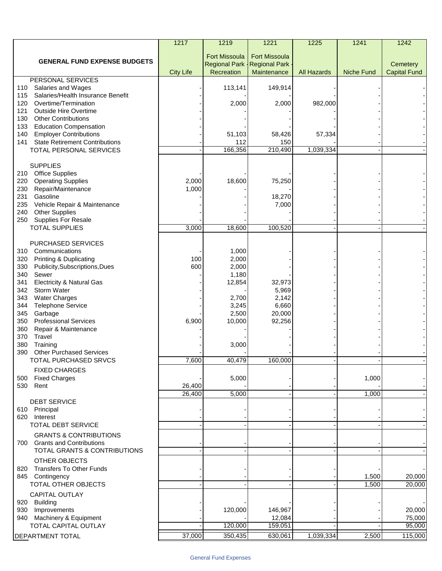|                                                                                      | 1217             | 1219                 | 1221                 | 1225               | 1241              | 1242                |
|--------------------------------------------------------------------------------------|------------------|----------------------|----------------------|--------------------|-------------------|---------------------|
|                                                                                      |                  | <b>Fort Missoula</b> | <b>Fort Missoula</b> |                    |                   |                     |
| <b>GENERAL FUND EXPENSE BUDGETS</b>                                                  |                  | <b>Regional Park</b> | <b>Regional Park</b> |                    |                   | Cemetery            |
|                                                                                      | <b>City Life</b> | Recreation           | Maintenance          | <b>All Hazards</b> | <b>Niche Fund</b> | <b>Capital Fund</b> |
| <b>PERSONAL SERVICES</b><br>110                                                      |                  |                      |                      |                    |                   |                     |
| Salaries and Wages<br>Salaries/Health Insurance Benefit<br>115                       |                  | 113,141              | 149,914              |                    |                   |                     |
| Overtime/Termination<br>120                                                          |                  | 2,000                | 2,000                | 982,000            |                   |                     |
| <b>Outside Hire Overtime</b><br>121                                                  |                  |                      |                      |                    |                   |                     |
| <b>Other Contributions</b><br>130                                                    |                  |                      |                      |                    |                   |                     |
| <b>Education Compensation</b><br>133                                                 |                  |                      |                      |                    |                   |                     |
| <b>Employer Contributions</b><br>140<br><b>State Retirement Contributions</b><br>141 |                  | 51,103<br>112        | 58,426<br>150        | 57,334             |                   |                     |
| TOTAL PERSONAL SERVICES                                                              |                  | 166,356              | 210,490              | 1,039,334          |                   |                     |
|                                                                                      |                  |                      |                      |                    |                   |                     |
| <b>SUPPLIES</b>                                                                      |                  |                      |                      |                    |                   |                     |
| 210 Office Supplies                                                                  |                  |                      |                      |                    |                   |                     |
| 220<br><b>Operating Supplies</b>                                                     | 2,000            | 18,600               | 75,250               |                    |                   |                     |
| Repair/Maintenance<br>230<br>231<br>Gasoline                                         | 1,000            |                      | 18,270               |                    |                   |                     |
| Vehicle Repair & Maintenance<br>235                                                  |                  |                      | 7,000                |                    |                   |                     |
| <b>Other Supplies</b><br>240                                                         |                  |                      |                      |                    |                   |                     |
| Supplies For Resale<br>250                                                           |                  |                      |                      |                    |                   |                     |
| <b>TOTAL SUPPLIES</b>                                                                | 3,000            | 18,600               | 100,520              |                    |                   |                     |
|                                                                                      |                  |                      |                      |                    |                   |                     |
| PURCHASED SERVICES<br>310 Communications                                             |                  | 1,000                |                      |                    |                   |                     |
| <b>Printing &amp; Duplicating</b><br>320                                             | 100              | 2,000                |                      |                    |                   |                     |
| Publicity, Subscriptions, Dues<br>330                                                | 600              | 2,000                |                      |                    |                   |                     |
| 340<br>Sewer                                                                         |                  | 1,180                |                      |                    |                   |                     |
| <b>Electricity &amp; Natural Gas</b><br>341                                          |                  | 12,854               | 32,973               |                    |                   |                     |
| <b>Storm Water</b><br>342                                                            |                  |                      | 5,969                |                    |                   |                     |
| <b>Water Charges</b><br>343<br><b>Telephone Service</b><br>344                       |                  | 2,700<br>3,245       | 2,142<br>6,660       |                    |                   |                     |
| 345<br>Garbage                                                                       |                  | 2,500                | 20,000               |                    |                   |                     |
| <b>Professional Services</b><br>350                                                  | 6,900            | 10,000               | 92,256               |                    |                   |                     |
| Repair & Maintenance<br>360                                                          |                  |                      |                      |                    |                   |                     |
| Travel<br>370                                                                        |                  |                      |                      |                    |                   |                     |
| Training<br>380<br><b>Other Purchased Services</b><br>390                            |                  | 3,000                |                      |                    |                   |                     |
| TOTAL PURCHASED SRVCS                                                                | 7,600            | 40,479               | 160.000              |                    |                   |                     |
| <b>FIXED CHARGES</b>                                                                 |                  |                      |                      |                    |                   |                     |
| 500 Fixed Charges                                                                    |                  | 5,000                |                      |                    | 1,000             |                     |
| 530 Rent                                                                             | 26,400           |                      |                      |                    |                   |                     |
|                                                                                      | 26,400           | 5,000                |                      |                    | 1,000             |                     |
| <b>DEBT SERVICE</b>                                                                  |                  |                      |                      |                    |                   |                     |
| 610 Principal<br>620 Interest                                                        |                  |                      |                      |                    |                   |                     |
| <b>TOTAL DEBT SERVICE</b>                                                            |                  |                      |                      |                    |                   |                     |
| <b>GRANTS &amp; CONTRIBUTIONS</b>                                                    |                  |                      |                      |                    |                   |                     |
| 700 Grants and Contributions                                                         |                  |                      |                      |                    |                   |                     |
| TOTAL GRANTS & CONTRIBUTIONS                                                         |                  |                      |                      |                    |                   |                     |
| OTHER OBJECTS                                                                        |                  |                      |                      |                    |                   |                     |
| 820 Transfers To Other Funds                                                         |                  |                      |                      |                    |                   |                     |
| 845 Contingency                                                                      |                  |                      |                      |                    | 1,500             | 20,000              |
| TOTAL OTHER OBJECTS                                                                  |                  |                      |                      |                    | 1,500             | 20,000              |
| <b>CAPITAL OUTLAY</b>                                                                |                  |                      |                      |                    |                   |                     |
| 920 Building                                                                         |                  |                      |                      |                    |                   |                     |
| 930 Improvements<br>940 Machinery & Equipment                                        |                  | 120,000              | 146,967<br>12,084    |                    |                   | 20,000<br>75,000    |
| TOTAL CAPITAL OUTLAY                                                                 |                  | 120,000              | 159,051              |                    |                   | 95,000              |
| DEPARTMENT TOTAL                                                                     | 37,000           | 350,435              | 630,061              | 1,039,334          | 2,500             | 115,000             |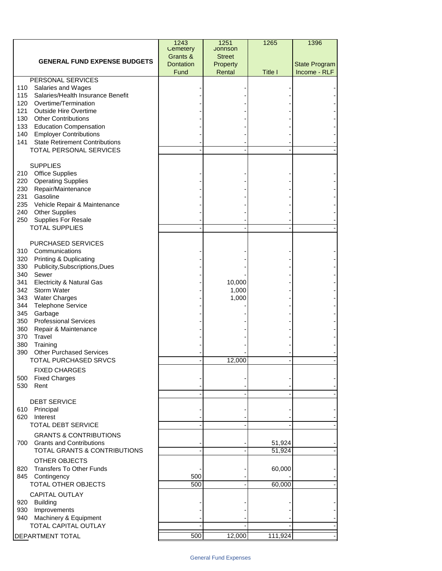|                                                                    | 1243<br>Cemetery | 1251<br><b>Jonnson</b> | 1265    | 1396                 |
|--------------------------------------------------------------------|------------------|------------------------|---------|----------------------|
|                                                                    | Grants &         | <b>Street</b>          |         |                      |
| <b>GENERAL FUND EXPENSE BUDGETS</b>                                | Dontation        | Property               |         | <b>State Program</b> |
|                                                                    | Fund             | Rental                 | Title I | Income - RLF         |
| <b>PERSONAL SERVICES</b><br>110<br>Salaries and Wages              |                  |                        |         |                      |
| Salaries/Health Insurance Benefit<br>115                           |                  |                        |         |                      |
| Overtime/Termination<br>120                                        |                  |                        |         |                      |
| 121<br><b>Outside Hire Overtime</b>                                |                  |                        |         |                      |
| 130 Other Contributions                                            |                  |                        |         |                      |
| 133 Education Compensation<br><b>Employer Contributions</b><br>140 |                  |                        |         |                      |
| <b>State Retirement Contributions</b><br>141                       |                  |                        |         |                      |
| TOTAL PERSONAL SERVICES                                            |                  |                        |         |                      |
|                                                                    |                  |                        |         |                      |
| <b>SUPPLIES</b>                                                    |                  |                        |         |                      |
| <b>Office Supplies</b><br>210<br>220                               |                  |                        |         |                      |
| <b>Operating Supplies</b><br>230<br>Repair/Maintenance             |                  |                        |         |                      |
| 231<br>Gasoline                                                    |                  |                        |         |                      |
| 235 Vehicle Repair & Maintenance                                   |                  |                        |         |                      |
| 240<br><b>Other Supplies</b>                                       |                  |                        |         |                      |
| 250<br><b>Supplies For Resale</b>                                  |                  |                        |         |                      |
| <b>TOTAL SUPPLIES</b>                                              |                  |                        |         |                      |
| <b>PURCHASED SERVICES</b>                                          |                  |                        |         |                      |
| 310 Communications                                                 |                  |                        |         |                      |
| 320<br><b>Printing &amp; Duplicating</b>                           |                  |                        |         |                      |
| Publicity, Subscriptions, Dues<br>330                              |                  |                        |         |                      |
| 340<br>Sewer<br><b>Electricity &amp; Natural Gas</b><br>341        |                  | 10,000                 |         |                      |
| 342<br><b>Storm Water</b>                                          |                  | 1,000                  |         |                      |
| 343<br><b>Water Charges</b>                                        |                  | 1,000                  |         |                      |
| 344<br><b>Telephone Service</b>                                    |                  |                        |         |                      |
| 345<br>Garbage                                                     |                  |                        |         |                      |
| 350<br><b>Professional Services</b><br>360<br>Repair & Maintenance |                  |                        |         |                      |
| 370<br>Travel                                                      |                  |                        |         |                      |
| 380<br>Training                                                    |                  |                        |         |                      |
| 390<br><b>Other Purchased Services</b>                             |                  |                        |         |                      |
| TOTAL PURCHASED SRVCS                                              |                  | 12.000                 |         |                      |
| <b>FIXED CHARGES</b>                                               |                  |                        |         |                      |
| 500<br><b>Fixed Charges</b><br>530<br>Rent                         |                  |                        |         |                      |
|                                                                    |                  |                        |         |                      |
| <b>DEBT SERVICE</b>                                                |                  |                        |         |                      |
| 610 Principal                                                      |                  |                        |         |                      |
| 620<br>Interest<br><b>TOTAL DEBT SERVICE</b>                       |                  |                        |         |                      |
| <b>GRANTS &amp; CONTRIBUTIONS</b>                                  |                  |                        |         |                      |
| 700<br><b>Grants and Contributions</b>                             |                  |                        | 51,924  |                      |
| <b>TOTAL GRANTS &amp; CONTRIBUTIONS</b>                            |                  |                        | 51,924  |                      |
| OTHER OBJECTS                                                      |                  |                        |         |                      |
| 820<br><b>Transfers To Other Funds</b>                             |                  |                        | 60,000  |                      |
| 845 Contingency                                                    | 500              |                        |         |                      |
| TOTAL OTHER OBJECTS                                                | 500              |                        | 60,000  |                      |
| <b>CAPITAL OUTLAY</b>                                              |                  |                        |         |                      |
| <b>Building</b><br>920<br>930<br>Improvements                      |                  |                        |         |                      |
| Machinery & Equipment<br>940                                       |                  |                        |         |                      |
| <b>TOTAL CAPITAL OUTLAY</b>                                        |                  |                        |         |                      |
| DEPARTMENT TOTAL                                                   | 500              | 12,000                 | 111,924 |                      |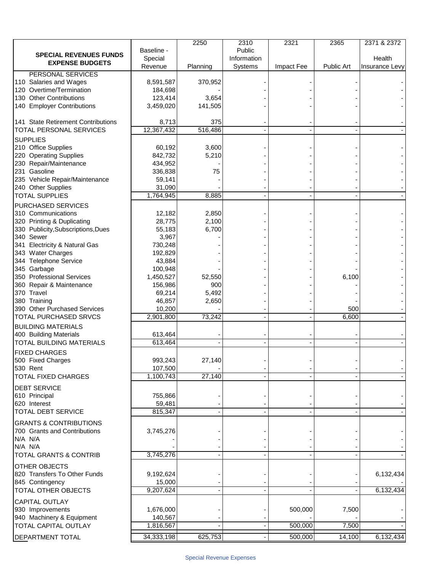|                                    |            | 2250     | 2310        | 2321       | 2365       | 2371 & 2372    |
|------------------------------------|------------|----------|-------------|------------|------------|----------------|
| <b>SPECIAL REVENUES FUNDS</b>      | Baseline - |          | Public      |            |            |                |
| <b>EXPENSE BUDGETS</b>             | Special    |          | Information |            |            | Health         |
|                                    | Revenue    | Planning | Systems     | Impact Fee | Public Art | Insurance Levy |
| PERSONAL SERVICES                  |            |          |             |            |            |                |
| 110 Salaries and Wages             | 8,591,587  | 370,952  |             |            |            |                |
| 120 Overtime/Termination           | 184,698    |          |             |            |            |                |
| 130 Other Contributions            | 123,414    | 3,654    |             |            |            |                |
| 140 Employer Contributions         | 3,459,020  | 141,505  |             |            |            |                |
|                                    |            |          |             |            |            |                |
| 141 State Retirement Contributions | 8,713      | 375      |             |            |            |                |
| TOTAL PERSONAL SERVICES            | 12,367,432 | 516,486  |             |            |            |                |
| <b>SUPPLIES</b>                    |            |          |             |            |            |                |
| 210 Office Supplies                | 60,192     | 3,600    |             |            |            |                |
| 220 Operating Supplies             | 842,732    | 5,210    |             |            |            |                |
| 230 Repair/Maintenance             | 434,952    |          |             |            |            |                |
| 231 Gasoline                       | 336,838    | 75       |             |            |            |                |
| 235 Vehicle Repair/Maintenance     | 59,141     |          |             |            |            |                |
| 240 Other Supplies                 | 31,090     |          |             |            |            |                |
| <b>TOTAL SUPPLIES</b>              | 1,764,945  | 8,885    |             |            |            |                |
| PURCHASED SERVICES                 |            |          |             |            |            |                |
| 310 Communications                 | 12,182     | 2,850    |             |            |            |                |
| 320 Printing & Duplicating         |            | 2,100    |             |            |            |                |
| 330 Publicity, Subscriptions, Dues | 28,775     | 6,700    |             |            |            |                |
|                                    | 55,183     |          |             |            |            |                |
| 340 Sewer                          | 3,967      |          |             |            |            |                |
| 341 Electricity & Natural Gas      | 730,248    |          |             |            |            |                |
| 343 Water Charges                  | 192,829    |          |             |            |            |                |
| 344 Telephone Service              | 43,884     |          |             |            |            |                |
| 345 Garbage                        | 100,948    |          |             |            |            |                |
| 350 Professional Services          | 1,450,527  | 52,550   |             |            | 6,100      |                |
| 360 Repair & Maintenance           | 156,986    | 900      |             |            |            |                |
| 370 Travel                         | 69,214     | 5,492    |             |            |            |                |
| 380 Training                       | 46,857     | 2,650    |             |            |            |                |
| 390 Other Purchased Services       | 10,200     |          |             |            | 500        |                |
| TOTAL PURCHASED SRVCS              | 2,901,800  | 73,242   |             |            | 6,600      |                |
| <b>BUILDING MATERIALS</b>          |            |          |             |            |            |                |
| 400 Building Materials             | 613,464    |          |             |            |            |                |
| TOTAL BUILDING MATERIALS           | 613,464    |          |             |            |            |                |
| <b>FIXED CHARGES</b>               |            |          |             |            |            |                |
| 500 Fixed Charges                  | 993,243    | 27,140   |             |            |            |                |
| 530 Rent                           | 107,500    |          |             |            |            |                |
| TOTAL FIXED CHARGES                | 1,100,743  | 27,140   |             |            |            |                |
|                                    |            |          |             |            |            |                |
| <b>DEBT SERVICE</b>                |            |          |             |            |            |                |
| 610 Principal                      | 755,866    |          |             |            |            |                |
| 620 Interest                       | 59,481     |          |             |            |            |                |
| <b>TOTAL DEBT SERVICE</b>          | 815,347    |          |             |            |            |                |
| <b>GRANTS &amp; CONTRIBUTIONS</b>  |            |          |             |            |            |                |
| 700 Grants and Contributions       | 3,745,276  |          |             |            |            |                |
| N/A N/A                            |            |          |             |            |            |                |
| N/A N/A                            |            |          |             |            |            |                |
| <b>TOTAL GRANTS &amp; CONTRIB</b>  | 3,745,276  |          |             |            |            |                |
|                                    |            |          |             |            |            |                |
| OTHER OBJECTS                      |            |          |             |            |            |                |
| 820 Transfers To Other Funds       | 9,192,624  |          |             |            |            | 6,132,434      |
| 845 Contingency                    | 15,000     |          |             |            |            |                |
| TOTAL OTHER OBJECTS                | 9,207,624  |          |             |            |            | 6,132,434      |
| <b>CAPITAL OUTLAY</b>              |            |          |             |            |            |                |
| 930 Improvements                   | 1,676,000  |          |             | 500,000    | 7,500      |                |
| 940 Machinery & Equipment          | 140,567    |          |             |            |            |                |
| TOTAL CAPITAL OUTLAY               | 1,816,567  |          |             | 500,000    | 7,500      |                |
|                                    |            |          |             |            |            |                |
| DEPARTMENT TOTAL                   | 34,333,198 | 625,753  |             | 500,000    | 14,100     | 6,132,434      |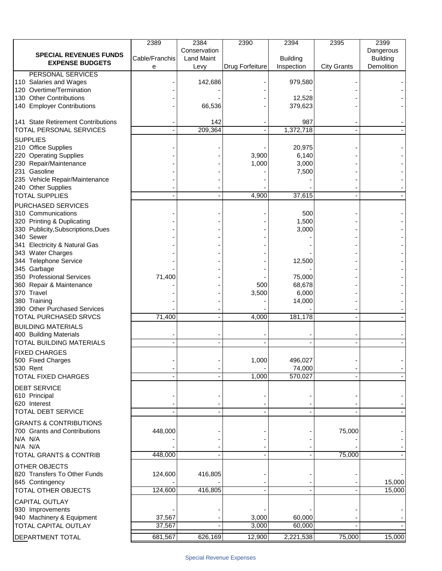|                                                    | 2389           | 2384              | 2390                   | 2394            | 2395               | 2399            |
|----------------------------------------------------|----------------|-------------------|------------------------|-----------------|--------------------|-----------------|
| <b>SPECIAL REVENUES FUNDS</b>                      |                | Conservation      |                        |                 |                    | Dangerous       |
| <b>EXPENSE BUDGETS</b>                             | Cable/Franchis | <b>Land Maint</b> |                        | <b>Building</b> |                    | <b>Building</b> |
|                                                    | е              | Levy              | <b>Drug Forfeiture</b> | Inspection      | <b>City Grants</b> | Demolition      |
| PERSONAL SERVICES<br>110 Salaries and Wages        |                | 142,686           |                        | 979,580         |                    |                 |
| 120 Overtime/Termination                           |                |                   |                        |                 |                    |                 |
| 130 Other Contributions                            |                |                   |                        | 12,528          |                    |                 |
| 140 Employer Contributions                         |                | 66,536            |                        | 379,623         |                    |                 |
|                                                    |                |                   |                        |                 |                    |                 |
| 141 State Retirement Contributions                 |                | 142               |                        | 987             |                    |                 |
| TOTAL PERSONAL SERVICES                            |                | 209,364           |                        | 1,372,718       |                    |                 |
| <b>SUPPLIES</b>                                    |                |                   |                        |                 |                    |                 |
| 210 Office Supplies                                |                |                   |                        | 20,975          |                    |                 |
| 220 Operating Supplies                             |                |                   | 3,900                  | 6,140           |                    |                 |
| 230 Repair/Maintenance                             |                |                   | 1,000                  | 3,000           |                    |                 |
| 231 Gasoline                                       |                |                   |                        | 7,500           |                    |                 |
| 235 Vehicle Repair/Maintenance                     |                |                   |                        |                 |                    |                 |
| 240 Other Supplies                                 |                |                   |                        |                 |                    |                 |
| <b>TOTAL SUPPLIES</b>                              |                |                   | 4,900                  | 37,615          |                    |                 |
| PURCHASED SERVICES                                 |                |                   |                        |                 |                    |                 |
| 310 Communications                                 |                |                   |                        | 500             |                    |                 |
| 320 Printing & Duplicating                         |                |                   |                        | 1,500           |                    |                 |
| 330 Publicity, Subscriptions, Dues                 |                |                   |                        | 3,000           |                    |                 |
| 340 Sewer                                          |                |                   |                        |                 |                    |                 |
| 341 Electricity & Natural Gas<br>343 Water Charges |                |                   |                        |                 |                    |                 |
| 344 Telephone Service                              |                |                   |                        | 12,500          |                    |                 |
| 345 Garbage                                        |                |                   |                        |                 |                    |                 |
| 350 Professional Services                          | 71,400         |                   |                        | 75,000          |                    |                 |
| 360 Repair & Maintenance                           |                |                   | 500                    | 68,678          |                    |                 |
| 370 Travel                                         |                |                   | 3,500                  | 6,000           |                    |                 |
| 380 Training                                       |                |                   |                        | 14,000          |                    |                 |
| 390 Other Purchased Services                       |                |                   |                        |                 |                    |                 |
| TOTAL PURCHASED SRVCS                              | 71,400         |                   | 4,000                  | 181,178         |                    |                 |
| <b>BUILDING MATERIALS</b>                          |                |                   |                        |                 |                    |                 |
| 400 Building Materials                             |                |                   |                        |                 |                    |                 |
| TOTAL BUILDING MATERIALS                           |                |                   |                        |                 |                    |                 |
| <b>FIXED CHARGES</b>                               |                |                   |                        |                 |                    |                 |
| 500 Fixed Charges                                  |                |                   | 1,000                  | 496,027         |                    |                 |
| 530 Rent                                           |                |                   |                        | 74,000          |                    |                 |
| <b>TOTAL FIXED CHARGES</b>                         |                |                   | 1,000                  | 570,027         |                    |                 |
| <b>DEBT SERVICE</b>                                |                |                   |                        |                 |                    |                 |
| 610 Principal                                      |                |                   |                        |                 |                    |                 |
| 620 Interest                                       |                |                   |                        |                 |                    |                 |
| <b>TOTAL DEBT SERVICE</b>                          |                |                   |                        |                 |                    |                 |
| <b>GRANTS &amp; CONTRIBUTIONS</b>                  |                |                   |                        |                 |                    |                 |
| 700 Grants and Contributions                       | 448,000        |                   |                        |                 | 75,000             |                 |
| N/A N/A                                            |                |                   |                        |                 |                    |                 |
| N/A N/A                                            |                |                   |                        |                 |                    |                 |
| <b>TOTAL GRANTS &amp; CONTRIB</b>                  | 448,000        |                   |                        |                 | 75,000             |                 |
| OTHER OBJECTS                                      |                |                   |                        |                 |                    |                 |
| 820 Transfers To Other Funds                       | 124,600        | 416,805           |                        |                 |                    |                 |
| 845 Contingency                                    |                |                   |                        |                 |                    | 15,000          |
| TOTAL OTHER OBJECTS                                | 124,600        | 416,805           |                        |                 |                    | 15,000          |
|                                                    |                |                   |                        |                 |                    |                 |
| <b>CAPITAL OUTLAY</b><br>930 Improvements          |                |                   |                        |                 |                    |                 |
| 940 Machinery & Equipment                          | 37,567         |                   | 3,000                  | 60,000          |                    |                 |
| <b>TOTAL CAPITAL OUTLAY</b>                        | 37,567         |                   | 3,000                  | 60,000          |                    |                 |
|                                                    |                |                   |                        |                 |                    |                 |
| DEPARTMENT TOTAL                                   | 681,567        | 626,169           | 12,900                 | 2,221,538       | 75,000             | 15,000          |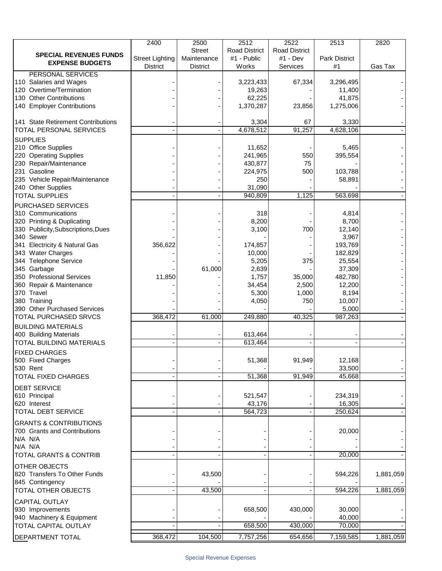|                                    | 2400                   | 2500            | 2512                 | 2522                 | 2513          | 2820      |
|------------------------------------|------------------------|-----------------|----------------------|----------------------|---------------|-----------|
| <b>SPECIAL REVENUES FUNDS</b>      |                        | <b>Street</b>   | <b>Road District</b> | <b>Road District</b> |               |           |
| <b>EXPENSE BUDGETS</b>             | <b>Street Lighting</b> | Maintenance     | #1 - Public          | #1 - Dev             | Park District |           |
|                                    | <b>District</b>        | <b>District</b> | Works                | Services             | #1            | Gas Tax   |
| PERSONAL SERVICES                  |                        |                 |                      |                      |               |           |
| 110 Salaries and Wages             |                        |                 | 3,223,433            | 67,334               | 3,296,495     |           |
| 120 Overtime/Termination           |                        |                 | 19,263               |                      | 11,400        |           |
| 130 Other Contributions            |                        |                 | 62,225               |                      | 41,875        |           |
| 140 Employer Contributions         |                        |                 | 1,370,287            | 23,856               | 1,275,006     |           |
|                                    |                        |                 |                      |                      |               |           |
| 141 State Retirement Contributions |                        |                 | 3,304                | 67                   | 3,330         |           |
| TOTAL PERSONAL SERVICES            |                        |                 | 4,678,512            | 91,257               | 4,628,106     |           |
| <b>SUPPLIES</b>                    |                        |                 |                      |                      |               |           |
| 210 Office Supplies                |                        |                 | 11,652               |                      | 5,465         |           |
| 220 Operating Supplies             |                        |                 | 241,965              | 550                  | 395,554       |           |
| 230 Repair/Maintenance             |                        |                 | 430,877              | 75                   |               |           |
| 231 Gasoline                       |                        |                 | 224,975              | 500                  | 103,788       |           |
| 235 Vehicle Repair/Maintenance     |                        |                 | 250                  |                      | 58,891        |           |
| 240 Other Supplies                 |                        |                 | 31,090               |                      |               |           |
| <b>TOTAL SUPPLIES</b>              |                        |                 | 940,809              | 1,125                | 563,698       |           |
| PURCHASED SERVICES                 |                        |                 |                      |                      |               |           |
| 310 Communications                 |                        |                 | 318                  |                      | 4,814         |           |
| 320 Printing & Duplicating         |                        |                 | 8,200                |                      | 8,700         |           |
| 330 Publicity, Subscriptions, Dues |                        |                 | 3,100                | 700                  | 12,140        |           |
| 340 Sewer                          |                        |                 |                      |                      | 3,967         |           |
| 341 Electricity & Natural Gas      | 356,622                |                 | 174,857              |                      | 193,769       |           |
| 343 Water Charges                  |                        |                 | 10,000               |                      | 182,829       |           |
| 344 Telephone Service              |                        |                 | 5,205                | 375                  | 25,554        |           |
| 345 Garbage                        |                        | 61,000          | 2,639                |                      | 37,309        |           |
| 350 Professional Services          | 11,850                 |                 | 1,757                | 35,000               | 482,780       |           |
| 360 Repair & Maintenance           |                        |                 | 34,454               | 2,500                | 12,200        |           |
| 370 Travel                         |                        |                 | 5,300                | 1,000                | 8,194         |           |
| 380 Training                       |                        |                 | 4,050                | 750                  | 10,007        |           |
| 390 Other Purchased Services       |                        |                 |                      |                      | 5,000         |           |
| TOTAL PURCHASED SRVCS              | 368,472                | 61,000          | 249,880              | 40,325               | 987,263       |           |
| <b>BUILDING MATERIALS</b>          |                        |                 |                      |                      |               |           |
| 400 Building Materials             |                        |                 | 613,464              |                      |               |           |
| TOTAL BUILDING MATERIALS           |                        |                 | 613,464              |                      |               |           |
|                                    |                        |                 |                      |                      |               |           |
| <b>FIXED CHARGES</b>               |                        |                 |                      |                      |               |           |
| 500 Fixed Charges                  |                        |                 | 51,368               | 91,949               | 12,168        |           |
| 530 Rent                           |                        |                 |                      |                      | 33,500        |           |
| TOTAL FIXED CHARGES                |                        |                 | 51,368               | 91,949               | 45,668        |           |
| <b>DEBT SERVICE</b>                |                        |                 |                      |                      |               |           |
| 610 Principal                      |                        |                 | 521,547              |                      | 234,319       |           |
| 620 Interest                       |                        |                 | 43,176               |                      | 16,305        |           |
| <b>TOTAL DEBT SERVICE</b>          |                        |                 | 564,723              |                      | 250,624       |           |
|                                    |                        |                 |                      |                      |               |           |
| <b>GRANTS &amp; CONTRIBUTIONS</b>  |                        |                 |                      |                      |               |           |
| 700 Grants and Contributions       |                        |                 |                      |                      | 20,000        |           |
| N/A N/A                            |                        |                 |                      |                      |               |           |
| N/A N/A                            |                        |                 |                      |                      |               |           |
| TOTAL GRANTS & CONTRIB             |                        |                 |                      |                      | 20,000        |           |
| OTHER OBJECTS                      |                        |                 |                      |                      |               |           |
| 820 Transfers To Other Funds       |                        | 43,500          |                      |                      | 594,226       | 1,881,059 |
| 845 Contingency                    |                        |                 |                      |                      |               |           |
| TOTAL OTHER OBJECTS                |                        | 43,500          |                      |                      | 594,226       | 1,881,059 |
| <b>CAPITAL OUTLAY</b>              |                        |                 |                      |                      |               |           |
| 930 Improvements                   |                        |                 | 658,500              | 430,000              | 30,000        |           |
| 940 Machinery & Equipment          |                        |                 |                      |                      | 40,000        |           |
| <b>TOTAL CAPITAL OUTLAY</b>        |                        |                 | 658,500              | 430,000              | 70,000        |           |
|                                    |                        |                 |                      |                      |               |           |
| DEPARTMENT TOTAL                   | 368,472                | 104,500         | 7,757,256            | 654,656              | 7,159,585     | 1,881,059 |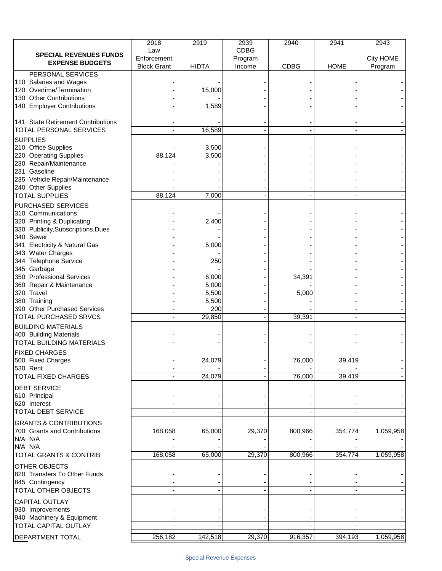|                                                          | 2918                              | 2919           | 2939              | 2940        | 2941        | 2943                 |
|----------------------------------------------------------|-----------------------------------|----------------|-------------------|-------------|-------------|----------------------|
| <b>SPECIAL REVENUES FUNDS</b>                            | Law                               |                | <b>CDBG</b>       |             |             |                      |
| <b>EXPENSE BUDGETS</b>                                   | Enforcement<br><b>Block Grant</b> | <b>HIDTA</b>   | Program<br>Income | <b>CDBG</b> | <b>HOME</b> | City HOME<br>Program |
| PERSONAL SERVICES                                        |                                   |                |                   |             |             |                      |
| 110 Salaries and Wages                                   |                                   |                |                   |             |             |                      |
| 120 Overtime/Termination                                 |                                   | 15,000         |                   |             |             |                      |
| 130 Other Contributions                                  |                                   |                |                   |             |             |                      |
| 140 Employer Contributions                               |                                   | 1,589          |                   |             |             |                      |
|                                                          |                                   |                |                   |             |             |                      |
| 141 State Retirement Contributions                       |                                   |                |                   |             |             |                      |
| TOTAL PERSONAL SERVICES                                  |                                   | 16,589         |                   |             |             |                      |
| <b>SUPPLIES</b>                                          |                                   |                |                   |             |             |                      |
| 210 Office Supplies                                      | 88,124                            | 3,500<br>3,500 |                   |             |             |                      |
| 220 Operating Supplies<br>230 Repair/Maintenance         |                                   |                |                   |             |             |                      |
| 231 Gasoline                                             |                                   |                |                   |             |             |                      |
| 235 Vehicle Repair/Maintenance                           |                                   |                |                   |             |             |                      |
| 240 Other Supplies                                       |                                   |                |                   |             |             |                      |
| <b>TOTAL SUPPLIES</b>                                    | 88,124                            | 7,000          |                   |             |             |                      |
| PURCHASED SERVICES                                       |                                   |                |                   |             |             |                      |
| 310 Communications                                       |                                   |                |                   |             |             |                      |
| 320 Printing & Duplicating                               |                                   | 2,400          |                   |             |             |                      |
| 330 Publicity, Subscriptions, Dues                       |                                   |                |                   |             |             |                      |
| 340 Sewer                                                |                                   |                |                   |             |             |                      |
| 341 Electricity & Natural Gas                            |                                   | 5,000          |                   |             |             |                      |
| 343 Water Charges                                        |                                   |                |                   |             |             |                      |
| 344 Telephone Service                                    |                                   | 250            |                   |             |             |                      |
| 345 Garbage<br>350 Professional Services                 |                                   | 6,000          |                   | 34,391      |             |                      |
| 360 Repair & Maintenance                                 |                                   | 5,000          |                   |             |             |                      |
| 370 Travel                                               |                                   | 5,500          |                   | 5,000       |             |                      |
| 380 Training                                             |                                   | 5,500          |                   |             |             |                      |
| 390 Other Purchased Services                             |                                   | 200            |                   |             |             |                      |
| TOTAL PURCHASED SRVCS                                    |                                   | 29,850         |                   | 39,391      |             |                      |
| <b>BUILDING MATERIALS</b>                                |                                   |                |                   |             |             |                      |
| 400 Building Materials                                   |                                   |                |                   |             |             |                      |
| TOTAL BUILDING MATERIALS                                 |                                   |                |                   |             |             |                      |
| <b>FIXED CHARGES</b>                                     |                                   |                |                   |             |             |                      |
| 500 Fixed Charges                                        |                                   | 24,079         |                   | 76,000      | 39,419      |                      |
| 530 Rent                                                 |                                   |                |                   |             |             |                      |
| <b>TOTAL FIXED CHARGES</b>                               |                                   | 24,079         |                   | 76,000      | 39,419      |                      |
| <b>DEBT SERVICE</b>                                      |                                   |                |                   |             |             |                      |
| 610 Principal                                            |                                   |                |                   |             |             |                      |
| 620 Interest                                             |                                   |                |                   |             |             |                      |
| <b>TOTAL DEBT SERVICE</b>                                |                                   |                |                   |             |             |                      |
| <b>GRANTS &amp; CONTRIBUTIONS</b>                        |                                   |                |                   |             |             |                      |
| 700 Grants and Contributions                             | 168,058                           | 65,000         | 29,370            | 800,966     | 354,774     | 1,059,958            |
| N/A N/A                                                  |                                   |                |                   |             |             |                      |
| N/A N/A                                                  | 168,058                           | 65,000         | 29,370            | 800,966     | 354,774     |                      |
| TOTAL GRANTS & CONTRIB                                   |                                   |                |                   |             |             | 1,059,958            |
| OTHER OBJECTS                                            |                                   |                |                   |             |             |                      |
| 820 Transfers To Other Funds                             |                                   |                |                   |             |             |                      |
| 845 Contingency                                          |                                   |                |                   |             |             |                      |
| TOTAL OTHER OBJECTS                                      |                                   |                |                   |             |             |                      |
| <b>CAPITAL OUTLAY</b>                                    |                                   |                |                   |             |             |                      |
| 930 Improvements                                         |                                   |                |                   |             |             |                      |
| 940 Machinery & Equipment<br><b>TOTAL CAPITAL OUTLAY</b> |                                   |                |                   |             |             |                      |
|                                                          |                                   |                |                   |             |             |                      |
| DEPARTMENT TOTAL                                         | 256,182                           | 142,518        | 29,370            | 916,357     | 394,193     | 1,059,958            |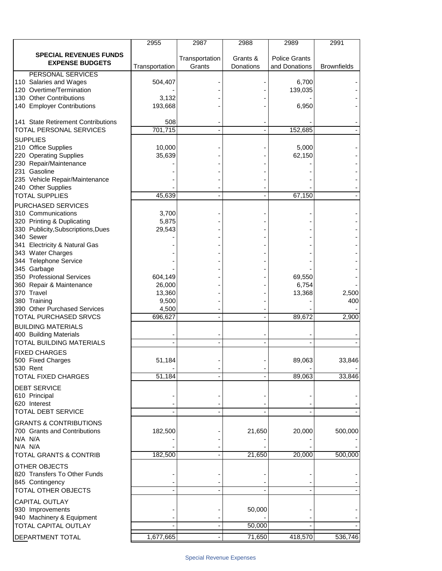|                                                                              | 2955             | 2987           | 2988      | 2989                 | 2991               |
|------------------------------------------------------------------------------|------------------|----------------|-----------|----------------------|--------------------|
| <b>SPECIAL REVENUES FUNDS</b><br><b>EXPENSE BUDGETS</b>                      |                  | Transportation | Grants &  | <b>Police Grants</b> |                    |
|                                                                              | Transportation   | Grants         | Donations | and Donations        | <b>Brownfields</b> |
| PERSONAL SERVICES<br>110 Salaries and Wages<br>120 Overtime/Termination      | 504,407          |                |           | 6,700<br>139,035     |                    |
| 130 Other Contributions                                                      | 3,132            |                |           |                      |                    |
| 140 Employer Contributions                                                   | 193,668          |                |           | 6,950                |                    |
| 141 State Retirement Contributions<br>TOTAL PERSONAL SERVICES                | 508<br>701,715   |                |           | 152,685              |                    |
|                                                                              |                  |                |           |                      |                    |
| <b>SUPPLIES</b><br>210 Office Supplies<br>220 Operating Supplies             | 10,000<br>35,639 |                |           | 5,000<br>62,150      |                    |
| 230 Repair/Maintenance                                                       |                  |                |           |                      |                    |
| 231 Gasoline<br>235 Vehicle Repair/Maintenance                               |                  |                |           |                      |                    |
| 240 Other Supplies                                                           |                  |                |           |                      |                    |
| <b>TOTAL SUPPLIES</b>                                                        | 45,639           |                |           | 67,150               |                    |
| PURCHASED SERVICES<br>310 Communications                                     | 3,700            |                |           |                      |                    |
| 320 Printing & Duplicating<br>330 Publicity, Subscriptions, Dues             | 5,875<br>29,543  |                |           |                      |                    |
| 340 Sewer                                                                    |                  |                |           |                      |                    |
| 341 Electricity & Natural Gas<br>343 Water Charges                           |                  |                |           |                      |                    |
| 344 Telephone Service                                                        |                  |                |           |                      |                    |
| 345 Garbage<br>350 Professional Services                                     | 604,149          |                |           |                      |                    |
| 360 Repair & Maintenance                                                     | 26,000           |                |           | 69,550<br>6,754      |                    |
| 370 Travel                                                                   | 13,360           |                |           | 13,368               | 2,500              |
| 380 Training<br>390 Other Purchased Services                                 | 9,500<br>4,500   |                |           |                      | 400                |
| TOTAL PURCHASED SRVCS                                                        | 696,627          |                |           | 89,672               | 2,900              |
| <b>BUILDING MATERIALS</b><br>400 Building Materials                          |                  |                |           |                      |                    |
| TOTAL BUILDING MATERIALS                                                     |                  |                |           |                      |                    |
| <b>FIXED CHARGES</b><br>500 Fixed Charges<br>530 Rent                        | 51,184           |                |           | 89,063               | 33,846             |
| TOTAL FIXED CHARGES                                                          | 51,184           |                |           | 89,063               | 33,846             |
| <b>DEBT SERVICE</b>                                                          |                  |                |           |                      |                    |
| 610 Principal<br>620 Interest                                                |                  |                |           |                      |                    |
| <b>TOTAL DEBT SERVICE</b>                                                    |                  |                |           |                      |                    |
| <b>GRANTS &amp; CONTRIBUTIONS</b><br>700 Grants and Contributions<br>N/A N/A | 182,500          |                | 21,650    | 20,000               | 500,000            |
| N/A N/A<br><b>TOTAL GRANTS &amp; CONTRIB</b>                                 | 182,500          |                | 21,650    | 20,000               | 500,000            |
|                                                                              |                  |                |           |                      |                    |
| OTHER OBJECTS<br>820 Transfers To Other Funds<br>845 Contingency             |                  |                |           |                      |                    |
| TOTAL OTHER OBJECTS                                                          |                  |                |           |                      |                    |
| <b>CAPITAL OUTLAY</b><br>930 Improvements                                    |                  |                | 50,000    |                      |                    |
| 940 Machinery & Equipment                                                    |                  |                |           |                      |                    |
| <b>TOTAL CAPITAL OUTLAY</b>                                                  |                  |                | 50,000    |                      |                    |
| DEPARTMENT TOTAL                                                             | 1,677,665        |                | 71,650    | 418,570              | 536,746            |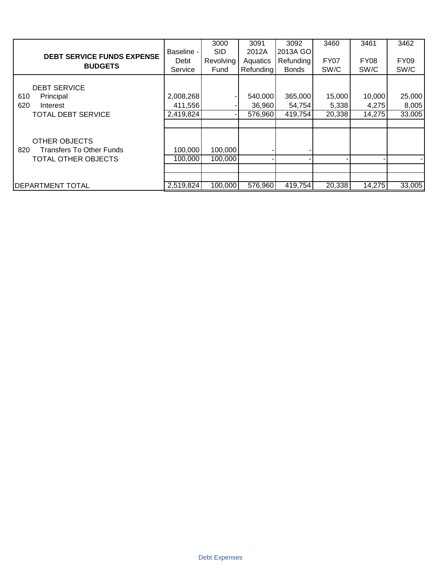|                                        |            | 3000       | 3091      | 3092         | 3460        | 3461        | 3462        |
|----------------------------------------|------------|------------|-----------|--------------|-------------|-------------|-------------|
|                                        | Baseline - | <b>SID</b> | 2012A     | 2013A GO     |             |             |             |
| <b>DEBT SERVICE FUNDS EXPENSE</b>      | Debt       | Revolving  | Aquatics  | Refunding    | <b>FY07</b> | <b>FY08</b> | <b>FY09</b> |
| <b>BUDGETS</b>                         | Service    | Fund       | Refunding | <b>Bonds</b> | SW/C        | SW/C        | SW/C        |
|                                        |            |            |           |              |             |             |             |
| <b>DEBT SERVICE</b>                    |            |            |           |              |             |             |             |
| 610<br>Principal                       | 2,008,268  |            | 540,000   | 365,000      | 15,000      | 10,000      | 25,000      |
| 620<br>Interest                        | 411,556    |            | 36,960    | 54,754       | 5,338       | 4,275       | 8,005       |
| <b>TOTAL DEBT SERVICE</b>              | 2,419,824  |            | 576,960   | 419,754      | 20,338      | 14,275      | 33,005      |
|                                        |            |            |           |              |             |             |             |
|                                        |            |            |           |              |             |             |             |
| <b>OTHER OBJECTS</b>                   |            |            |           |              |             |             |             |
| <b>Transfers To Other Funds</b><br>820 | 100,000    | 100,000    |           |              |             |             |             |
| TOTAL OTHER OBJECTS                    | 100,000    | 100,000    |           |              |             |             |             |
|                                        |            |            |           |              |             |             |             |
|                                        |            |            |           |              |             |             |             |
| <b>DEPARTMENT TOTAL</b>                | 2,519,824  | 100,000    | 576,960   | 419,754      | 20,338      | 14,275      | 33,005      |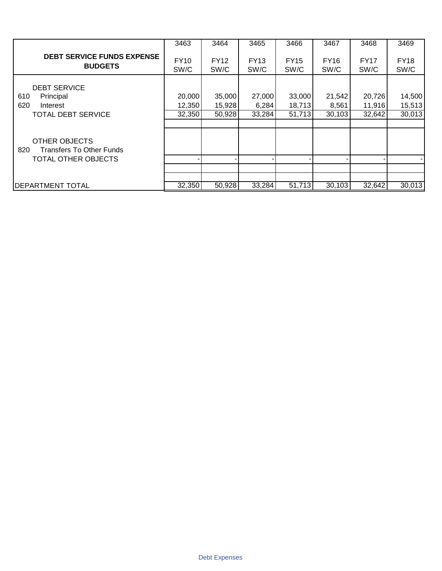|                                                         | 3463                | 3464                | 3465                | 3466                | 3467                | 3468                | 3469                |
|---------------------------------------------------------|---------------------|---------------------|---------------------|---------------------|---------------------|---------------------|---------------------|
| <b>DEBT SERVICE FUNDS EXPENSE</b><br><b>BUDGETS</b>     | <b>FY10</b><br>SW/C | <b>FY12</b><br>SW/C | <b>FY13</b><br>SW/C | <b>FY15</b><br>SW/C | <b>FY16</b><br>SW/C | <b>FY17</b><br>SW/C | <b>FY18</b><br>SW/C |
| <b>DEBT SERVICE</b>                                     |                     |                     |                     |                     |                     |                     |                     |
| 610<br>Principal                                        | 20,000              | 35,000              | 27,000              | 33,000              | 21,542              | 20,726              | 14,500              |
| 620<br>Interest                                         | 12,350              | 15,928              | 6,284               | 18,713              | 8,561               | 11,916              | 15,513              |
| <b>TOTAL DEBT SERVICE</b>                               | 32,350              | 50,928              | 33,284              | 51,713              | 30,103              | 32,642              | 30,013              |
| OTHER OBJECTS<br><b>Transfers To Other Funds</b><br>820 |                     |                     |                     |                     |                     |                     |                     |
| TOTAL OTHER OBJECTS                                     |                     |                     |                     |                     |                     |                     |                     |
|                                                         |                     |                     |                     |                     |                     |                     |                     |
|                                                         |                     |                     |                     |                     |                     |                     |                     |
| <b>IDEPARTMENT TOTAL</b>                                | 32,350              | 50,928              | 33,284              | 51,713              | 30,103              | 32,642              | 30,013              |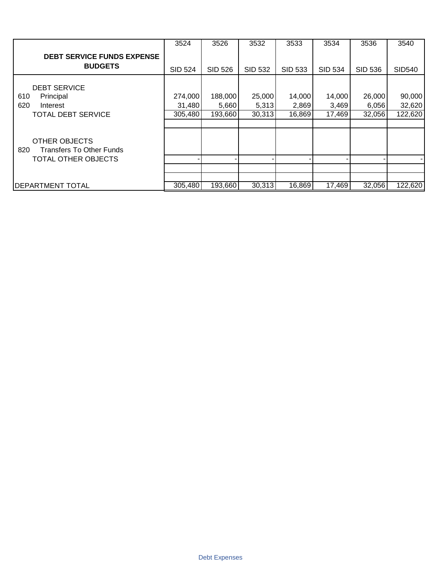|                                                                                       | 3524              | 3526             | 3532            | 3533            | 3534            | 3536            | 3540              |
|---------------------------------------------------------------------------------------|-------------------|------------------|-----------------|-----------------|-----------------|-----------------|-------------------|
| <b>DEBT SERVICE FUNDS EXPENSE</b><br><b>BUDGETS</b>                                   | <b>SID 524</b>    | <b>SID 526</b>   | <b>SID 532</b>  | <b>SID 533</b>  | <b>SID 534</b>  | <b>SID 536</b>  | <b>SID540</b>     |
| <b>DEBT SERVICE</b><br>610<br>Principal                                               | 274,000           | 188,000          | 25,000          | 14,000          | 14,000          | 26,000          | 90,000            |
| 620<br>Interest<br><b>TOTAL DEBT SERVICE</b>                                          | 31,480<br>305,480 | 5,660<br>193,660 | 5,313<br>30,313 | 2,869<br>16,869 | 3,469<br>17,469 | 6,056<br>32,056 | 32,620<br>122,620 |
| <b>OTHER OBJECTS</b><br><b>Transfers To Other Funds</b><br>820<br>TOTAL OTHER OBJECTS |                   |                  |                 |                 |                 |                 |                   |
|                                                                                       |                   |                  |                 |                 |                 |                 |                   |
| <b>DEPARTMENT TOTAL</b>                                                               | 305,480           | 193,660          | 30,313          | 16,869          | 17,469          | 32,056          | 122,620           |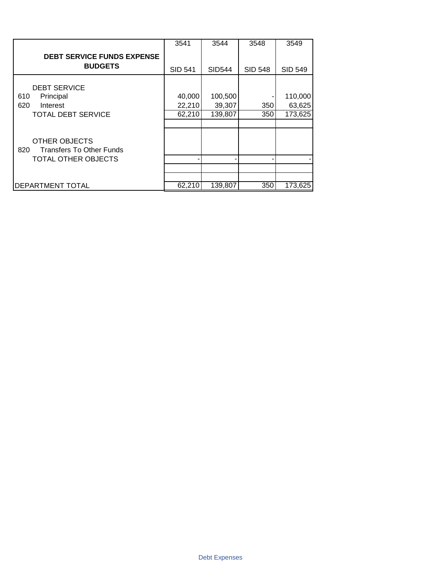|                                                                | 3541           | 3544          | 3548           | 3549           |
|----------------------------------------------------------------|----------------|---------------|----------------|----------------|
| <b>DEBT SERVICE FUNDS EXPENSE</b><br><b>BUDGETS</b>            | <b>SID 541</b> | <b>SID544</b> | <b>SID 548</b> | <b>SID 549</b> |
|                                                                |                |               |                |                |
| <b>DEBT SERVICE</b>                                            |                |               |                |                |
| Principal<br>610                                               | 40,000         | 100,500       |                | 110,000        |
| 620<br>Interest                                                | 22,210         | 39,307        | 350            | 63,625         |
| <b>TOTAL DEBT SERVICE</b>                                      | 62,210         | 139,807       | 350            | 173,625        |
|                                                                |                |               |                |                |
| <b>OTHER OBJECTS</b><br>820<br><b>Transfers To Other Funds</b> |                |               |                |                |
| TOTAL OTHER OBJECTS                                            |                |               |                |                |
|                                                                |                |               |                |                |
|                                                                |                |               |                |                |
| DEPARTMENT TOTAL                                               | 62,210         | 139,807       | 350            | 173,625        |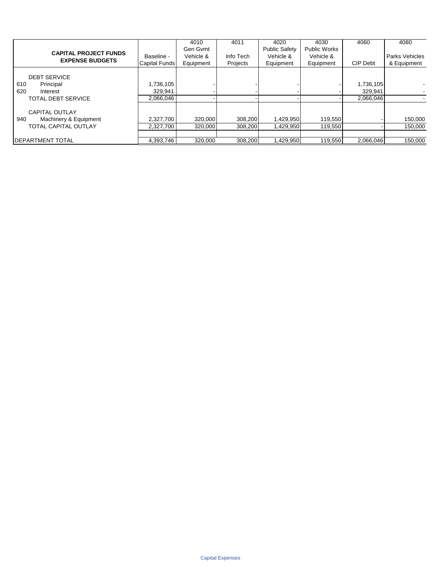|                              |               | 4010      | 4011      | 4020                 | 4030                | 4060      | 4080           |
|------------------------------|---------------|-----------|-----------|----------------------|---------------------|-----------|----------------|
| <b>CAPITAL PROJECT FUNDS</b> |               | Gen Gymt  |           | <b>Public Safety</b> | <b>Public Works</b> |           |                |
| <b>EXPENSE BUDGETS</b>       | Baseline -    | Vehicle & | Info Tech | Vehicle &            | Vehicle &           |           | Parks Vehicles |
|                              | Capital Funds | Equipment | Projects  | Equipment            | Equipment           | CIP Debt  | & Equipment    |
|                              |               |           |           |                      |                     |           |                |
| <b>DEBT SERVICE</b>          |               |           |           |                      |                     |           |                |
| Principal<br>610             | 1,736,105     |           |           |                      |                     | 1,736,105 |                |
| 620<br>Interest              | 329,941       |           |           |                      |                     | 329,941   |                |
| <b>TOTAL DEBT SERVICE</b>    | 2.066.046     |           |           |                      |                     | 2.066.046 |                |
|                              |               |           |           |                      |                     |           |                |
| <b>CAPITAL OUTLAY</b>        |               |           |           |                      |                     |           |                |
| 940<br>Machinery & Equipment | 2,327,700     | 320.000   | 308.200   | 1,429,950            | 119,550             |           | 150,000        |
| <b>TOTAL CAPITAL OUTLAY</b>  | 2,327,700     | 320,000   | 308,200   | 1,429,950            | 119,550             |           | 150,000        |
|                              |               |           |           |                      |                     |           |                |
| <b>IDEPARTMENT TOTAL</b>     | 4.393.746     | 320,000   | 308.200   | 1,429,950            | 119,550             | 2.066.046 | 150,000        |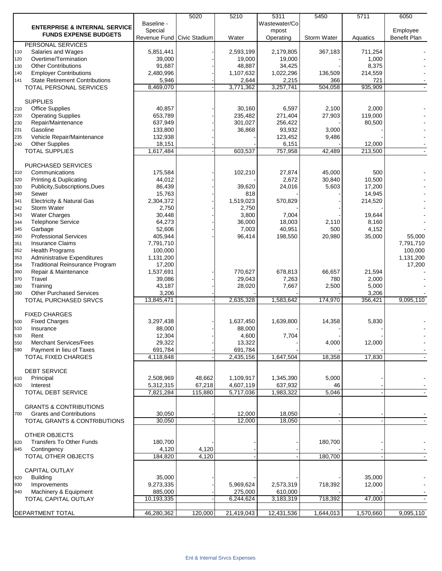|     |                                          |                              | 5020    | 5210       | 5311          | 5450        | 5711      | 6050         |
|-----|------------------------------------------|------------------------------|---------|------------|---------------|-------------|-----------|--------------|
|     | <b>ENTERPRISE &amp; INTERNAL SERVICE</b> | Baseline -                   |         |            | Wastewater/Co |             |           |              |
|     | <b>FUNDS EXPENSE BUDGETS</b>             | Special                      |         |            | mpost         |             |           | Employee     |
|     |                                          | Revenue Fund   Civic Stadium |         | Water      | Operating     | Storm Water | Aquatics  | Benefit Plan |
|     | PERSONAL SERVICES                        |                              |         |            |               |             |           |              |
| 110 | Salaries and Wages                       | 5,851,441                    |         | 2,593,199  | 2,179,805     | 367,183     | 711,254   |              |
| 120 | Overtime/Termination                     | 39,000                       |         | 19,000     | 19,000        |             | 1,000     |              |
| 130 | <b>Other Contributions</b>               | 91,687                       |         | 48.887     | 34,425        |             | 8,375     |              |
| 140 | <b>Employer Contributions</b>            | 2,480,996                    |         | 1,107,632  | 1,022,296     | 136,509     | 214,559   |              |
| 141 | <b>State Retirement Contributions</b>    | 5,946                        |         | 2,644      | 2,215         | 366         | 721       |              |
|     | <b>TOTAL PERSONAL SERVICES</b>           | 8,469,070                    |         | 3,771,362  | 3,257,741     | 504,058     | 935,909   |              |
|     |                                          |                              |         |            |               |             |           |              |
|     | <b>SUPPLIES</b>                          |                              |         |            |               |             |           |              |
| 210 | <b>Office Supplies</b>                   | 40,857                       |         | 30,160     | 6,597         | 2,100       | 2,000     |              |
| 220 | <b>Operating Supplies</b>                | 653,789                      |         | 235,482    | 271,404       | 27,903      | 119,000   |              |
| 230 | Repair/Maintenance                       | 637,949                      |         | 301,027    | 256,422       |             | 80,500    |              |
| 231 | Gasoline                                 | 133,800                      |         | 36,868     | 93,932        | 3,000       |           |              |
| 235 | Vehicle Repair/Maintenance               | 132,938                      |         |            | 123,452       | 9,486       |           |              |
| 240 | <b>Other Supplies</b>                    | 18,151                       |         |            | 6,151         |             | 12,000    |              |
|     | <b>TOTAL SUPPLIES</b>                    | 1,617,484                    |         | 603,537    | 757,958       | 42,489      | 213,500   |              |
|     |                                          |                              |         |            |               |             |           |              |
|     | <b>PURCHASED SERVICES</b>                |                              |         |            |               |             |           |              |
| 310 | Communications                           | 175,584                      |         | 102,210    | 27,874        | 45,000      | 500       |              |
| 320 | Printing & Duplicating                   | 44,012                       |         |            | 2,672         | 30,840      | 10,500    |              |
| 330 | Publicity, Subscriptions, Dues           | 86,439                       |         | 39,620     | 24,016        | 5,603       | 17,200    |              |
| 340 | Sewer                                    | 15,763                       |         | 818        |               |             | 14,945    |              |
| 341 | <b>Electricity &amp; Natural Gas</b>     | 2,304,372                    |         | 1,519,023  | 570,829       |             | 214,520   |              |
| 342 | Storm Water                              | 2,750                        |         | 2,750      |               |             |           |              |
| 343 | <b>Water Charges</b>                     | 30,448                       |         | 3,800      | 7,004         |             | 19,644    |              |
| 344 | <b>Telephone Service</b>                 | 64,273                       |         | 36,000     | 18,003        | 2,110       | 8,160     |              |
| 345 | Garbage                                  | 52,606                       |         | 7,003      | 40,951        | 500         | 4,152     |              |
| 350 | <b>Professional Services</b>             | 405,944                      |         | 96,414     | 198,550       | 20,980      | 35,000    | 55,000       |
| 351 | <b>Insurance Claims</b>                  | 7,791,710                    |         |            |               |             |           | 7,791,710    |
| 352 | <b>Health Programs</b>                   | 100,000                      |         |            |               |             |           | 100,000      |
|     | Administrative Expenditures              |                              |         |            |               |             |           |              |
| 353 |                                          | 1,131,200                    |         |            |               |             |           | 1,131,200    |
| 354 | <b>Traditional Reinsurance Program</b>   | 17,200                       |         | 770,627    |               |             |           | 17,200       |
| 360 | Repair & Maintenance                     | 1,537,691                    |         |            | 678,813       | 66,657      | 21,594    |              |
| 370 | Travel                                   | 39,086                       |         | 29,043     | 7,263         | 780         | 2,000     |              |
| 380 | Training                                 | 43,187                       |         | 28,020     | 7,667         | 2,500       | 5,000     |              |
| 390 | <b>Other Purchased Services</b>          | 3,206                        |         |            |               |             | 3,206     |              |
|     | TOTAL PURCHASED SRVCS                    | 13,845,471                   |         | 2,635,328  | 1,583,642     | 174,970     | 356,421   | 9,095,110    |
|     |                                          |                              |         |            |               |             |           |              |
|     | <b>FIXED CHARGES</b>                     |                              |         |            |               |             |           |              |
| 500 | <b>Fixed Charges</b>                     | 3,297,438                    |         | 1,637,450  | 1,639,800     | 14,358      | 5,830     |              |
| 510 | Insurance                                | 88,000                       |         | 88,000     |               |             |           |              |
| 530 | Rent                                     | 12,304                       |         | 4,600      | 7,704         |             |           |              |
| 550 | <b>Merchant Services/Fees</b>            | 29,322                       |         | 13,322     |               | 4,000       | 12,000    |              |
| 590 | Payment in lieu of Taxes                 | 691,784                      |         | 691,784    |               |             |           |              |
|     | <b>TOTAL FIXED CHARGES</b>               | 4,118,848                    |         | 2,435,156  | 1,647,504     | 18,358      | 17,830    |              |
|     |                                          |                              |         |            |               |             |           |              |
|     | <b>DEBT SERVICE</b>                      |                              |         |            |               |             |           |              |
| 610 | Principal                                | 2,508,969                    | 48,662  | 1,109,917  | 1,345,390     | 5,000       |           |              |
| 620 | Interest                                 | 5,312,315                    | 67,218  | 4,607,119  | 637,932       | 46          |           |              |
|     | <b>TOTAL DEBT SERVICE</b>                | 7,821,284                    | 115,880 | 5,717,036  | 1,983,322     | 5,046       |           |              |
|     |                                          |                              |         |            |               |             |           |              |
|     | <b>GRANTS &amp; CONTRIBUTIONS</b>        |                              |         |            |               |             |           |              |
| 700 | <b>Grants and Contributions</b>          | 30,050                       |         | 12,000     | 18,050        |             |           |              |
|     | <b>TOTAL GRANTS &amp; CONTRIBUTIONS</b>  | 30,050                       |         | 12,000     | 18,050        |             |           |              |
|     |                                          |                              |         |            |               |             |           |              |
|     | OTHER OBJECTS                            |                              |         |            |               |             |           |              |
| 820 | <b>Transfers To Other Funds</b>          | 180,700                      |         |            |               | 180,700     |           |              |
| 845 | Contingency                              | 4,120                        | 4,120   |            |               |             |           |              |
|     | TOTAL OTHER OBJECTS                      | 184,820                      | 4,120   |            |               | 180,700     |           |              |
|     |                                          |                              |         |            |               |             |           |              |
|     | CAPITAL OUTLAY                           |                              |         |            |               |             |           |              |
| 920 | <b>Building</b>                          | 35,000                       |         |            |               |             | 35,000    |              |
| 930 | Improvements                             | 9,273,335                    |         | 5,969,624  | 2,573,319     | 718,392     | 12,000    |              |
| 940 | Machinery & Equipment                    | 885,000                      |         | 275,000    | 610,000       |             |           |              |
|     | TOTAL CAPITAL OUTLAY                     | 10,193,335                   |         | 6,244,624  | 3,183,319     | 718,392     | 47,000    |              |
|     |                                          |                              |         |            |               |             |           |              |
|     | <b>DEPARTMENT TOTAL</b>                  | 46,280,362                   | 120,000 | 21,419,043 | 12,431,536    | 1,644,013   | 1,570,660 | 9,095,110    |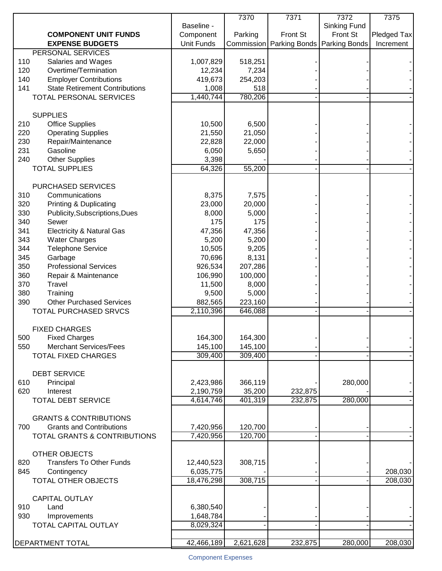| Baseline -<br>Sinking Fund<br><b>COMPONENT UNIT FUNDS</b><br>Component<br>Parking<br>Front St<br>Front St<br><b>EXPENSE BUDGETS</b><br>Unit Funds<br>Commission   Parking Bonds  <br>Parking Bonds<br>Increment<br>PERSONAL SERVICES<br>518,251<br>110<br>Salaries and Wages<br>1,007,829<br>Overtime/Termination<br>12,234<br>7,234<br>120<br>140<br><b>Employer Contributions</b><br>419,673<br>254,203<br>141<br><b>State Retirement Contributions</b><br>1,008<br>518<br>1,440,744<br>780,206<br><b>TOTAL PERSONAL SERVICES</b><br><b>SUPPLIES</b><br><b>Office Supplies</b><br>6,500<br>210<br>10,500<br>220<br><b>Operating Supplies</b><br>21,550<br>21,050<br>230<br>Repair/Maintenance<br>22,828<br>22,000<br>231<br>Gasoline<br>6,050<br>5,650<br>240<br><b>Other Supplies</b><br>3,398<br><b>TOTAL SUPPLIES</b><br>64,326<br>55,200<br><b>PURCHASED SERVICES</b><br>8,375<br>7,575<br>310<br>Communications<br>320<br><b>Printing &amp; Duplicating</b><br>23,000<br>20,000<br>330<br>Publicity, Subscriptions, Dues<br>8,000<br>5,000<br>340<br>175<br>175<br>Sewer<br>341<br><b>Electricity &amp; Natural Gas</b><br>47,356<br>47,356<br>343<br><b>Water Charges</b><br>5,200<br>5,200<br>344<br><b>Telephone Service</b><br>10,505<br>9,205<br>345<br>Garbage<br>70,696<br>8,131<br><b>Professional Services</b><br>350<br>926,534<br>207,286<br>360<br>Repair & Maintenance<br>106,990<br>100,000<br>370<br>Travel<br>11,500<br>8,000<br>380<br>Training<br>9,500<br>5,000<br><b>Other Purchased Services</b><br>390<br>882,565<br>223,160<br>2,110,396<br>646,088<br>TOTAL PURCHASED SRVCS<br><b>FIXED CHARGES</b><br>164,300<br>164,300<br>500<br><b>Fixed Charges</b><br><b>Merchant Services/Fees</b><br>145,100<br>145,100<br>550<br>309,400<br>309,400<br><b>TOTAL FIXED CHARGES</b><br><b>DEBT SERVICE</b><br>2,423,986<br>366,119<br>280,000<br>610<br>Principal<br>35,200<br>620<br>Interest<br>2,190,759<br>232,875<br><b>TOTAL DEBT SERVICE</b><br>4,614,746<br>401,319<br>232,875<br>280,000<br><b>GRANTS &amp; CONTRIBUTIONS</b><br><b>Grants and Contributions</b><br>700<br>7,420,956<br>120,700<br>7,420,956<br>120,700<br>TOTAL GRANTS & CONTRIBUTIONS<br><b>OTHER OBJECTS</b><br><b>Transfers To Other Funds</b><br>308,715<br>820<br>12,440,523<br>6,035,775<br>208,030<br>845<br>Contingency<br>308,715<br>208,030<br>TOTAL OTHER OBJECTS<br>18,476,298<br><b>CAPITAL OUTLAY</b><br>910<br>Land<br>6,380,540<br>930<br>1,648,784<br>Improvements<br>TOTAL CAPITAL OUTLAY<br>8,029,324 |                  |            | 7370      | 7371    | 7372    | 7375        |
|--------------------------------------------------------------------------------------------------------------------------------------------------------------------------------------------------------------------------------------------------------------------------------------------------------------------------------------------------------------------------------------------------------------------------------------------------------------------------------------------------------------------------------------------------------------------------------------------------------------------------------------------------------------------------------------------------------------------------------------------------------------------------------------------------------------------------------------------------------------------------------------------------------------------------------------------------------------------------------------------------------------------------------------------------------------------------------------------------------------------------------------------------------------------------------------------------------------------------------------------------------------------------------------------------------------------------------------------------------------------------------------------------------------------------------------------------------------------------------------------------------------------------------------------------------------------------------------------------------------------------------------------------------------------------------------------------------------------------------------------------------------------------------------------------------------------------------------------------------------------------------------------------------------------------------------------------------------------------------------------------------------------------------------------------------------------------------------------------------------------------------------------------------------------------------------------------------------------------------------------------------------------------------------------------------------------------------------------------------------------------------------------------------------------------------------------------------------------------------------------------------------------------|------------------|------------|-----------|---------|---------|-------------|
|                                                                                                                                                                                                                                                                                                                                                                                                                                                                                                                                                                                                                                                                                                                                                                                                                                                                                                                                                                                                                                                                                                                                                                                                                                                                                                                                                                                                                                                                                                                                                                                                                                                                                                                                                                                                                                                                                                                                                                                                                                                                                                                                                                                                                                                                                                                                                                                                                                                                                                                          |                  |            |           |         |         |             |
|                                                                                                                                                                                                                                                                                                                                                                                                                                                                                                                                                                                                                                                                                                                                                                                                                                                                                                                                                                                                                                                                                                                                                                                                                                                                                                                                                                                                                                                                                                                                                                                                                                                                                                                                                                                                                                                                                                                                                                                                                                                                                                                                                                                                                                                                                                                                                                                                                                                                                                                          |                  |            |           |         |         | Pledged Tax |
|                                                                                                                                                                                                                                                                                                                                                                                                                                                                                                                                                                                                                                                                                                                                                                                                                                                                                                                                                                                                                                                                                                                                                                                                                                                                                                                                                                                                                                                                                                                                                                                                                                                                                                                                                                                                                                                                                                                                                                                                                                                                                                                                                                                                                                                                                                                                                                                                                                                                                                                          |                  |            |           |         |         |             |
|                                                                                                                                                                                                                                                                                                                                                                                                                                                                                                                                                                                                                                                                                                                                                                                                                                                                                                                                                                                                                                                                                                                                                                                                                                                                                                                                                                                                                                                                                                                                                                                                                                                                                                                                                                                                                                                                                                                                                                                                                                                                                                                                                                                                                                                                                                                                                                                                                                                                                                                          |                  |            |           |         |         |             |
|                                                                                                                                                                                                                                                                                                                                                                                                                                                                                                                                                                                                                                                                                                                                                                                                                                                                                                                                                                                                                                                                                                                                                                                                                                                                                                                                                                                                                                                                                                                                                                                                                                                                                                                                                                                                                                                                                                                                                                                                                                                                                                                                                                                                                                                                                                                                                                                                                                                                                                                          |                  |            |           |         |         |             |
|                                                                                                                                                                                                                                                                                                                                                                                                                                                                                                                                                                                                                                                                                                                                                                                                                                                                                                                                                                                                                                                                                                                                                                                                                                                                                                                                                                                                                                                                                                                                                                                                                                                                                                                                                                                                                                                                                                                                                                                                                                                                                                                                                                                                                                                                                                                                                                                                                                                                                                                          |                  |            |           |         |         |             |
|                                                                                                                                                                                                                                                                                                                                                                                                                                                                                                                                                                                                                                                                                                                                                                                                                                                                                                                                                                                                                                                                                                                                                                                                                                                                                                                                                                                                                                                                                                                                                                                                                                                                                                                                                                                                                                                                                                                                                                                                                                                                                                                                                                                                                                                                                                                                                                                                                                                                                                                          |                  |            |           |         |         |             |
|                                                                                                                                                                                                                                                                                                                                                                                                                                                                                                                                                                                                                                                                                                                                                                                                                                                                                                                                                                                                                                                                                                                                                                                                                                                                                                                                                                                                                                                                                                                                                                                                                                                                                                                                                                                                                                                                                                                                                                                                                                                                                                                                                                                                                                                                                                                                                                                                                                                                                                                          |                  |            |           |         |         |             |
|                                                                                                                                                                                                                                                                                                                                                                                                                                                                                                                                                                                                                                                                                                                                                                                                                                                                                                                                                                                                                                                                                                                                                                                                                                                                                                                                                                                                                                                                                                                                                                                                                                                                                                                                                                                                                                                                                                                                                                                                                                                                                                                                                                                                                                                                                                                                                                                                                                                                                                                          |                  |            |           |         |         |             |
|                                                                                                                                                                                                                                                                                                                                                                                                                                                                                                                                                                                                                                                                                                                                                                                                                                                                                                                                                                                                                                                                                                                                                                                                                                                                                                                                                                                                                                                                                                                                                                                                                                                                                                                                                                                                                                                                                                                                                                                                                                                                                                                                                                                                                                                                                                                                                                                                                                                                                                                          |                  |            |           |         |         |             |
|                                                                                                                                                                                                                                                                                                                                                                                                                                                                                                                                                                                                                                                                                                                                                                                                                                                                                                                                                                                                                                                                                                                                                                                                                                                                                                                                                                                                                                                                                                                                                                                                                                                                                                                                                                                                                                                                                                                                                                                                                                                                                                                                                                                                                                                                                                                                                                                                                                                                                                                          |                  |            |           |         |         |             |
|                                                                                                                                                                                                                                                                                                                                                                                                                                                                                                                                                                                                                                                                                                                                                                                                                                                                                                                                                                                                                                                                                                                                                                                                                                                                                                                                                                                                                                                                                                                                                                                                                                                                                                                                                                                                                                                                                                                                                                                                                                                                                                                                                                                                                                                                                                                                                                                                                                                                                                                          |                  |            |           |         |         |             |
|                                                                                                                                                                                                                                                                                                                                                                                                                                                                                                                                                                                                                                                                                                                                                                                                                                                                                                                                                                                                                                                                                                                                                                                                                                                                                                                                                                                                                                                                                                                                                                                                                                                                                                                                                                                                                                                                                                                                                                                                                                                                                                                                                                                                                                                                                                                                                                                                                                                                                                                          |                  |            |           |         |         |             |
|                                                                                                                                                                                                                                                                                                                                                                                                                                                                                                                                                                                                                                                                                                                                                                                                                                                                                                                                                                                                                                                                                                                                                                                                                                                                                                                                                                                                                                                                                                                                                                                                                                                                                                                                                                                                                                                                                                                                                                                                                                                                                                                                                                                                                                                                                                                                                                                                                                                                                                                          |                  |            |           |         |         |             |
|                                                                                                                                                                                                                                                                                                                                                                                                                                                                                                                                                                                                                                                                                                                                                                                                                                                                                                                                                                                                                                                                                                                                                                                                                                                                                                                                                                                                                                                                                                                                                                                                                                                                                                                                                                                                                                                                                                                                                                                                                                                                                                                                                                                                                                                                                                                                                                                                                                                                                                                          |                  |            |           |         |         |             |
|                                                                                                                                                                                                                                                                                                                                                                                                                                                                                                                                                                                                                                                                                                                                                                                                                                                                                                                                                                                                                                                                                                                                                                                                                                                                                                                                                                                                                                                                                                                                                                                                                                                                                                                                                                                                                                                                                                                                                                                                                                                                                                                                                                                                                                                                                                                                                                                                                                                                                                                          |                  |            |           |         |         |             |
|                                                                                                                                                                                                                                                                                                                                                                                                                                                                                                                                                                                                                                                                                                                                                                                                                                                                                                                                                                                                                                                                                                                                                                                                                                                                                                                                                                                                                                                                                                                                                                                                                                                                                                                                                                                                                                                                                                                                                                                                                                                                                                                                                                                                                                                                                                                                                                                                                                                                                                                          |                  |            |           |         |         |             |
|                                                                                                                                                                                                                                                                                                                                                                                                                                                                                                                                                                                                                                                                                                                                                                                                                                                                                                                                                                                                                                                                                                                                                                                                                                                                                                                                                                                                                                                                                                                                                                                                                                                                                                                                                                                                                                                                                                                                                                                                                                                                                                                                                                                                                                                                                                                                                                                                                                                                                                                          |                  |            |           |         |         |             |
|                                                                                                                                                                                                                                                                                                                                                                                                                                                                                                                                                                                                                                                                                                                                                                                                                                                                                                                                                                                                                                                                                                                                                                                                                                                                                                                                                                                                                                                                                                                                                                                                                                                                                                                                                                                                                                                                                                                                                                                                                                                                                                                                                                                                                                                                                                                                                                                                                                                                                                                          |                  |            |           |         |         |             |
|                                                                                                                                                                                                                                                                                                                                                                                                                                                                                                                                                                                                                                                                                                                                                                                                                                                                                                                                                                                                                                                                                                                                                                                                                                                                                                                                                                                                                                                                                                                                                                                                                                                                                                                                                                                                                                                                                                                                                                                                                                                                                                                                                                                                                                                                                                                                                                                                                                                                                                                          |                  |            |           |         |         |             |
|                                                                                                                                                                                                                                                                                                                                                                                                                                                                                                                                                                                                                                                                                                                                                                                                                                                                                                                                                                                                                                                                                                                                                                                                                                                                                                                                                                                                                                                                                                                                                                                                                                                                                                                                                                                                                                                                                                                                                                                                                                                                                                                                                                                                                                                                                                                                                                                                                                                                                                                          |                  |            |           |         |         |             |
|                                                                                                                                                                                                                                                                                                                                                                                                                                                                                                                                                                                                                                                                                                                                                                                                                                                                                                                                                                                                                                                                                                                                                                                                                                                                                                                                                                                                                                                                                                                                                                                                                                                                                                                                                                                                                                                                                                                                                                                                                                                                                                                                                                                                                                                                                                                                                                                                                                                                                                                          |                  |            |           |         |         |             |
|                                                                                                                                                                                                                                                                                                                                                                                                                                                                                                                                                                                                                                                                                                                                                                                                                                                                                                                                                                                                                                                                                                                                                                                                                                                                                                                                                                                                                                                                                                                                                                                                                                                                                                                                                                                                                                                                                                                                                                                                                                                                                                                                                                                                                                                                                                                                                                                                                                                                                                                          |                  |            |           |         |         |             |
|                                                                                                                                                                                                                                                                                                                                                                                                                                                                                                                                                                                                                                                                                                                                                                                                                                                                                                                                                                                                                                                                                                                                                                                                                                                                                                                                                                                                                                                                                                                                                                                                                                                                                                                                                                                                                                                                                                                                                                                                                                                                                                                                                                                                                                                                                                                                                                                                                                                                                                                          |                  |            |           |         |         |             |
|                                                                                                                                                                                                                                                                                                                                                                                                                                                                                                                                                                                                                                                                                                                                                                                                                                                                                                                                                                                                                                                                                                                                                                                                                                                                                                                                                                                                                                                                                                                                                                                                                                                                                                                                                                                                                                                                                                                                                                                                                                                                                                                                                                                                                                                                                                                                                                                                                                                                                                                          |                  |            |           |         |         |             |
|                                                                                                                                                                                                                                                                                                                                                                                                                                                                                                                                                                                                                                                                                                                                                                                                                                                                                                                                                                                                                                                                                                                                                                                                                                                                                                                                                                                                                                                                                                                                                                                                                                                                                                                                                                                                                                                                                                                                                                                                                                                                                                                                                                                                                                                                                                                                                                                                                                                                                                                          |                  |            |           |         |         |             |
|                                                                                                                                                                                                                                                                                                                                                                                                                                                                                                                                                                                                                                                                                                                                                                                                                                                                                                                                                                                                                                                                                                                                                                                                                                                                                                                                                                                                                                                                                                                                                                                                                                                                                                                                                                                                                                                                                                                                                                                                                                                                                                                                                                                                                                                                                                                                                                                                                                                                                                                          |                  |            |           |         |         |             |
|                                                                                                                                                                                                                                                                                                                                                                                                                                                                                                                                                                                                                                                                                                                                                                                                                                                                                                                                                                                                                                                                                                                                                                                                                                                                                                                                                                                                                                                                                                                                                                                                                                                                                                                                                                                                                                                                                                                                                                                                                                                                                                                                                                                                                                                                                                                                                                                                                                                                                                                          |                  |            |           |         |         |             |
|                                                                                                                                                                                                                                                                                                                                                                                                                                                                                                                                                                                                                                                                                                                                                                                                                                                                                                                                                                                                                                                                                                                                                                                                                                                                                                                                                                                                                                                                                                                                                                                                                                                                                                                                                                                                                                                                                                                                                                                                                                                                                                                                                                                                                                                                                                                                                                                                                                                                                                                          |                  |            |           |         |         |             |
|                                                                                                                                                                                                                                                                                                                                                                                                                                                                                                                                                                                                                                                                                                                                                                                                                                                                                                                                                                                                                                                                                                                                                                                                                                                                                                                                                                                                                                                                                                                                                                                                                                                                                                                                                                                                                                                                                                                                                                                                                                                                                                                                                                                                                                                                                                                                                                                                                                                                                                                          |                  |            |           |         |         |             |
|                                                                                                                                                                                                                                                                                                                                                                                                                                                                                                                                                                                                                                                                                                                                                                                                                                                                                                                                                                                                                                                                                                                                                                                                                                                                                                                                                                                                                                                                                                                                                                                                                                                                                                                                                                                                                                                                                                                                                                                                                                                                                                                                                                                                                                                                                                                                                                                                                                                                                                                          |                  |            |           |         |         |             |
|                                                                                                                                                                                                                                                                                                                                                                                                                                                                                                                                                                                                                                                                                                                                                                                                                                                                                                                                                                                                                                                                                                                                                                                                                                                                                                                                                                                                                                                                                                                                                                                                                                                                                                                                                                                                                                                                                                                                                                                                                                                                                                                                                                                                                                                                                                                                                                                                                                                                                                                          |                  |            |           |         |         |             |
|                                                                                                                                                                                                                                                                                                                                                                                                                                                                                                                                                                                                                                                                                                                                                                                                                                                                                                                                                                                                                                                                                                                                                                                                                                                                                                                                                                                                                                                                                                                                                                                                                                                                                                                                                                                                                                                                                                                                                                                                                                                                                                                                                                                                                                                                                                                                                                                                                                                                                                                          |                  |            |           |         |         |             |
|                                                                                                                                                                                                                                                                                                                                                                                                                                                                                                                                                                                                                                                                                                                                                                                                                                                                                                                                                                                                                                                                                                                                                                                                                                                                                                                                                                                                                                                                                                                                                                                                                                                                                                                                                                                                                                                                                                                                                                                                                                                                                                                                                                                                                                                                                                                                                                                                                                                                                                                          |                  |            |           |         |         |             |
|                                                                                                                                                                                                                                                                                                                                                                                                                                                                                                                                                                                                                                                                                                                                                                                                                                                                                                                                                                                                                                                                                                                                                                                                                                                                                                                                                                                                                                                                                                                                                                                                                                                                                                                                                                                                                                                                                                                                                                                                                                                                                                                                                                                                                                                                                                                                                                                                                                                                                                                          |                  |            |           |         |         |             |
|                                                                                                                                                                                                                                                                                                                                                                                                                                                                                                                                                                                                                                                                                                                                                                                                                                                                                                                                                                                                                                                                                                                                                                                                                                                                                                                                                                                                                                                                                                                                                                                                                                                                                                                                                                                                                                                                                                                                                                                                                                                                                                                                                                                                                                                                                                                                                                                                                                                                                                                          |                  |            |           |         |         |             |
|                                                                                                                                                                                                                                                                                                                                                                                                                                                                                                                                                                                                                                                                                                                                                                                                                                                                                                                                                                                                                                                                                                                                                                                                                                                                                                                                                                                                                                                                                                                                                                                                                                                                                                                                                                                                                                                                                                                                                                                                                                                                                                                                                                                                                                                                                                                                                                                                                                                                                                                          |                  |            |           |         |         |             |
|                                                                                                                                                                                                                                                                                                                                                                                                                                                                                                                                                                                                                                                                                                                                                                                                                                                                                                                                                                                                                                                                                                                                                                                                                                                                                                                                                                                                                                                                                                                                                                                                                                                                                                                                                                                                                                                                                                                                                                                                                                                                                                                                                                                                                                                                                                                                                                                                                                                                                                                          |                  |            |           |         |         |             |
|                                                                                                                                                                                                                                                                                                                                                                                                                                                                                                                                                                                                                                                                                                                                                                                                                                                                                                                                                                                                                                                                                                                                                                                                                                                                                                                                                                                                                                                                                                                                                                                                                                                                                                                                                                                                                                                                                                                                                                                                                                                                                                                                                                                                                                                                                                                                                                                                                                                                                                                          |                  |            |           |         |         |             |
|                                                                                                                                                                                                                                                                                                                                                                                                                                                                                                                                                                                                                                                                                                                                                                                                                                                                                                                                                                                                                                                                                                                                                                                                                                                                                                                                                                                                                                                                                                                                                                                                                                                                                                                                                                                                                                                                                                                                                                                                                                                                                                                                                                                                                                                                                                                                                                                                                                                                                                                          |                  |            |           |         |         |             |
|                                                                                                                                                                                                                                                                                                                                                                                                                                                                                                                                                                                                                                                                                                                                                                                                                                                                                                                                                                                                                                                                                                                                                                                                                                                                                                                                                                                                                                                                                                                                                                                                                                                                                                                                                                                                                                                                                                                                                                                                                                                                                                                                                                                                                                                                                                                                                                                                                                                                                                                          |                  |            |           |         |         |             |
|                                                                                                                                                                                                                                                                                                                                                                                                                                                                                                                                                                                                                                                                                                                                                                                                                                                                                                                                                                                                                                                                                                                                                                                                                                                                                                                                                                                                                                                                                                                                                                                                                                                                                                                                                                                                                                                                                                                                                                                                                                                                                                                                                                                                                                                                                                                                                                                                                                                                                                                          |                  |            |           |         |         |             |
|                                                                                                                                                                                                                                                                                                                                                                                                                                                                                                                                                                                                                                                                                                                                                                                                                                                                                                                                                                                                                                                                                                                                                                                                                                                                                                                                                                                                                                                                                                                                                                                                                                                                                                                                                                                                                                                                                                                                                                                                                                                                                                                                                                                                                                                                                                                                                                                                                                                                                                                          |                  |            |           |         |         |             |
|                                                                                                                                                                                                                                                                                                                                                                                                                                                                                                                                                                                                                                                                                                                                                                                                                                                                                                                                                                                                                                                                                                                                                                                                                                                                                                                                                                                                                                                                                                                                                                                                                                                                                                                                                                                                                                                                                                                                                                                                                                                                                                                                                                                                                                                                                                                                                                                                                                                                                                                          |                  |            |           |         |         |             |
|                                                                                                                                                                                                                                                                                                                                                                                                                                                                                                                                                                                                                                                                                                                                                                                                                                                                                                                                                                                                                                                                                                                                                                                                                                                                                                                                                                                                                                                                                                                                                                                                                                                                                                                                                                                                                                                                                                                                                                                                                                                                                                                                                                                                                                                                                                                                                                                                                                                                                                                          |                  |            |           |         |         |             |
|                                                                                                                                                                                                                                                                                                                                                                                                                                                                                                                                                                                                                                                                                                                                                                                                                                                                                                                                                                                                                                                                                                                                                                                                                                                                                                                                                                                                                                                                                                                                                                                                                                                                                                                                                                                                                                                                                                                                                                                                                                                                                                                                                                                                                                                                                                                                                                                                                                                                                                                          |                  |            |           |         |         |             |
|                                                                                                                                                                                                                                                                                                                                                                                                                                                                                                                                                                                                                                                                                                                                                                                                                                                                                                                                                                                                                                                                                                                                                                                                                                                                                                                                                                                                                                                                                                                                                                                                                                                                                                                                                                                                                                                                                                                                                                                                                                                                                                                                                                                                                                                                                                                                                                                                                                                                                                                          |                  |            |           |         |         |             |
|                                                                                                                                                                                                                                                                                                                                                                                                                                                                                                                                                                                                                                                                                                                                                                                                                                                                                                                                                                                                                                                                                                                                                                                                                                                                                                                                                                                                                                                                                                                                                                                                                                                                                                                                                                                                                                                                                                                                                                                                                                                                                                                                                                                                                                                                                                                                                                                                                                                                                                                          |                  |            |           |         |         |             |
|                                                                                                                                                                                                                                                                                                                                                                                                                                                                                                                                                                                                                                                                                                                                                                                                                                                                                                                                                                                                                                                                                                                                                                                                                                                                                                                                                                                                                                                                                                                                                                                                                                                                                                                                                                                                                                                                                                                                                                                                                                                                                                                                                                                                                                                                                                                                                                                                                                                                                                                          |                  |            |           |         |         |             |
|                                                                                                                                                                                                                                                                                                                                                                                                                                                                                                                                                                                                                                                                                                                                                                                                                                                                                                                                                                                                                                                                                                                                                                                                                                                                                                                                                                                                                                                                                                                                                                                                                                                                                                                                                                                                                                                                                                                                                                                                                                                                                                                                                                                                                                                                                                                                                                                                                                                                                                                          |                  |            |           |         |         |             |
|                                                                                                                                                                                                                                                                                                                                                                                                                                                                                                                                                                                                                                                                                                                                                                                                                                                                                                                                                                                                                                                                                                                                                                                                                                                                                                                                                                                                                                                                                                                                                                                                                                                                                                                                                                                                                                                                                                                                                                                                                                                                                                                                                                                                                                                                                                                                                                                                                                                                                                                          |                  |            |           |         |         |             |
|                                                                                                                                                                                                                                                                                                                                                                                                                                                                                                                                                                                                                                                                                                                                                                                                                                                                                                                                                                                                                                                                                                                                                                                                                                                                                                                                                                                                                                                                                                                                                                                                                                                                                                                                                                                                                                                                                                                                                                                                                                                                                                                                                                                                                                                                                                                                                                                                                                                                                                                          |                  |            |           |         |         |             |
|                                                                                                                                                                                                                                                                                                                                                                                                                                                                                                                                                                                                                                                                                                                                                                                                                                                                                                                                                                                                                                                                                                                                                                                                                                                                                                                                                                                                                                                                                                                                                                                                                                                                                                                                                                                                                                                                                                                                                                                                                                                                                                                                                                                                                                                                                                                                                                                                                                                                                                                          |                  |            |           |         |         |             |
|                                                                                                                                                                                                                                                                                                                                                                                                                                                                                                                                                                                                                                                                                                                                                                                                                                                                                                                                                                                                                                                                                                                                                                                                                                                                                                                                                                                                                                                                                                                                                                                                                                                                                                                                                                                                                                                                                                                                                                                                                                                                                                                                                                                                                                                                                                                                                                                                                                                                                                                          |                  |            |           |         |         |             |
|                                                                                                                                                                                                                                                                                                                                                                                                                                                                                                                                                                                                                                                                                                                                                                                                                                                                                                                                                                                                                                                                                                                                                                                                                                                                                                                                                                                                                                                                                                                                                                                                                                                                                                                                                                                                                                                                                                                                                                                                                                                                                                                                                                                                                                                                                                                                                                                                                                                                                                                          |                  |            |           |         |         |             |
|                                                                                                                                                                                                                                                                                                                                                                                                                                                                                                                                                                                                                                                                                                                                                                                                                                                                                                                                                                                                                                                                                                                                                                                                                                                                                                                                                                                                                                                                                                                                                                                                                                                                                                                                                                                                                                                                                                                                                                                                                                                                                                                                                                                                                                                                                                                                                                                                                                                                                                                          |                  |            |           |         |         |             |
|                                                                                                                                                                                                                                                                                                                                                                                                                                                                                                                                                                                                                                                                                                                                                                                                                                                                                                                                                                                                                                                                                                                                                                                                                                                                                                                                                                                                                                                                                                                                                                                                                                                                                                                                                                                                                                                                                                                                                                                                                                                                                                                                                                                                                                                                                                                                                                                                                                                                                                                          |                  |            |           |         |         |             |
|                                                                                                                                                                                                                                                                                                                                                                                                                                                                                                                                                                                                                                                                                                                                                                                                                                                                                                                                                                                                                                                                                                                                                                                                                                                                                                                                                                                                                                                                                                                                                                                                                                                                                                                                                                                                                                                                                                                                                                                                                                                                                                                                                                                                                                                                                                                                                                                                                                                                                                                          |                  |            |           |         |         |             |
|                                                                                                                                                                                                                                                                                                                                                                                                                                                                                                                                                                                                                                                                                                                                                                                                                                                                                                                                                                                                                                                                                                                                                                                                                                                                                                                                                                                                                                                                                                                                                                                                                                                                                                                                                                                                                                                                                                                                                                                                                                                                                                                                                                                                                                                                                                                                                                                                                                                                                                                          |                  |            |           |         |         |             |
|                                                                                                                                                                                                                                                                                                                                                                                                                                                                                                                                                                                                                                                                                                                                                                                                                                                                                                                                                                                                                                                                                                                                                                                                                                                                                                                                                                                                                                                                                                                                                                                                                                                                                                                                                                                                                                                                                                                                                                                                                                                                                                                                                                                                                                                                                                                                                                                                                                                                                                                          |                  |            |           |         |         |             |
|                                                                                                                                                                                                                                                                                                                                                                                                                                                                                                                                                                                                                                                                                                                                                                                                                                                                                                                                                                                                                                                                                                                                                                                                                                                                                                                                                                                                                                                                                                                                                                                                                                                                                                                                                                                                                                                                                                                                                                                                                                                                                                                                                                                                                                                                                                                                                                                                                                                                                                                          |                  |            |           |         |         |             |
|                                                                                                                                                                                                                                                                                                                                                                                                                                                                                                                                                                                                                                                                                                                                                                                                                                                                                                                                                                                                                                                                                                                                                                                                                                                                                                                                                                                                                                                                                                                                                                                                                                                                                                                                                                                                                                                                                                                                                                                                                                                                                                                                                                                                                                                                                                                                                                                                                                                                                                                          | DEPARTMENT TOTAL | 42,466,189 | 2,621,628 | 232,875 | 280,000 | 208,030     |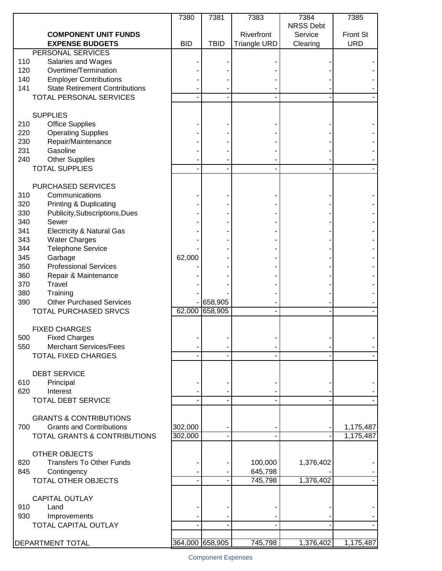|                                                                        | 7380            | 7381        | 7383                | 7384             | 7385                   |
|------------------------------------------------------------------------|-----------------|-------------|---------------------|------------------|------------------------|
|                                                                        |                 |             |                     | <b>NRSS Debt</b> |                        |
| <b>COMPONENT UNIT FUNDS</b><br><b>EXPENSE BUDGETS</b>                  | <b>BID</b>      | <b>TBID</b> | Riverfront          | Service          | Front St<br><b>URD</b> |
| PERSONAL SERVICES                                                      |                 |             | <b>Triangle URD</b> | Clearing         |                        |
| 110<br>Salaries and Wages                                              |                 |             |                     |                  |                        |
| 120<br>Overtime/Termination                                            |                 |             |                     |                  |                        |
| 140<br><b>Employer Contributions</b>                                   |                 |             |                     |                  |                        |
| 141<br><b>State Retirement Contributions</b>                           |                 |             |                     |                  |                        |
| <b>TOTAL PERSONAL SERVICES</b>                                         |                 |             |                     |                  |                        |
|                                                                        |                 |             |                     |                  |                        |
| <b>SUPPLIES</b>                                                        |                 |             |                     |                  |                        |
| <b>Office Supplies</b><br>210                                          |                 |             |                     |                  |                        |
| <b>Operating Supplies</b><br>220                                       |                 |             |                     |                  |                        |
| 230<br>Repair/Maintenance                                              |                 |             |                     |                  |                        |
| 231<br>Gasoline                                                        |                 |             |                     |                  |                        |
| 240<br><b>Other Supplies</b>                                           |                 |             |                     |                  |                        |
| <b>TOTAL SUPPLIES</b>                                                  |                 |             |                     |                  |                        |
|                                                                        |                 |             |                     |                  |                        |
| <b>PURCHASED SERVICES</b>                                              |                 |             |                     |                  |                        |
| 310<br>Communications                                                  |                 |             |                     |                  |                        |
| 320<br><b>Printing &amp; Duplicating</b>                               |                 |             |                     |                  |                        |
| 330<br>Publicity, Subscriptions, Dues                                  |                 |             |                     |                  |                        |
| 340<br>Sewer                                                           |                 |             |                     |                  |                        |
| 341<br><b>Electricity &amp; Natural Gas</b>                            |                 |             |                     |                  |                        |
| 343<br><b>Water Charges</b>                                            |                 |             |                     |                  |                        |
| 344<br><b>Telephone Service</b>                                        |                 |             |                     |                  |                        |
| 345<br>Garbage                                                         | 62,000          |             |                     |                  |                        |
| <b>Professional Services</b><br>350                                    |                 |             |                     |                  |                        |
| 360<br>Repair & Maintenance                                            |                 |             |                     |                  |                        |
| Travel<br>370                                                          |                 |             |                     |                  |                        |
| 380<br>Training                                                        |                 |             |                     |                  |                        |
| <b>Other Purchased Services</b><br>390                                 |                 | 658,905     |                     |                  |                        |
| <b>TOTAL PURCHASED SRVCS</b>                                           | 62,000          | 658,905     |                     |                  |                        |
|                                                                        |                 |             |                     |                  |                        |
| <b>FIXED CHARGES</b>                                                   |                 |             |                     |                  |                        |
| 500<br><b>Fixed Charges</b>                                            |                 |             |                     |                  |                        |
| <b>Merchant Services/Fees</b><br>550                                   |                 |             |                     |                  |                        |
| <b>TOTAL FIXED CHARGES</b>                                             |                 |             |                     |                  |                        |
|                                                                        |                 |             |                     |                  |                        |
| <b>DEBT SERVICE</b>                                                    |                 |             |                     |                  |                        |
| 610<br>Principal                                                       |                 |             |                     |                  |                        |
| 620<br>Interest                                                        |                 |             |                     |                  |                        |
| <b>TOTAL DEBT SERVICE</b>                                              |                 |             |                     |                  |                        |
|                                                                        |                 |             |                     |                  |                        |
| <b>GRANTS &amp; CONTRIBUTIONS</b>                                      |                 |             |                     |                  |                        |
| <b>Grants and Contributions</b><br>700<br>TOTAL GRANTS & CONTRIBUTIONS | 302,000         |             |                     |                  | 1,175,487              |
|                                                                        | 302,000         |             |                     |                  | 1,175,487              |
| <b>OTHER OBJECTS</b>                                                   |                 |             |                     |                  |                        |
| <b>Transfers To Other Funds</b><br>820                                 |                 |             | 100,000             | 1,376,402        |                        |
| 845<br>Contingency                                                     |                 |             | 645,798             |                  |                        |
| TOTAL OTHER OBJECTS                                                    |                 |             | 745,798             | 1,376,402        |                        |
|                                                                        |                 |             |                     |                  |                        |
| <b>CAPITAL OUTLAY</b>                                                  |                 |             |                     |                  |                        |
| Land<br>910                                                            |                 |             |                     |                  |                        |
| 930<br>Improvements                                                    |                 |             |                     |                  |                        |
| TOTAL CAPITAL OUTLAY                                                   |                 |             |                     |                  |                        |
|                                                                        |                 |             |                     |                  |                        |
| DEPARTMENT TOTAL                                                       | 364,000 658,905 |             | 745,798             | 1,376,402        | 1,175,487              |
|                                                                        |                 |             |                     |                  |                        |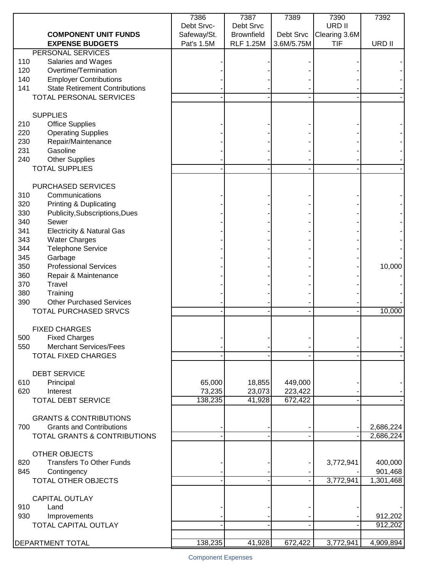| <b>COMPONENT UNIT FUNDS</b>                                                 | 7386<br>Debt Srvc-<br>Safeway/St. | 7387<br>Debt Srvc<br><b>Brownfield</b> | 7389<br>Debt Srvc | 7390<br>URD II<br>Clearing 3.6M | 7392      |
|-----------------------------------------------------------------------------|-----------------------------------|----------------------------------------|-------------------|---------------------------------|-----------|
| <b>EXPENSE BUDGETS</b>                                                      | Pat's 1.5M                        | <b>RLF 1.25M</b>                       | 3.6M/5.75M        | <b>TIF</b>                      | URD II    |
| PERSONAL SERVICES                                                           |                                   |                                        |                   |                                 |           |
| 110<br>Salaries and Wages                                                   |                                   |                                        |                   |                                 |           |
| Overtime/Termination<br>120<br>140<br><b>Employer Contributions</b>         |                                   |                                        |                   |                                 |           |
| 141<br><b>State Retirement Contributions</b>                                |                                   |                                        |                   |                                 |           |
| <b>TOTAL PERSONAL SERVICES</b>                                              |                                   |                                        |                   |                                 |           |
|                                                                             |                                   |                                        |                   |                                 |           |
| <b>SUPPLIES</b>                                                             |                                   |                                        |                   |                                 |           |
| 210<br><b>Office Supplies</b>                                               |                                   |                                        |                   |                                 |           |
| 220<br><b>Operating Supplies</b>                                            |                                   |                                        |                   |                                 |           |
| 230<br>Repair/Maintenance                                                   |                                   |                                        |                   |                                 |           |
| 231<br>Gasoline                                                             |                                   |                                        |                   |                                 |           |
| 240<br><b>Other Supplies</b>                                                |                                   |                                        |                   |                                 |           |
| <b>TOTAL SUPPLIES</b>                                                       |                                   |                                        |                   |                                 |           |
| PURCHASED SERVICES                                                          |                                   |                                        |                   |                                 |           |
| 310<br>Communications                                                       |                                   |                                        |                   |                                 |           |
| 320<br><b>Printing &amp; Duplicating</b>                                    |                                   |                                        |                   |                                 |           |
| 330<br>Publicity, Subscriptions, Dues                                       |                                   |                                        |                   |                                 |           |
| 340<br>Sewer                                                                |                                   |                                        |                   |                                 |           |
| 341<br><b>Electricity &amp; Natural Gas</b>                                 |                                   |                                        |                   |                                 |           |
| 343<br><b>Water Charges</b>                                                 |                                   |                                        |                   |                                 |           |
| <b>Telephone Service</b><br>344                                             |                                   |                                        |                   |                                 |           |
| 345<br>Garbage                                                              |                                   |                                        |                   |                                 |           |
| <b>Professional Services</b><br>350                                         |                                   |                                        |                   |                                 | 10,000    |
| 360<br>Repair & Maintenance                                                 |                                   |                                        |                   |                                 |           |
| 370<br>Travel                                                               |                                   |                                        |                   |                                 |           |
| 380<br>Training                                                             |                                   |                                        |                   |                                 |           |
| <b>Other Purchased Services</b><br>390                                      |                                   |                                        |                   |                                 |           |
| TOTAL PURCHASED SRVCS                                                       |                                   |                                        |                   |                                 | 10,000    |
| <b>FIXED CHARGES</b>                                                        |                                   |                                        |                   |                                 |           |
| 500<br><b>Fixed Charges</b>                                                 |                                   |                                        |                   |                                 |           |
| <b>Merchant Services/Fees</b><br>550                                        |                                   |                                        |                   |                                 |           |
| <b>TOTAL FIXED CHARGES</b>                                                  |                                   |                                        |                   |                                 |           |
|                                                                             |                                   |                                        |                   |                                 |           |
| <b>DEBT SERVICE</b>                                                         |                                   |                                        |                   |                                 |           |
| 610<br>Principal                                                            | 65,000                            | 18,855                                 | 449,000           |                                 |           |
| 620<br>Interest                                                             | 73,235                            | 23,073                                 | 223,422           |                                 |           |
| <b>TOTAL DEBT SERVICE</b>                                                   | 138,235                           | 41,928                                 | 672,422           |                                 |           |
|                                                                             |                                   |                                        |                   |                                 |           |
| <b>GRANTS &amp; CONTRIBUTIONS</b><br><b>Grants and Contributions</b><br>700 |                                   |                                        |                   |                                 | 2,686,224 |
| TOTAL GRANTS & CONTRIBUTIONS                                                |                                   |                                        |                   |                                 | 2,686,224 |
|                                                                             |                                   |                                        |                   |                                 |           |
| <b>OTHER OBJECTS</b>                                                        |                                   |                                        |                   |                                 |           |
| <b>Transfers To Other Funds</b><br>820                                      |                                   |                                        |                   | 3,772,941                       | 400,000   |
| Contingency<br>845                                                          |                                   |                                        |                   |                                 | 901,468   |
| TOTAL OTHER OBJECTS                                                         |                                   |                                        |                   | 3,772,941                       | 1,301,468 |
|                                                                             |                                   |                                        |                   |                                 |           |
| <b>CAPITAL OUTLAY</b>                                                       |                                   |                                        |                   |                                 |           |
| Land<br>910                                                                 |                                   |                                        |                   |                                 |           |
| 930<br>Improvements                                                         |                                   |                                        |                   |                                 | 912,202   |
| TOTAL CAPITAL OUTLAY                                                        |                                   |                                        |                   |                                 | 912,202   |
|                                                                             |                                   |                                        |                   |                                 |           |
| DEPARTMENT TOTAL                                                            | 138,235                           | 41,928                                 | 672,422           | 3,772,941                       | 4,909,894 |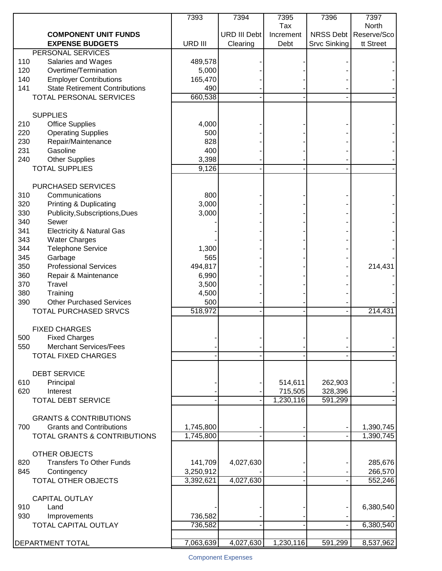|                                                                         | 7393           | 7394                | 7395             | 7396         | 7397                           |
|-------------------------------------------------------------------------|----------------|---------------------|------------------|--------------|--------------------------------|
| <b>COMPONENT UNIT FUNDS</b>                                             |                | <b>URD III Debt</b> | Tax<br>Increment |              | North<br>NRSS Debt Reserve/Sco |
| <b>EXPENSE BUDGETS</b>                                                  | URD III        | Clearing            | Debt             | Srvc Sinking | tt Street                      |
| PERSONAL SERVICES                                                       |                |                     |                  |              |                                |
| 110<br>Salaries and Wages                                               | 489,578        |                     |                  |              |                                |
| Overtime/Termination<br>120                                             | 5,000          |                     |                  |              |                                |
| 140<br><b>Employer Contributions</b>                                    | 165,470        |                     |                  |              |                                |
| 141<br><b>State Retirement Contributions</b><br>TOTAL PERSONAL SERVICES | 490<br>660,538 |                     |                  |              |                                |
|                                                                         |                |                     |                  |              |                                |
| <b>SUPPLIES</b>                                                         |                |                     |                  |              |                                |
| 210<br><b>Office Supplies</b>                                           | 4,000          |                     |                  |              |                                |
| 220<br><b>Operating Supplies</b>                                        | 500            |                     |                  |              |                                |
| 230<br>Repair/Maintenance                                               | 828            |                     |                  |              |                                |
| 231<br>Gasoline                                                         | 400            |                     |                  |              |                                |
| 240<br><b>Other Supplies</b><br><b>TOTAL SUPPLIES</b>                   | 3,398<br>9,126 |                     |                  |              |                                |
|                                                                         |                |                     |                  |              |                                |
| <b>PURCHASED SERVICES</b>                                               |                |                     |                  |              |                                |
| 310<br>Communications                                                   | 800            |                     |                  |              |                                |
| 320<br><b>Printing &amp; Duplicating</b>                                | 3,000          |                     |                  |              |                                |
| 330<br>Publicity, Subscriptions, Dues                                   | 3,000          |                     |                  |              |                                |
| 340<br>Sewer                                                            |                |                     |                  |              |                                |
| 341<br><b>Electricity &amp; Natural Gas</b>                             |                |                     |                  |              |                                |
| 343<br><b>Water Charges</b>                                             |                |                     |                  |              |                                |
| <b>Telephone Service</b><br>344<br>345<br>Garbage                       | 1,300<br>565   |                     |                  |              |                                |
| <b>Professional Services</b><br>350                                     | 494,817        |                     |                  |              | 214,431                        |
| 360<br>Repair & Maintenance                                             | 6,990          |                     |                  |              |                                |
| 370<br>Travel                                                           | 3,500          |                     |                  |              |                                |
| 380<br>Training                                                         | 4,500          |                     |                  |              |                                |
| <b>Other Purchased Services</b><br>390                                  | 500            |                     |                  |              |                                |
| <b>TOTAL PURCHASED SRVCS</b>                                            | 518,972        |                     |                  |              | 214,431                        |
|                                                                         |                |                     |                  |              |                                |
| <b>FIXED CHARGES</b><br>500<br><b>Fixed Charges</b>                     |                |                     |                  |              |                                |
| <b>Merchant Services/Fees</b><br>550                                    |                |                     |                  |              |                                |
| <b>TOTAL FIXED CHARGES</b>                                              |                |                     |                  |              |                                |
|                                                                         |                |                     |                  |              |                                |
| <b>DEBT SERVICE</b>                                                     |                |                     |                  |              |                                |
| 610<br>Principal                                                        |                |                     | 514,611          | 262,903      |                                |
| 620<br>Interest                                                         |                |                     | 715,505          | 328,396      |                                |
| <b>TOTAL DEBT SERVICE</b>                                               |                |                     | 1,230,116        | 591,299      |                                |
| <b>GRANTS &amp; CONTRIBUTIONS</b>                                       |                |                     |                  |              |                                |
| 700<br><b>Grants and Contributions</b>                                  | 1,745,800      |                     |                  |              | 1,390,745                      |
| TOTAL GRANTS & CONTRIBUTIONS                                            | 1,745,800      |                     |                  |              | 1,390,745                      |
|                                                                         |                |                     |                  |              |                                |
| <b>OTHER OBJECTS</b>                                                    |                |                     |                  |              |                                |
| <b>Transfers To Other Funds</b><br>820                                  | 141,709        | 4,027,630           |                  |              | 285,676                        |
| Contingency<br>845                                                      | 3,250,912      |                     |                  |              | 266,570                        |
| TOTAL OTHER OBJECTS                                                     | 3,392,621      | 4,027,630           |                  |              | 552,246                        |
|                                                                         |                |                     |                  |              |                                |
| <b>CAPITAL OUTLAY</b><br>Land<br>910                                    |                |                     |                  |              | 6,380,540                      |
| 930<br>Improvements                                                     | 736,582        |                     |                  |              |                                |
| TOTAL CAPITAL OUTLAY                                                    | 736,582        |                     |                  |              | 6,380,540                      |
|                                                                         |                |                     |                  |              |                                |
| DEPARTMENT TOTAL                                                        | 7,063,639      | 4,027,630           | 1,230,116        | 591,299      | 8,537,962                      |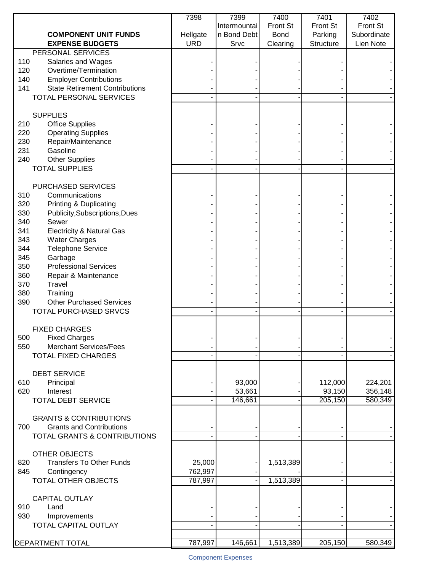|                                                                         | 7398       | 7399              | 7400            | 7401              | 7402        |
|-------------------------------------------------------------------------|------------|-------------------|-----------------|-------------------|-------------|
|                                                                         |            | Intermountai      | <b>Front St</b> | <b>Front St</b>   | Front St    |
| <b>COMPONENT UNIT FUNDS</b>                                             | Hellgate   | n Bond Debt       | <b>Bond</b>     | Parking           | Subordinate |
| <b>EXPENSE BUDGETS</b>                                                  | <b>URD</b> | Srvc              | Clearing        | Structure         | Lien Note   |
| PERSONAL SERVICES                                                       |            |                   |                 |                   |             |
| 110<br>Salaries and Wages<br>Overtime/Termination                       |            |                   |                 |                   |             |
| 120                                                                     |            |                   |                 |                   |             |
| 140<br><b>Employer Contributions</b>                                    |            |                   |                 |                   |             |
| 141<br><b>State Retirement Contributions</b><br>TOTAL PERSONAL SERVICES |            |                   |                 |                   |             |
|                                                                         |            |                   |                 |                   |             |
| <b>SUPPLIES</b>                                                         |            |                   |                 |                   |             |
| 210<br><b>Office Supplies</b>                                           |            |                   |                 |                   |             |
| 220<br><b>Operating Supplies</b>                                        |            |                   |                 |                   |             |
| 230<br>Repair/Maintenance                                               |            |                   |                 |                   |             |
| 231<br>Gasoline                                                         |            |                   |                 |                   |             |
| 240<br><b>Other Supplies</b>                                            |            |                   |                 |                   |             |
| <b>TOTAL SUPPLIES</b>                                                   |            |                   |                 |                   |             |
|                                                                         |            |                   |                 |                   |             |
| PURCHASED SERVICES                                                      |            |                   |                 |                   |             |
| 310<br>Communications                                                   |            |                   |                 |                   |             |
| 320<br><b>Printing &amp; Duplicating</b>                                |            |                   |                 |                   |             |
| 330<br>Publicity, Subscriptions, Dues                                   |            |                   |                 |                   |             |
| 340<br>Sewer                                                            |            |                   |                 |                   |             |
| 341<br><b>Electricity &amp; Natural Gas</b>                             |            |                   |                 |                   |             |
| 343<br><b>Water Charges</b>                                             |            |                   |                 |                   |             |
| <b>Telephone Service</b><br>344                                         |            |                   |                 |                   |             |
| 345<br>Garbage                                                          |            |                   |                 |                   |             |
| <b>Professional Services</b><br>350                                     |            |                   |                 |                   |             |
| 360<br>Repair & Maintenance                                             |            |                   |                 |                   |             |
| 370<br><b>Travel</b>                                                    |            |                   |                 |                   |             |
| 380<br>Training                                                         |            |                   |                 |                   |             |
| <b>Other Purchased Services</b><br>390                                  |            |                   |                 |                   |             |
| <b>TOTAL PURCHASED SRVCS</b>                                            |            |                   |                 |                   |             |
|                                                                         |            |                   |                 |                   |             |
| <b>FIXED CHARGES</b>                                                    |            |                   |                 |                   |             |
| 500<br><b>Fixed Charges</b>                                             |            |                   |                 |                   |             |
| <b>Merchant Services/Fees</b><br>550                                    |            |                   |                 |                   |             |
| <b>TOTAL FIXED CHARGES</b>                                              |            |                   |                 |                   |             |
|                                                                         |            |                   |                 |                   |             |
| <b>DEBT SERVICE</b>                                                     |            |                   |                 |                   |             |
| 610<br>Principal                                                        |            | 93,000            |                 | 112,000           | 224,201     |
| 620<br>Interest<br><b>TOTAL DEBT SERVICE</b>                            |            | 53,661<br>146,661 |                 | 93,150<br>205,150 | 356,148     |
|                                                                         |            |                   |                 |                   | 580,349     |
| <b>GRANTS &amp; CONTRIBUTIONS</b>                                       |            |                   |                 |                   |             |
| 700<br><b>Grants and Contributions</b>                                  |            |                   |                 |                   |             |
| TOTAL GRANTS & CONTRIBUTIONS                                            |            |                   |                 |                   |             |
|                                                                         |            |                   |                 |                   |             |
| <b>OTHER OBJECTS</b>                                                    |            |                   |                 |                   |             |
| <b>Transfers To Other Funds</b><br>820                                  | 25,000     |                   | 1,513,389       |                   |             |
| Contingency<br>845                                                      | 762,997    |                   |                 |                   |             |
| TOTAL OTHER OBJECTS                                                     | 787,997    |                   | 1,513,389       |                   |             |
|                                                                         |            |                   |                 |                   |             |
| <b>CAPITAL OUTLAY</b>                                                   |            |                   |                 |                   |             |
| Land<br>910                                                             |            |                   |                 |                   |             |
| 930<br>Improvements                                                     |            |                   |                 |                   |             |
| TOTAL CAPITAL OUTLAY                                                    |            |                   |                 |                   |             |
|                                                                         |            |                   |                 |                   |             |
| DEPARTMENT TOTAL                                                        | 787,997    | 146,661           | 1,513,389       | 205,150           | 580,349     |
|                                                                         |            |                   |                 |                   |             |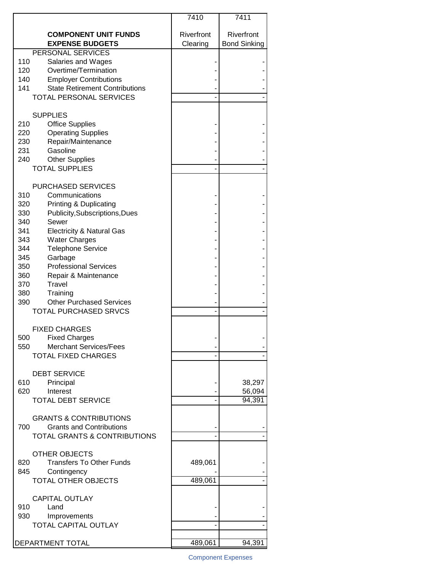|                                                       | 7410                   | 7411                              |
|-------------------------------------------------------|------------------------|-----------------------------------|
| <b>COMPONENT UNIT FUNDS</b><br><b>EXPENSE BUDGETS</b> | Riverfront<br>Clearing | Riverfront<br><b>Bond Sinking</b> |
| PERSONAL SERVICES                                     |                        |                                   |
| 110<br>Salaries and Wages                             |                        |                                   |
| 120<br>Overtime/Termination                           |                        |                                   |
| 140<br><b>Employer Contributions</b>                  |                        |                                   |
| 141<br><b>State Retirement Contributions</b>          |                        |                                   |
| <b>TOTAL PERSONAL SERVICES</b>                        |                        |                                   |
|                                                       |                        |                                   |
| <b>SUPPLIES</b>                                       |                        |                                   |
| <b>Office Supplies</b><br>210                         |                        |                                   |
| <b>Operating Supplies</b><br>220                      |                        |                                   |
| 230<br>Repair/Maintenance                             |                        |                                   |
| Gasoline<br>231                                       |                        |                                   |
| <b>Other Supplies</b><br>240                          |                        |                                   |
| <b>TOTAL SUPPLIES</b>                                 |                        |                                   |
|                                                       |                        |                                   |
| <b>PURCHASED SERVICES</b>                             |                        |                                   |
| 310<br>Communications                                 |                        |                                   |
| 320<br><b>Printing &amp; Duplicating</b>              |                        |                                   |
| 330<br>Publicity, Subscriptions, Dues                 |                        |                                   |
| 340<br>Sewer                                          |                        |                                   |
| 341<br><b>Electricity &amp; Natural Gas</b>           |                        |                                   |
| 343<br><b>Water Charges</b>                           |                        |                                   |
| 344<br><b>Telephone Service</b>                       |                        |                                   |
| 345<br>Garbage                                        |                        |                                   |
| 350<br><b>Professional Services</b>                   |                        |                                   |
| 360<br>Repair & Maintenance                           |                        |                                   |
| 370<br>Travel<br>380                                  |                        |                                   |
| Training<br>390<br><b>Other Purchased Services</b>    |                        |                                   |
| TOTAL PURCHASED SRVCS                                 |                        |                                   |
|                                                       |                        |                                   |
| <b>FIXED CHARGES</b>                                  |                        |                                   |
| 500<br><b>Fixed Charges</b>                           |                        |                                   |
| <b>Merchant Services/Fees</b><br>550                  |                        |                                   |
| <b>TOTAL FIXED CHARGES</b>                            |                        |                                   |
|                                                       |                        |                                   |
| <b>DEBT SERVICE</b>                                   |                        |                                   |
| 610<br>Principal                                      |                        | 38,297                            |
| Interest<br>620                                       |                        | 56,094                            |
| <b>TOTAL DEBT SERVICE</b>                             |                        | 94,391                            |
| <b>GRANTS &amp; CONTRIBUTIONS</b>                     |                        |                                   |
| <b>Grants and Contributions</b><br>700                |                        |                                   |
| <b>TOTAL GRANTS &amp; CONTRIBUTIONS</b>               |                        |                                   |
|                                                       |                        |                                   |
| OTHER OBJECTS                                         |                        |                                   |
| <b>Transfers To Other Funds</b><br>820                | 489,061                |                                   |
| 845<br>Contingency                                    |                        |                                   |
| <b>TOTAL OTHER OBJECTS</b>                            | 489,061                |                                   |
|                                                       |                        |                                   |
| <b>CAPITAL OUTLAY</b>                                 |                        |                                   |
| 910<br>Land                                           |                        |                                   |
| 930<br>Improvements                                   |                        |                                   |
| TOTAL CAPITAL OUTLAY                                  |                        |                                   |
|                                                       |                        |                                   |
| DEPARTMENT TOTAL                                      | 489,061                | 94,391                            |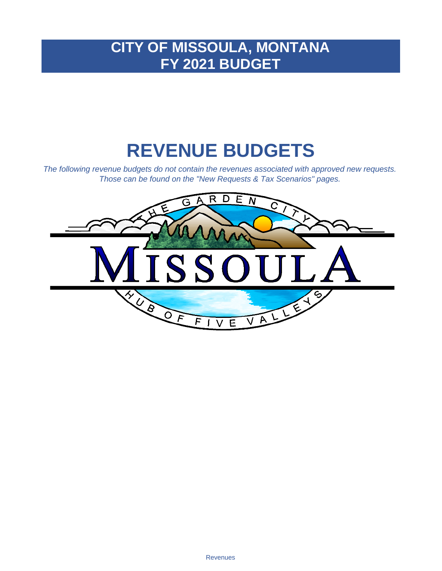# **CITY OF MISSOULA, MONTANA FY 2021 BUDGET**

# **REVENUE BUDGETS**

*The following revenue budgets do not contain the revenues associated with approved new requests. Those can be found on the "New Requests & Tax Scenarios" pages.*

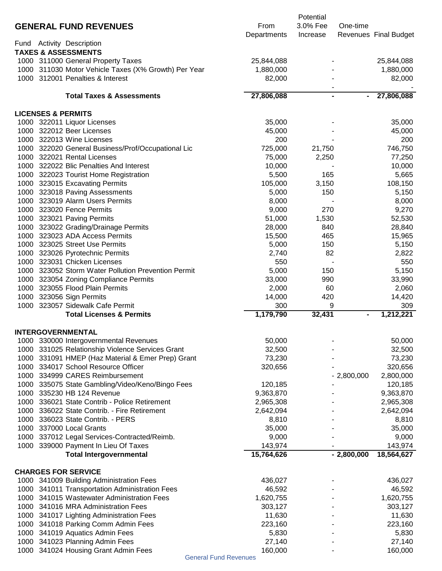|              |                                                                                   |                      | Potential      |                |                       |
|--------------|-----------------------------------------------------------------------------------|----------------------|----------------|----------------|-----------------------|
|              | <b>GENERAL FUND REVENUES</b>                                                      | From                 | 3.0% Fee       | One-time       |                       |
|              |                                                                                   | Departments          | Increase       |                | Revenues Final Budget |
| Fund         | <b>Activity Description</b>                                                       |                      |                |                |                       |
|              | <b>TAXES &amp; ASSESSMENTS</b>                                                    |                      |                |                |                       |
|              | 1000 311000 General Property Taxes                                                | 25,844,088           |                |                | 25,844,088            |
|              | 1000 311030 Motor Vehicle Taxes (X% Growth) Per Year                              | 1,880,000            |                |                | 1,880,000             |
|              | 1000 312001 Penalties & Interest                                                  | 82,000               |                |                | 82,000                |
|              | <b>Total Taxes &amp; Assessments</b>                                              | 27,806,088           | $\blacksquare$ | $\blacksquare$ | 27,806,088            |
|              |                                                                                   |                      |                |                |                       |
|              | <b>LICENSES &amp; PERMITS</b>                                                     |                      |                |                |                       |
|              | 1000 322011 Liquor Licenses                                                       | 35,000               |                |                | 35,000                |
|              | 1000 322012 Beer Licenses                                                         | 45,000               |                |                | 45,000                |
|              | 1000 322013 Wine Licenses                                                         | 200                  |                |                | 200                   |
|              | 1000 322020 General Business/Prof/Occupational Lic<br>1000 322021 Rental Licenses | 725,000              | 21,750         |                | 746,750               |
|              | 1000 322022 Blic Penalties And Interest                                           | 75,000<br>10,000     | 2,250          |                | 77,250<br>10,000      |
|              | 1000 322023 Tourist Home Registration                                             | 5,500                | 165            |                | 5,665                 |
|              | 1000 323015 Excavating Permits                                                    | 105,000              | 3,150          |                | 108,150               |
|              | 1000 323018 Paving Assessments                                                    | 5,000                | 150            |                | 5,150                 |
|              | 1000 323019 Alarm Users Permits                                                   | 8,000                |                |                | 8,000                 |
|              | 1000 323020 Fence Permits                                                         | 9,000                | 270            |                | 9,270                 |
|              | 1000 323021 Paving Permits                                                        | 51,000               | 1,530          |                | 52,530                |
|              | 1000 323022 Grading/Drainage Permits                                              | 28,000               | 840            |                | 28,840                |
|              | 1000 323023 ADA Access Permits                                                    | 15,500               | 465            |                | 15,965                |
|              | 1000 323025 Street Use Permits                                                    | 5,000                | 150            |                | 5,150                 |
|              | 1000 323026 Pyrotechnic Permits                                                   | 2,740                | 82             |                | 2,822                 |
|              | 1000 323031 Chicken Licenses                                                      | 550                  |                |                | 550                   |
|              | 1000 323052 Storm Water Pollution Prevention Permit                               | 5,000                | 150            |                | 5,150                 |
|              | 1000 323054 Zoning Compliance Permits                                             | 33,000               | 990            |                | 33,990                |
|              | 1000 323055 Flood Plain Permits                                                   | 2,000                | 60             |                | 2,060                 |
|              | 1000 323056 Sign Permits                                                          | 14,000               | 420            |                | 14,420                |
|              | 1000 323057 Sidewalk Cafe Permit                                                  | 300                  | 9              |                | 309                   |
|              | <b>Total Licenses &amp; Permits</b>                                               | 1,179,790            | 32,431         |                | 1,212,221             |
|              |                                                                                   |                      |                |                |                       |
|              | <b>INTERGOVERNMENTAL</b>                                                          |                      |                |                |                       |
|              | 1000 330000 Intergovernmental Revenues                                            | 50,000               |                |                | 50,000                |
| 1000         | 331025 Relationship Violence Services Grant                                       | 32,500               |                |                | 32,500                |
| 1000         | 331091 HMEP (Haz Material & Emer Prep) Grant                                      | 73,230               |                |                | 73,230                |
| 1000         | 334017 School Resource Officer                                                    | 320,656              |                |                | 320,656               |
| 1000<br>1000 | 334999 CARES Reimbursement                                                        |                      |                | $-2,800,000$   | 2,800,000             |
| 1000         | 335075 State Gambling/Video/Keno/Bingo Fees<br>335230 HB 124 Revenue              | 120,185<br>9,363,870 |                |                | 120,185<br>9,363,870  |
| 1000         | 336021 State Contrib - Police Retirement                                          | 2,965,308            |                |                | 2,965,308             |
| 1000         | 336022 State Contrib. - Fire Retirement                                           | 2,642,094            |                |                | 2,642,094             |
| 1000         | 336023 State Contrib. - PERS                                                      | 8,810                |                |                | 8,810                 |
| 1000         | 337000 Local Grants                                                               | 35,000               |                |                | 35,000                |
|              | 1000 337012 Legal Services-Contracted/Reimb.                                      | 9,000                |                |                | 9,000                 |
|              | 1000 339000 Payment In Lieu Of Taxes                                              | 143,974              |                |                | 143,974               |
|              | <b>Total Intergovernmental</b>                                                    | 15,764,626           |                | $-2,800,000$   | 18,564,627            |
|              |                                                                                   |                      |                |                |                       |
|              | <b>CHARGES FOR SERVICE</b>                                                        |                      |                |                |                       |
|              | 1000 341009 Building Administration Fees                                          | 436,027              |                |                | 436,027               |
|              | 1000 341011 Transportation Administration Fees                                    | 46,592               |                |                | 46,592                |
|              | 1000 341015 Wastewater Administration Fees                                        | 1,620,755            |                |                | 1,620,755             |
|              | 1000 341016 MRA Administration Fees                                               | 303,127              |                |                | 303,127               |
|              | 1000 341017 Lighting Administration Fees                                          | 11,630               |                |                | 11,630                |
|              | 1000 341018 Parking Comm Admin Fees                                               | 223,160              |                |                | 223,160               |
|              | 1000 341019 Aquatics Admin Fees                                                   | 5,830                |                |                | 5,830                 |
|              | 1000 341023 Planning Admin Fees                                                   | 27,140               |                |                | 27,140                |
|              | 1000 341024 Housing Grant Admin Fees<br><b>General Fund Revenues</b>              | 160,000              |                |                | 160,000               |
|              |                                                                                   |                      |                |                |                       |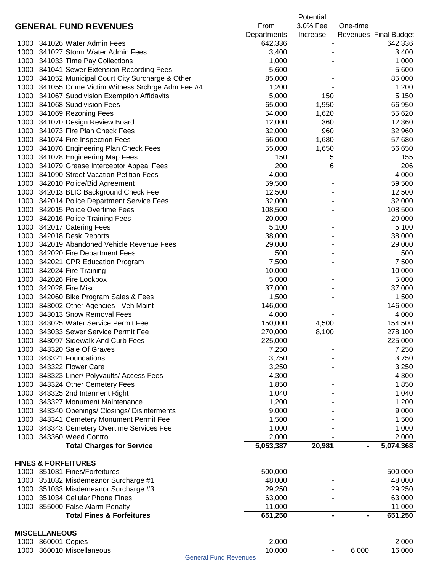|      |                                               |                                                     |             | Potential |                       |
|------|-----------------------------------------------|-----------------------------------------------------|-------------|-----------|-----------------------|
|      | <b>GENERAL FUND REVENUES</b>                  |                                                     | From        | 3.0% Fee  | One-time              |
|      |                                               |                                                     | Departments | Increase  | Revenues Final Budget |
|      | 1000 341026 Water Admin Fees                  |                                                     | 642,336     |           | 642,336               |
|      | 1000 341027 Storm Water Admin Fees            |                                                     | 3,400       |           | 3,400                 |
|      | 1000 341033 Time Pay Collections              |                                                     | 1,000       |           | 1,000                 |
|      | 1000 341041 Sewer Extension Recording Fees    |                                                     | 5,600       |           | 5,600                 |
|      |                                               |                                                     |             |           |                       |
|      |                                               | 1000 341052 Municipal Court City Surcharge & Other  | 85,000      |           | 85,000                |
|      |                                               | 1000 341055 Crime Victim Witness Srchrge Adm Fee #4 | 1,200       |           | 1,200                 |
|      | 1000 341067 Subdivision Exemption Affidavits  |                                                     | 5,000       | 150       | 5,150                 |
|      | 1000 341068 Subdivision Fees                  |                                                     | 65,000      | 1,950     | 66,950                |
|      | 1000 341069 Rezoning Fees                     |                                                     | 54,000      | 1,620     | 55,620                |
|      | 1000 341070 Design Review Board               |                                                     | 12,000      | 360       | 12,360                |
|      | 1000 341073 Fire Plan Check Fees              |                                                     | 32,000      | 960       | 32,960                |
|      | 1000 341074 Fire Inspection Fees              |                                                     | 56,000      | 1,680     | 57,680                |
|      | 1000 341076 Engineering Plan Check Fees       |                                                     | 55,000      | 1,650     | 56,650                |
|      | 1000 341078 Engineering Map Fees              |                                                     | 150         | 5         | 155                   |
| 1000 | 341079 Grease Interceptor Appeal Fees         |                                                     | 200         | 6         | 206                   |
| 1000 | 341090 Street Vacation Petition Fees          |                                                     | 4,000       |           | 4,000                 |
|      | 1000 342010 Police/Bid Agreement              |                                                     | 59,500      |           | 59,500                |
| 1000 | 342013 BLIC Background Check Fee              |                                                     | 12,500      |           | 12,500                |
| 1000 | 342014 Police Department Service Fees         |                                                     | 32,000      |           | 32,000                |
| 1000 | 342015 Police Overtime Fees                   |                                                     |             |           |                       |
|      |                                               |                                                     | 108,500     |           | 108,500               |
| 1000 | 342016 Police Training Fees                   |                                                     | 20,000      |           | 20,000                |
| 1000 | 342017 Catering Fees                          |                                                     | 5,100       |           | 5,100                 |
| 1000 | 342018 Desk Reports                           |                                                     | 38,000      |           | 38,000                |
| 1000 | 342019 Abandoned Vehicle Revenue Fees         |                                                     | 29,000      |           | 29,000                |
| 1000 | 342020 Fire Department Fees                   |                                                     | 500         |           | 500                   |
| 1000 | 342021 CPR Education Program                  |                                                     | 7,500       |           | 7,500                 |
| 1000 | 342024 Fire Training                          |                                                     | 10,000      |           | 10,000                |
| 1000 | 342026 Fire Lockbox                           |                                                     | 5,000       |           | 5,000                 |
| 1000 | 342028 Fire Misc                              |                                                     | 37,000      |           | 37,000                |
| 1000 | 342060 Bike Program Sales & Fees              |                                                     | 1,500       |           | 1,500                 |
| 1000 | 343002 Other Agencies - Veh Maint             |                                                     | 146,000     |           | 146,000               |
| 1000 | 343013 Snow Removal Fees                      |                                                     | 4,000       |           | 4,000                 |
| 1000 | 343025 Water Service Permit Fee               |                                                     | 150,000     | 4,500     | 154,500               |
|      | 1000 343033 Sewer Service Permit Fee          |                                                     | 270,000     | 8,100     | 278,100               |
| 1000 | 343097 Sidewalk And Curb Fees                 |                                                     | 225,000     |           | 225,000               |
|      |                                               |                                                     |             |           |                       |
| 1000 | 343320 Sale Of Graves                         |                                                     | 7,250       |           | 7,250                 |
|      | 1000 343321 Foundations                       |                                                     | 3,750       |           | 3,750                 |
|      | 1000 343322 Flower Care                       |                                                     | 3,250       |           | 3,250                 |
|      | 1000 343323 Liner/ Polyvaults/ Access Fees    |                                                     | 4,300       |           | 4,300                 |
|      | 1000 343324 Other Cemetery Fees               |                                                     | 1,850       |           | 1,850                 |
|      | 1000 343325 2nd Interment Right               |                                                     | 1,040       |           | 1,040                 |
|      | 1000 343327 Monument Maintenance              |                                                     | 1,200       |           | 1,200                 |
|      | 1000 343340 Openings/ Closings/ Disinterments |                                                     | 9,000       |           | 9,000                 |
|      | 1000 343341 Cemetery Monument Permit Fee      |                                                     | 1,500       |           | 1,500                 |
|      | 1000 343343 Cemetery Overtime Services Fee    |                                                     | 1,000       |           | 1,000                 |
|      | 1000 343360 Weed Control                      |                                                     | 2,000       |           | 2,000                 |
|      | <b>Total Charges for Service</b>              |                                                     | 5,053,387   | 20,981    | 5,074,368             |
|      |                                               |                                                     |             |           |                       |
|      | <b>FINES &amp; FORFEITURES</b>                |                                                     |             |           |                       |
|      | 1000 351031 Fines/Forfeitures                 |                                                     | 500,000     |           | 500,000               |
|      |                                               |                                                     |             |           |                       |
|      | 1000 351032 Misdemeanor Surcharge #1          |                                                     | 48,000      |           | 48,000                |
|      | 1000 351033 Misdemeanor Surcharge #3          |                                                     | 29,250      |           | 29,250                |
|      | 1000 351034 Cellular Phone Fines              |                                                     | 63,000      |           | 63,000                |
|      | 1000 355000 False Alarm Penalty               |                                                     | 11,000      |           | 11,000                |
|      | <b>Total Fines &amp; Forfeitures</b>          |                                                     | 651,250     |           | 651,250               |
|      |                                               |                                                     |             |           |                       |
|      | <b>MISCELLANEOUS</b>                          |                                                     |             |           |                       |
|      | 1000 360001 Copies                            |                                                     | 2,000       |           | 2,000                 |
|      | 1000 360010 Miscellaneous                     |                                                     | 10,000      |           | 16,000<br>6,000       |

General Fund Revenues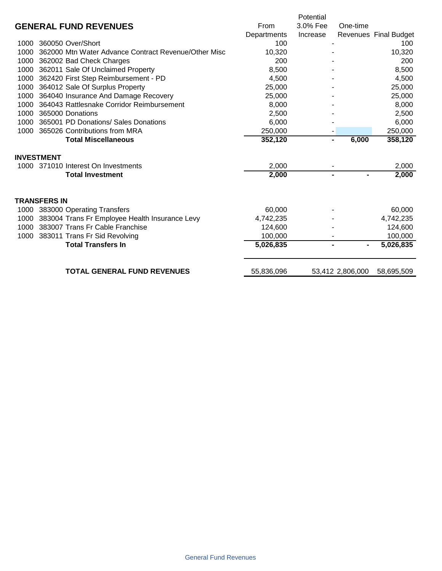|      |                                                      |             | Potential      |                  |                       |
|------|------------------------------------------------------|-------------|----------------|------------------|-----------------------|
|      | <b>GENERAL FUND REVENUES</b>                         | From        | 3.0% Fee       | One-time         |                       |
|      |                                                      | Departments | Increase       |                  | Revenues Final Budget |
| 1000 | 360050 Over/Short                                    | 100         |                |                  | 100                   |
| 1000 | 362000 Mtn Water Advance Contract Revenue/Other Misc | 10,320      |                |                  | 10,320                |
| 1000 | 362002 Bad Check Charges                             | 200         |                |                  | 200                   |
| 1000 | 362011 Sale Of Unclaimed Property                    | 8,500       |                |                  | 8,500                 |
| 1000 | 362420 First Step Reimbursement - PD                 | 4,500       |                |                  | 4,500                 |
| 1000 | 364012 Sale Of Surplus Property                      | 25,000      |                |                  | 25,000                |
| 1000 | 364040 Insurance And Damage Recovery                 | 25,000      |                |                  | 25,000                |
| 1000 | 364043 Rattlesnake Corridor Reimbursement            | 8,000       |                |                  | 8,000                 |
| 1000 | 365000 Donations                                     | 2,500       |                |                  | 2,500                 |
| 1000 | 365001 PD Donations/ Sales Donations                 | 6,000       |                |                  | 6,000                 |
| 1000 | 365026 Contributions from MRA                        | 250,000     |                |                  | 250,000               |
|      | <b>Total Miscellaneous</b>                           | 352,120     | $\blacksquare$ | 6,000            | 358,120               |
|      | <b>INVESTMENT</b>                                    |             |                |                  |                       |
|      | 1000 371010 Interest On Investments                  | 2,000       |                |                  | 2,000                 |
|      | <b>Total Investment</b>                              | 2,000       | $\blacksquare$ | $\blacksquare$   | 2,000                 |
|      |                                                      |             |                |                  |                       |
|      |                                                      |             |                |                  |                       |
|      | <b>TRANSFERS IN</b>                                  |             |                |                  |                       |
| 1000 | 383000 Operating Transfers                           | 60,000      |                |                  | 60,000                |
| 1000 | 383004 Trans Fr Employee Health Insurance Levy       | 4,742,235   |                |                  | 4,742,235             |
| 1000 | 383007 Trans Fr Cable Franchise                      | 124,600     |                |                  | 124,600               |
| 1000 | 383011 Trans Fr Sid Revolving                        | 100,000     |                |                  | 100,000               |
|      | <b>Total Transfers In</b>                            | 5,026,835   |                | $\blacksquare$   | 5,026,835             |
|      | <b>TOTAL GENERAL FUND REVENUES</b>                   |             |                |                  |                       |
|      |                                                      | 55,836,096  |                | 53,412 2,806,000 | 58,695,509            |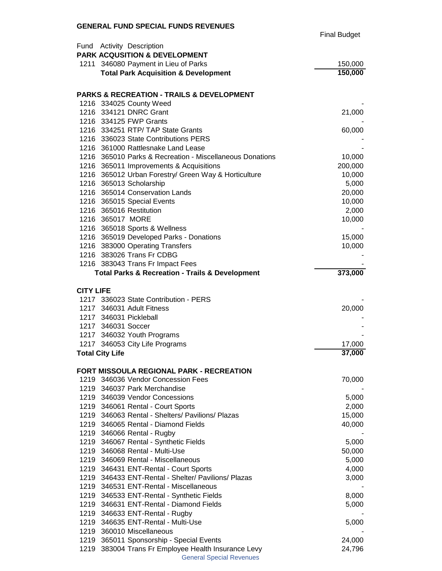#### **GENERAL FUND SPECIAL FUNDS REVENUES**

|                  |                                                                 | <b>Final Budget</b> |
|------------------|-----------------------------------------------------------------|---------------------|
|                  | Fund Activity Description                                       |                     |
|                  | PARK ACQUSITION & DEVELOPMENT                                   |                     |
|                  | 1211 346080 Payment in Lieu of Parks                            | 150,000             |
|                  | <b>Total Park Acquisition &amp; Development</b>                 | 150,000             |
|                  |                                                                 |                     |
|                  | <b>PARKS &amp; RECREATION - TRAILS &amp; DEVELOPMENT</b>        |                     |
|                  | 1216 334025 County Weed                                         |                     |
|                  | 1216 334121 DNRC Grant                                          | 21,000              |
|                  | 1216 334125 FWP Grants                                          |                     |
|                  | 1216 334251 RTP/ TAP State Grants                               | 60,000              |
|                  | 1216 336023 State Contributions PERS                            |                     |
|                  | 1216 361000 Rattlesnake Land Lease                              |                     |
|                  | 1216 365010 Parks & Recreation - Miscellaneous Donations        | 10,000              |
|                  | 1216 365011 Improvements & Acquisitions                         | 200,000             |
|                  | 1216 365012 Urban Forestry/ Green Way & Horticulture            | 10,000              |
|                  | 1216 365013 Scholarship                                         | 5,000               |
|                  | 1216 365014 Conservation Lands                                  | 20,000              |
|                  | 1216 365015 Special Events                                      | 10,000              |
|                  | 1216 365016 Restitution                                         | 2,000               |
|                  | 1216 365017 MORE                                                | 10,000              |
|                  | 1216 365018 Sports & Wellness                                   |                     |
|                  | 1216 365019 Developed Parks - Donations                         | 15,000              |
|                  | 1216 383000 Operating Transfers                                 | 10,000              |
|                  | 1216 383026 Trans Fr CDBG                                       |                     |
|                  | 1216 383043 Trans Fr Impact Fees                                | 373,000             |
|                  | <b>Total Parks &amp; Recreation - Trails &amp; Development</b>  |                     |
| <b>CITY LIFE</b> |                                                                 |                     |
|                  | 1217 336023 State Contribution - PERS                           |                     |
|                  | 1217 346031 Adult Fitness                                       | 20,000              |
|                  | 1217 346031 Pickleball                                          |                     |
|                  | 1217 346031 Soccer                                              |                     |
|                  | 1217 346032 Youth Programs                                      |                     |
|                  | 1217 346053 City Life Programs                                  | 17,000              |
|                  | <b>Total City Life</b>                                          | 37,000              |
|                  |                                                                 |                     |
|                  | <b>FORT MISSOULA REGIONAL PARK - RECREATION</b>                 |                     |
|                  | 1219 346036 Vendor Concession Fees                              | 70,000              |
|                  | 1219 346037 Park Merchandise                                    |                     |
|                  | 1219 346039 Vendor Concessions                                  | 5,000               |
|                  | 1219 346061 Rental - Court Sports                               | 2,000               |
|                  | 1219 346063 Rental - Shelters/ Pavilions/ Plazas                | 15,000              |
|                  | 1219 346065 Rental - Diamond Fields                             | 40,000              |
|                  | 1219 346066 Rental - Rugby                                      |                     |
|                  | 1219 346067 Rental - Synthetic Fields                           | 5,000               |
|                  | 1219 346068 Rental - Multi-Use                                  | 50,000              |
|                  | 1219 346069 Rental - Miscellaneous                              | 5,000               |
|                  | 1219 346431 ENT-Rental - Court Sports                           | 4,000               |
|                  | 1219 346433 ENT-Rental - Shelter/ Pavilions/ Plazas             | 3,000               |
|                  | 1219 346531 ENT-Rental - Miscellaneous                          |                     |
|                  | 1219 346533 ENT-Rental - Synthetic Fields                       | 8,000               |
|                  | 1219 346631 ENT-Rental - Diamond Fields                         | 5,000               |
|                  | 1219 346633 ENT-Rental - Rugby                                  |                     |
|                  | 1219 346635 ENT-Rental - Multi-Use<br>1219 360010 Miscellaneous | 5,000               |
|                  | 1219 365011 Sponsorship - Special Events                        | 24,000              |
|                  |                                                                 |                     |

 383004 Trans Fr Employee Health Insurance Levy 24,796 General Special Revenues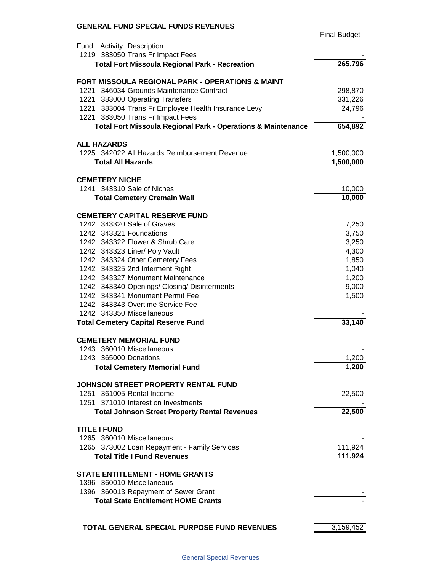#### **GENERAL FUND SPECIAL FUNDS REVENUES**

|                                                                         | <b>Final Budget</b> |
|-------------------------------------------------------------------------|---------------------|
| Fund Activity Description                                               |                     |
| 1219 383050 Trans Fr Impact Fees                                        |                     |
| <b>Total Fort Missoula Regional Park - Recreation</b>                   | 265,796             |
| <b>FORT MISSOULA REGIONAL PARK - OPERATIONS &amp; MAINT</b>             |                     |
| 1221 346034 Grounds Maintenance Contract                                | 298,870             |
| 1221 383000 Operating Transfers                                         | 331,226             |
| 1221 383004 Trans Fr Employee Health Insurance Levy                     | 24,796              |
| 1221 383050 Trans Fr Impact Fees                                        |                     |
| <b>Total Fort Missoula Regional Park - Operations &amp; Maintenance</b> | 654,892             |
| <b>ALL HAZARDS</b>                                                      |                     |
| 1225 342022 All Hazards Reimbursement Revenue                           | 1,500,000           |
| <b>Total All Hazards</b>                                                | 1,500,000           |
|                                                                         |                     |
| <b>CEMETERY NICHE</b><br>1241 343310 Sale of Niches                     |                     |
|                                                                         | 10,000              |
| <b>Total Cemetery Cremain Wall</b>                                      | 10,000              |
| <b>CEMETERY CAPITAL RESERVE FUND</b>                                    |                     |
| 1242 343320 Sale of Graves                                              | 7,250               |
| 1242 343321 Foundations                                                 | 3,750               |
| 1242 343322 Flower & Shrub Care                                         | 3,250               |
| 1242 343323 Liner/ Poly Vault                                           | 4,300               |
| 1242 343324 Other Cemetery Fees                                         | 1,850               |
| 1242 343325 2nd Interment Right                                         | 1,040               |
| 1242 343327 Monument Maintenance                                        | 1,200               |
| 1242 343340 Openings/ Closing/ Disinterments                            | 9,000               |
| 1242 343341 Monument Permit Fee                                         | 1,500               |
| 1242 343343 Overtime Service Fee                                        |                     |
| 1242 343350 Miscellaneous                                               |                     |
| <b>Total Cemetery Capital Reserve Fund</b>                              | 33,140              |
| <b>CEMETERY MEMORIAL FUND</b>                                           |                     |
| 1243 360010 Miscellaneous                                               |                     |
| 1243 365000 Donations                                                   | 1,200               |
| <b>Total Cemetery Memorial Fund</b>                                     | 1,200               |
| JOHNSON STREET PROPERTY RENTAL FUND                                     |                     |
| 1251 361005 Rental Income                                               | 22,500              |
| 1251 371010 Interest on Investments                                     |                     |
| <b>Total Johnson Street Property Rental Revenues</b>                    | 22,500              |
|                                                                         |                     |
| <b>TITLE I FUND</b><br>1265 360010 Miscellaneous                        |                     |
|                                                                         |                     |
| 1265 373002 Loan Repayment - Family Services                            | 111,924<br>111,924  |
| <b>Total Title I Fund Revenues</b>                                      |                     |
| <b>STATE ENTITLEMENT - HOME GRANTS</b>                                  |                     |
| 1396 360010 Miscellaneous                                               |                     |
| 1396 360013 Repayment of Sewer Grant                                    |                     |
| <b>Total State Entitlement HOME Grants</b>                              |                     |
|                                                                         |                     |
| TOTAL GENERAL SPECIAL PURPOSE FUND REVENUES                             | 3,159,452           |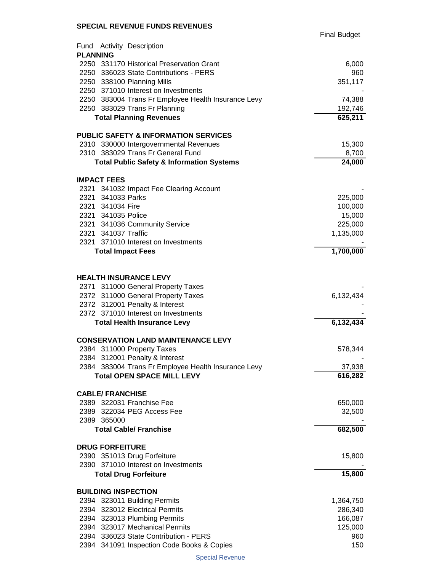Final Budget

|                 | Fund Activity Description                            |                 |
|-----------------|------------------------------------------------------|-----------------|
| <b>PLANNING</b> |                                                      |                 |
|                 | 2250 331170 Historical Preservation Grant            | 6,000           |
|                 | 2250 336023 State Contributions - PERS               | 960             |
|                 | 2250 338100 Planning Mills                           | 351,117         |
|                 | 2250 371010 Interest on Investments                  |                 |
|                 | 2250 383004 Trans Fr Employee Health Insurance Levy  | 74,388          |
|                 | 2250 383029 Trans Fr Planning                        | 192,746         |
|                 | <b>Total Planning Revenues</b>                       | 625,211         |
|                 | <b>PUBLIC SAFETY &amp; INFORMATION SERVICES</b>      |                 |
|                 | 2310 330000 Intergovernmental Revenues               | 15,300          |
|                 | 2310 383029 Trans Fr General Fund                    | 8,700           |
|                 | <b>Total Public Safety &amp; Information Systems</b> | $\sqrt{24,000}$ |
|                 | <b>IMPACT FEES</b>                                   |                 |
|                 | 2321 341032 Impact Fee Clearing Account              |                 |
|                 | 2321 341033 Parks                                    | 225,000         |
|                 | 2321 341034 Fire                                     | 100,000         |
|                 | 2321 341035 Police                                   | 15,000          |
|                 | 2321 341036 Community Service                        | 225,000         |
|                 | 2321 341037 Traffic                                  | 1,135,000       |
|                 | 2321 371010 Interest on Investments                  |                 |
|                 | <b>Total Impact Fees</b>                             | 1,700,000       |
|                 |                                                      |                 |
|                 | <b>HEALTH INSURANCE LEVY</b>                         |                 |
|                 | 2371 311000 General Property Taxes                   |                 |
|                 | 2372 311000 General Property Taxes                   | 6,132,434       |
|                 | 2372 312001 Penalty & Interest                       |                 |
|                 | 2372 371010 Interest on Investments                  |                 |
|                 | <b>Total Health Insurance Levy</b>                   | 6,132,434       |
|                 | <b>CONSERVATION LAND MAINTENANCE LEVY</b>            |                 |
|                 | 2384 311000 Property Taxes                           | 578,344         |
|                 | 2384 312001 Penalty & Interest                       |                 |
|                 | 2384 383004 Trans Fr Employee Health Insurance Levy  | 37,938          |
|                 | <b>Total OPEN SPACE MILL LEVY</b>                    | 616,282         |
|                 | <b>CABLE/ FRANCHISE</b>                              |                 |
|                 | 2389 322031 Franchise Fee                            | 650,000         |
|                 | 2389 322034 PEG Access Fee                           | 32,500          |
|                 | 2389 365000                                          |                 |
|                 | <b>Total Cable/ Franchise</b>                        | 682,500         |
|                 | <b>DRUG FORFEITURE</b>                               |                 |
|                 | 2390 351013 Drug Forfeiture                          | 15,800          |
|                 | 2390 371010 Interest on Investments                  |                 |
|                 | <b>Total Drug Forfeiture</b>                         | 15,800          |
|                 | <b>BUILDING INSPECTION</b>                           |                 |
|                 | 2394 323011 Building Permits                         | 1,364,750       |
|                 | 2394 323012 Electrical Permits                       | 286,340         |
|                 | 2394 323013 Plumbing Permits                         | 166,087         |
|                 | 2394 323017 Mechanical Permits                       | 125,000         |
|                 | 2394 336023 State Contribution - PERS                | 960             |
|                 | 2394 341091 Inspection Code Books & Copies           | 150             |

Special Revenue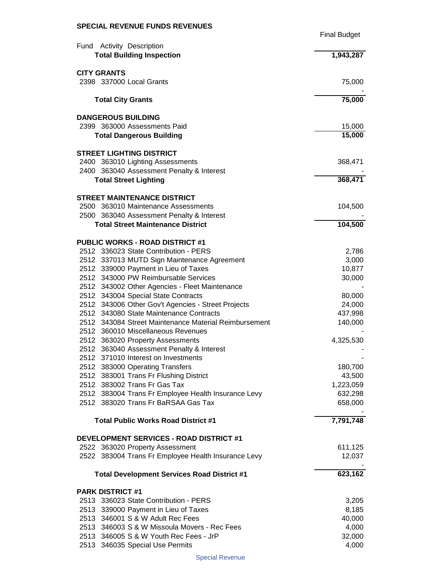| Fund Activity Description<br><b>Total Building Inspection</b><br>$\overline{1,943,287}$<br><b>CITY GRANTS</b><br>2398 337000 Local Grants<br>75,000<br>75,000<br><b>Total City Grants</b><br><b>DANGEROUS BUILDING</b><br>2399 363000 Assessments Paid<br>15,000<br>15,000<br><b>Total Dangerous Building</b><br><b>STREET LIGHTING DISTRICT</b><br>2400 363010 Lighting Assessments<br>368,471<br>2400 363040 Assessment Penalty & Interest<br><b>Total Street Lighting</b><br><b>STREET MAINTENANCE DISTRICT</b><br>2500 363010 Maintenance Assessments<br>104,500<br>2500 363040 Assessment Penalty & Interest<br>104,500<br><b>Total Street Maintenance District</b><br><b>PUBLIC WORKS - ROAD DISTRICT #1</b><br>2512 336023 State Contribution - PERS<br>2,786<br>2512 337013 MUTD Sign Maintenance Agreement<br>3,000<br>2512 339000 Payment in Lieu of Taxes<br>10,877<br>2512 343000 PW Reimbursable Services<br>30,000<br>2512 343002 Other Agencies - Fleet Maintenance<br>2512 343004 Special State Contracts<br>80,000<br>2512 343006 Other Gov't Agencies - Street Projects<br>24,000<br>2512 343080 State Maintenance Contracts<br>437,998<br>2512 343084 Street Maintenance Material Reimbursement<br>140,000<br>2512 360010 Miscellaneous Revenues<br>2512 363020 Property Assessments<br>4,325,530<br>2512<br>363040 Assessment Penalty & Interest<br>2512 371010 Interest on Investments<br>2512 383000 Operating Transfers<br>180,700<br>2512 383001 Trans Fr Flushing District<br>43,500<br>2512 383002 Trans Fr Gas Tax<br>1,223,059<br>2512 383004 Trans Fr Employee Health Insurance Levy<br>632,298<br>2512 383020 Trans Fr BaRSAA Gas Tax<br>658,000<br>7,791,748<br><b>Total Public Works Road District #1</b><br>DEVELOPMENT SERVICES - ROAD DISTRICT #1<br>2522 363020 Property Assessment<br>611,125<br>2522 383004 Trans Fr Employee Health Insurance Levy<br><b>Total Development Services Road District #1</b><br><b>PARK DISTRICT #1</b><br>2513 336023 State Contribution - PERS<br>3,205<br>2513 339000 Payment in Lieu of Taxes<br>8,185<br>2513 346001 S & W Adult Rec Fees<br>40,000<br>2513 346003 S & W Missoula Movers - Rec Fees<br>4,000<br>2513 346005 S & W Youth Rec Fees - JrP<br>32,000<br>4,000<br>2513 346035 Special Use Permits |  | <b>Final Budget</b> |
|--------------------------------------------------------------------------------------------------------------------------------------------------------------------------------------------------------------------------------------------------------------------------------------------------------------------------------------------------------------------------------------------------------------------------------------------------------------------------------------------------------------------------------------------------------------------------------------------------------------------------------------------------------------------------------------------------------------------------------------------------------------------------------------------------------------------------------------------------------------------------------------------------------------------------------------------------------------------------------------------------------------------------------------------------------------------------------------------------------------------------------------------------------------------------------------------------------------------------------------------------------------------------------------------------------------------------------------------------------------------------------------------------------------------------------------------------------------------------------------------------------------------------------------------------------------------------------------------------------------------------------------------------------------------------------------------------------------------------------------------------------------------------------------------------------------------------------------------------------------------------------------------------------------------------------------------------------------------------------------------------------------------------------------------------------------------------------------------------------------------------------------------------------------------------------------------------------------------------------------------------------------------------------------|--|---------------------|
| 368,471<br>12,037<br>623,162                                                                                                                                                                                                                                                                                                                                                                                                                                                                                                                                                                                                                                                                                                                                                                                                                                                                                                                                                                                                                                                                                                                                                                                                                                                                                                                                                                                                                                                                                                                                                                                                                                                                                                                                                                                                                                                                                                                                                                                                                                                                                                                                                                                                                                                         |  |                     |
|                                                                                                                                                                                                                                                                                                                                                                                                                                                                                                                                                                                                                                                                                                                                                                                                                                                                                                                                                                                                                                                                                                                                                                                                                                                                                                                                                                                                                                                                                                                                                                                                                                                                                                                                                                                                                                                                                                                                                                                                                                                                                                                                                                                                                                                                                      |  |                     |
|                                                                                                                                                                                                                                                                                                                                                                                                                                                                                                                                                                                                                                                                                                                                                                                                                                                                                                                                                                                                                                                                                                                                                                                                                                                                                                                                                                                                                                                                                                                                                                                                                                                                                                                                                                                                                                                                                                                                                                                                                                                                                                                                                                                                                                                                                      |  |                     |
|                                                                                                                                                                                                                                                                                                                                                                                                                                                                                                                                                                                                                                                                                                                                                                                                                                                                                                                                                                                                                                                                                                                                                                                                                                                                                                                                                                                                                                                                                                                                                                                                                                                                                                                                                                                                                                                                                                                                                                                                                                                                                                                                                                                                                                                                                      |  |                     |
|                                                                                                                                                                                                                                                                                                                                                                                                                                                                                                                                                                                                                                                                                                                                                                                                                                                                                                                                                                                                                                                                                                                                                                                                                                                                                                                                                                                                                                                                                                                                                                                                                                                                                                                                                                                                                                                                                                                                                                                                                                                                                                                                                                                                                                                                                      |  |                     |
|                                                                                                                                                                                                                                                                                                                                                                                                                                                                                                                                                                                                                                                                                                                                                                                                                                                                                                                                                                                                                                                                                                                                                                                                                                                                                                                                                                                                                                                                                                                                                                                                                                                                                                                                                                                                                                                                                                                                                                                                                                                                                                                                                                                                                                                                                      |  |                     |
|                                                                                                                                                                                                                                                                                                                                                                                                                                                                                                                                                                                                                                                                                                                                                                                                                                                                                                                                                                                                                                                                                                                                                                                                                                                                                                                                                                                                                                                                                                                                                                                                                                                                                                                                                                                                                                                                                                                                                                                                                                                                                                                                                                                                                                                                                      |  |                     |
|                                                                                                                                                                                                                                                                                                                                                                                                                                                                                                                                                                                                                                                                                                                                                                                                                                                                                                                                                                                                                                                                                                                                                                                                                                                                                                                                                                                                                                                                                                                                                                                                                                                                                                                                                                                                                                                                                                                                                                                                                                                                                                                                                                                                                                                                                      |  |                     |
|                                                                                                                                                                                                                                                                                                                                                                                                                                                                                                                                                                                                                                                                                                                                                                                                                                                                                                                                                                                                                                                                                                                                                                                                                                                                                                                                                                                                                                                                                                                                                                                                                                                                                                                                                                                                                                                                                                                                                                                                                                                                                                                                                                                                                                                                                      |  |                     |
|                                                                                                                                                                                                                                                                                                                                                                                                                                                                                                                                                                                                                                                                                                                                                                                                                                                                                                                                                                                                                                                                                                                                                                                                                                                                                                                                                                                                                                                                                                                                                                                                                                                                                                                                                                                                                                                                                                                                                                                                                                                                                                                                                                                                                                                                                      |  |                     |
|                                                                                                                                                                                                                                                                                                                                                                                                                                                                                                                                                                                                                                                                                                                                                                                                                                                                                                                                                                                                                                                                                                                                                                                                                                                                                                                                                                                                                                                                                                                                                                                                                                                                                                                                                                                                                                                                                                                                                                                                                                                                                                                                                                                                                                                                                      |  |                     |
|                                                                                                                                                                                                                                                                                                                                                                                                                                                                                                                                                                                                                                                                                                                                                                                                                                                                                                                                                                                                                                                                                                                                                                                                                                                                                                                                                                                                                                                                                                                                                                                                                                                                                                                                                                                                                                                                                                                                                                                                                                                                                                                                                                                                                                                                                      |  |                     |
|                                                                                                                                                                                                                                                                                                                                                                                                                                                                                                                                                                                                                                                                                                                                                                                                                                                                                                                                                                                                                                                                                                                                                                                                                                                                                                                                                                                                                                                                                                                                                                                                                                                                                                                                                                                                                                                                                                                                                                                                                                                                                                                                                                                                                                                                                      |  |                     |
|                                                                                                                                                                                                                                                                                                                                                                                                                                                                                                                                                                                                                                                                                                                                                                                                                                                                                                                                                                                                                                                                                                                                                                                                                                                                                                                                                                                                                                                                                                                                                                                                                                                                                                                                                                                                                                                                                                                                                                                                                                                                                                                                                                                                                                                                                      |  |                     |
|                                                                                                                                                                                                                                                                                                                                                                                                                                                                                                                                                                                                                                                                                                                                                                                                                                                                                                                                                                                                                                                                                                                                                                                                                                                                                                                                                                                                                                                                                                                                                                                                                                                                                                                                                                                                                                                                                                                                                                                                                                                                                                                                                                                                                                                                                      |  |                     |
|                                                                                                                                                                                                                                                                                                                                                                                                                                                                                                                                                                                                                                                                                                                                                                                                                                                                                                                                                                                                                                                                                                                                                                                                                                                                                                                                                                                                                                                                                                                                                                                                                                                                                                                                                                                                                                                                                                                                                                                                                                                                                                                                                                                                                                                                                      |  |                     |
|                                                                                                                                                                                                                                                                                                                                                                                                                                                                                                                                                                                                                                                                                                                                                                                                                                                                                                                                                                                                                                                                                                                                                                                                                                                                                                                                                                                                                                                                                                                                                                                                                                                                                                                                                                                                                                                                                                                                                                                                                                                                                                                                                                                                                                                                                      |  |                     |
|                                                                                                                                                                                                                                                                                                                                                                                                                                                                                                                                                                                                                                                                                                                                                                                                                                                                                                                                                                                                                                                                                                                                                                                                                                                                                                                                                                                                                                                                                                                                                                                                                                                                                                                                                                                                                                                                                                                                                                                                                                                                                                                                                                                                                                                                                      |  |                     |
|                                                                                                                                                                                                                                                                                                                                                                                                                                                                                                                                                                                                                                                                                                                                                                                                                                                                                                                                                                                                                                                                                                                                                                                                                                                                                                                                                                                                                                                                                                                                                                                                                                                                                                                                                                                                                                                                                                                                                                                                                                                                                                                                                                                                                                                                                      |  |                     |
|                                                                                                                                                                                                                                                                                                                                                                                                                                                                                                                                                                                                                                                                                                                                                                                                                                                                                                                                                                                                                                                                                                                                                                                                                                                                                                                                                                                                                                                                                                                                                                                                                                                                                                                                                                                                                                                                                                                                                                                                                                                                                                                                                                                                                                                                                      |  |                     |
|                                                                                                                                                                                                                                                                                                                                                                                                                                                                                                                                                                                                                                                                                                                                                                                                                                                                                                                                                                                                                                                                                                                                                                                                                                                                                                                                                                                                                                                                                                                                                                                                                                                                                                                                                                                                                                                                                                                                                                                                                                                                                                                                                                                                                                                                                      |  |                     |
|                                                                                                                                                                                                                                                                                                                                                                                                                                                                                                                                                                                                                                                                                                                                                                                                                                                                                                                                                                                                                                                                                                                                                                                                                                                                                                                                                                                                                                                                                                                                                                                                                                                                                                                                                                                                                                                                                                                                                                                                                                                                                                                                                                                                                                                                                      |  |                     |
|                                                                                                                                                                                                                                                                                                                                                                                                                                                                                                                                                                                                                                                                                                                                                                                                                                                                                                                                                                                                                                                                                                                                                                                                                                                                                                                                                                                                                                                                                                                                                                                                                                                                                                                                                                                                                                                                                                                                                                                                                                                                                                                                                                                                                                                                                      |  |                     |
|                                                                                                                                                                                                                                                                                                                                                                                                                                                                                                                                                                                                                                                                                                                                                                                                                                                                                                                                                                                                                                                                                                                                                                                                                                                                                                                                                                                                                                                                                                                                                                                                                                                                                                                                                                                                                                                                                                                                                                                                                                                                                                                                                                                                                                                                                      |  |                     |
|                                                                                                                                                                                                                                                                                                                                                                                                                                                                                                                                                                                                                                                                                                                                                                                                                                                                                                                                                                                                                                                                                                                                                                                                                                                                                                                                                                                                                                                                                                                                                                                                                                                                                                                                                                                                                                                                                                                                                                                                                                                                                                                                                                                                                                                                                      |  |                     |
|                                                                                                                                                                                                                                                                                                                                                                                                                                                                                                                                                                                                                                                                                                                                                                                                                                                                                                                                                                                                                                                                                                                                                                                                                                                                                                                                                                                                                                                                                                                                                                                                                                                                                                                                                                                                                                                                                                                                                                                                                                                                                                                                                                                                                                                                                      |  |                     |
|                                                                                                                                                                                                                                                                                                                                                                                                                                                                                                                                                                                                                                                                                                                                                                                                                                                                                                                                                                                                                                                                                                                                                                                                                                                                                                                                                                                                                                                                                                                                                                                                                                                                                                                                                                                                                                                                                                                                                                                                                                                                                                                                                                                                                                                                                      |  |                     |
|                                                                                                                                                                                                                                                                                                                                                                                                                                                                                                                                                                                                                                                                                                                                                                                                                                                                                                                                                                                                                                                                                                                                                                                                                                                                                                                                                                                                                                                                                                                                                                                                                                                                                                                                                                                                                                                                                                                                                                                                                                                                                                                                                                                                                                                                                      |  |                     |
|                                                                                                                                                                                                                                                                                                                                                                                                                                                                                                                                                                                                                                                                                                                                                                                                                                                                                                                                                                                                                                                                                                                                                                                                                                                                                                                                                                                                                                                                                                                                                                                                                                                                                                                                                                                                                                                                                                                                                                                                                                                                                                                                                                                                                                                                                      |  |                     |
|                                                                                                                                                                                                                                                                                                                                                                                                                                                                                                                                                                                                                                                                                                                                                                                                                                                                                                                                                                                                                                                                                                                                                                                                                                                                                                                                                                                                                                                                                                                                                                                                                                                                                                                                                                                                                                                                                                                                                                                                                                                                                                                                                                                                                                                                                      |  |                     |
|                                                                                                                                                                                                                                                                                                                                                                                                                                                                                                                                                                                                                                                                                                                                                                                                                                                                                                                                                                                                                                                                                                                                                                                                                                                                                                                                                                                                                                                                                                                                                                                                                                                                                                                                                                                                                                                                                                                                                                                                                                                                                                                                                                                                                                                                                      |  |                     |
|                                                                                                                                                                                                                                                                                                                                                                                                                                                                                                                                                                                                                                                                                                                                                                                                                                                                                                                                                                                                                                                                                                                                                                                                                                                                                                                                                                                                                                                                                                                                                                                                                                                                                                                                                                                                                                                                                                                                                                                                                                                                                                                                                                                                                                                                                      |  |                     |
|                                                                                                                                                                                                                                                                                                                                                                                                                                                                                                                                                                                                                                                                                                                                                                                                                                                                                                                                                                                                                                                                                                                                                                                                                                                                                                                                                                                                                                                                                                                                                                                                                                                                                                                                                                                                                                                                                                                                                                                                                                                                                                                                                                                                                                                                                      |  |                     |
|                                                                                                                                                                                                                                                                                                                                                                                                                                                                                                                                                                                                                                                                                                                                                                                                                                                                                                                                                                                                                                                                                                                                                                                                                                                                                                                                                                                                                                                                                                                                                                                                                                                                                                                                                                                                                                                                                                                                                                                                                                                                                                                                                                                                                                                                                      |  |                     |
|                                                                                                                                                                                                                                                                                                                                                                                                                                                                                                                                                                                                                                                                                                                                                                                                                                                                                                                                                                                                                                                                                                                                                                                                                                                                                                                                                                                                                                                                                                                                                                                                                                                                                                                                                                                                                                                                                                                                                                                                                                                                                                                                                                                                                                                                                      |  |                     |
|                                                                                                                                                                                                                                                                                                                                                                                                                                                                                                                                                                                                                                                                                                                                                                                                                                                                                                                                                                                                                                                                                                                                                                                                                                                                                                                                                                                                                                                                                                                                                                                                                                                                                                                                                                                                                                                                                                                                                                                                                                                                                                                                                                                                                                                                                      |  |                     |
|                                                                                                                                                                                                                                                                                                                                                                                                                                                                                                                                                                                                                                                                                                                                                                                                                                                                                                                                                                                                                                                                                                                                                                                                                                                                                                                                                                                                                                                                                                                                                                                                                                                                                                                                                                                                                                                                                                                                                                                                                                                                                                                                                                                                                                                                                      |  |                     |
|                                                                                                                                                                                                                                                                                                                                                                                                                                                                                                                                                                                                                                                                                                                                                                                                                                                                                                                                                                                                                                                                                                                                                                                                                                                                                                                                                                                                                                                                                                                                                                                                                                                                                                                                                                                                                                                                                                                                                                                                                                                                                                                                                                                                                                                                                      |  |                     |
|                                                                                                                                                                                                                                                                                                                                                                                                                                                                                                                                                                                                                                                                                                                                                                                                                                                                                                                                                                                                                                                                                                                                                                                                                                                                                                                                                                                                                                                                                                                                                                                                                                                                                                                                                                                                                                                                                                                                                                                                                                                                                                                                                                                                                                                                                      |  |                     |
|                                                                                                                                                                                                                                                                                                                                                                                                                                                                                                                                                                                                                                                                                                                                                                                                                                                                                                                                                                                                                                                                                                                                                                                                                                                                                                                                                                                                                                                                                                                                                                                                                                                                                                                                                                                                                                                                                                                                                                                                                                                                                                                                                                                                                                                                                      |  |                     |
|                                                                                                                                                                                                                                                                                                                                                                                                                                                                                                                                                                                                                                                                                                                                                                                                                                                                                                                                                                                                                                                                                                                                                                                                                                                                                                                                                                                                                                                                                                                                                                                                                                                                                                                                                                                                                                                                                                                                                                                                                                                                                                                                                                                                                                                                                      |  |                     |
|                                                                                                                                                                                                                                                                                                                                                                                                                                                                                                                                                                                                                                                                                                                                                                                                                                                                                                                                                                                                                                                                                                                                                                                                                                                                                                                                                                                                                                                                                                                                                                                                                                                                                                                                                                                                                                                                                                                                                                                                                                                                                                                                                                                                                                                                                      |  |                     |
|                                                                                                                                                                                                                                                                                                                                                                                                                                                                                                                                                                                                                                                                                                                                                                                                                                                                                                                                                                                                                                                                                                                                                                                                                                                                                                                                                                                                                                                                                                                                                                                                                                                                                                                                                                                                                                                                                                                                                                                                                                                                                                                                                                                                                                                                                      |  |                     |
|                                                                                                                                                                                                                                                                                                                                                                                                                                                                                                                                                                                                                                                                                                                                                                                                                                                                                                                                                                                                                                                                                                                                                                                                                                                                                                                                                                                                                                                                                                                                                                                                                                                                                                                                                                                                                                                                                                                                                                                                                                                                                                                                                                                                                                                                                      |  |                     |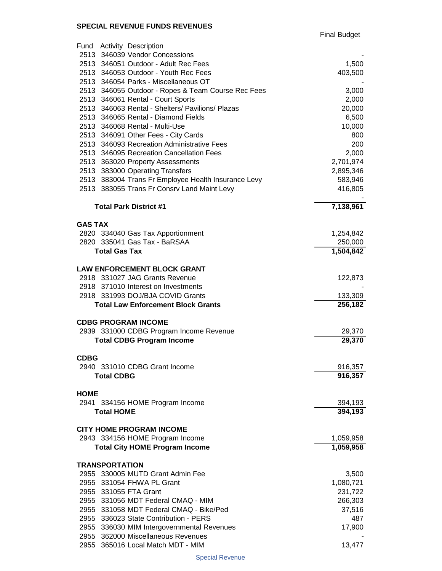Final Budget

| Fund Activity Description                                 |                        |
|-----------------------------------------------------------|------------------------|
| 2513 346039 Vendor Concessions                            |                        |
| 2513 346051 Outdoor - Adult Rec Fees                      | 1,500                  |
| 2513 346053 Outdoor - Youth Rec Fees                      | 403,500                |
| 2513 346054 Parks - Miscellaneous OT                      |                        |
| 2513 346055 Outdoor - Ropes & Team Course Rec Fees        | 3,000                  |
| 2513 346061 Rental - Court Sports                         | 2,000                  |
| 2513 346063 Rental - Shelters/ Pavilions/ Plazas          | 20,000                 |
| 2513 346065 Rental - Diamond Fields                       | 6,500                  |
| 2513 346068 Rental - Multi-Use                            | 10,000                 |
| 2513 346091 Other Fees - City Cards                       | 800                    |
| 2513 346093 Recreation Administrative Fees                | 200                    |
| 2513 346095 Recreation Cancellation Fees                  | 2,000                  |
| 2513 363020 Property Assessments                          | 2,701,974              |
| 2513 383000 Operating Transfers                           | 2,895,346              |
| 2513 383004 Trans Fr Employee Health Insurance Levy       | 583,946                |
| 2513 383055 Trans Fr Consrv Land Maint Levy               | 416,805                |
| <b>Total Park District #1</b>                             | $\overline{7,138,961}$ |
| <b>GAS TAX</b>                                            |                        |
| 2820 334040 Gas Tax Apportionment                         | 1,254,842              |
| 2820 335041 Gas Tax - BaRSAA                              | 250,000                |
| <b>Total Gas Tax</b>                                      | 1,504,842              |
|                                                           |                        |
| <b>LAW ENFORCEMENT BLOCK GRANT</b>                        |                        |
| 2918 331027 JAG Grants Revenue                            | 122,873                |
| 2918 371010 Interest on Investments                       |                        |
| 2918 331993 DOJ/BJA COVID Grants                          | 133,309                |
| <b>Total Law Enforcement Block Grants</b>                 | 256,182                |
| <b>CDBG PROGRAM INCOME</b>                                |                        |
| 2939 331000 CDBG Program Income Revenue                   | 29,370                 |
| <b>Total CDBG Program Income</b>                          | 29,370                 |
|                                                           |                        |
| <b>CDBG</b><br>2940 331010 CDBG Grant Income              | 916,357                |
| <b>Total CDBG</b>                                         | 916,357                |
|                                                           |                        |
| <b>HOME</b>                                               |                        |
| 2941 334156 HOME Program Income                           | 394,193                |
| <b>Total HOME</b>                                         | 394,193                |
| <b>CITY HOME PROGRAM INCOME</b>                           |                        |
| 2943 334156 HOME Program Income                           | 1,059,958              |
| <b>Total City HOME Program Income</b>                     | 1,059,958              |
|                                                           |                        |
| <b>TRANSPORTATION</b><br>2955 330005 MUTD Grant Admin Fee | 3,500                  |
| 2955 331054 FHWA PL Grant                                 | 1,080,721              |
| 2955 331055 FTA Grant                                     | 231,722                |
| 2955 331056 MDT Federal CMAQ - MIM                        | 266,303                |
| 2955 331058 MDT Federal CMAQ - Bike/Ped                   | 37,516                 |
| 2955 336023 State Contribution - PERS                     | 487                    |
| 2955 336030 MIM Intergovernmental Revenues                | 17,900                 |
| 2955 362000 Miscellaneous Revenues                        |                        |
| 2955 365016 Local Match MDT - MIM                         | 13,477                 |
|                                                           |                        |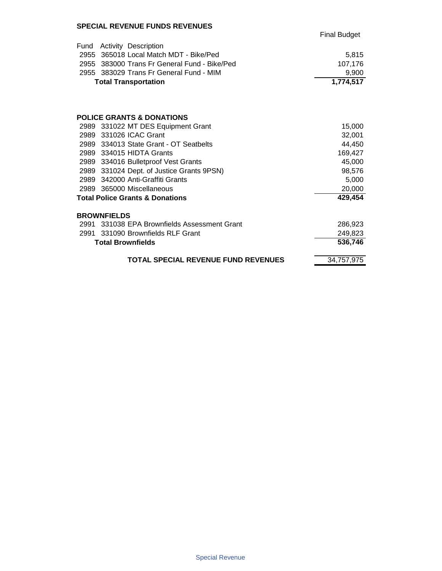|      |                                              | <b>Final Budget</b> |
|------|----------------------------------------------|---------------------|
| Fund | Activity Description                         |                     |
|      | 2955 365018 Local Match MDT - Bike/Ped       | 5,815               |
|      | 2955 383000 Trans Fr General Fund - Bike/Ped | 107,176             |
|      | 2955 383029 Trans Fr General Fund - MIM      | 9,900               |
|      | <b>Total Transportation</b>                  | 1,774,517           |
|      |                                              |                     |
|      | <b>POLICE GRANTS &amp; DONATIONS</b>         |                     |
|      | 2989 331022 MT DES Equipment Grant           | 15,000              |
|      | 2989 331026 ICAC Grant                       | 32,001              |
|      | 2989 334013 State Grant - OT Seatbelts       | 44,450              |
|      | 2989 334015 HIDTA Grants                     | 169,427             |
|      | 2989 334016 Bulletproof Vest Grants          | 45,000              |
|      | 2989 331024 Dept. of Justice Grants 9PSN)    | 98,576              |
|      | 2989 342000 Anti-Graffiti Grants             | 5,000               |
|      | 2989 365000 Miscellaneous                    | 20,000              |
|      | <b>Total Police Grants &amp; Donations</b>   | 429,454             |
|      | <b>BROWNFIELDS</b>                           |                     |
|      | 2991 331038 EPA Brownfields Assessment Grant | 286,923             |
|      | 2991 331090 Brownfields RLF Grant            | 249,823             |
|      | <b>Total Brownfields</b>                     | 536,746             |
|      | <b>TOTAL SPECIAL REVENUE FUND REVENUES</b>   | 34,757,975          |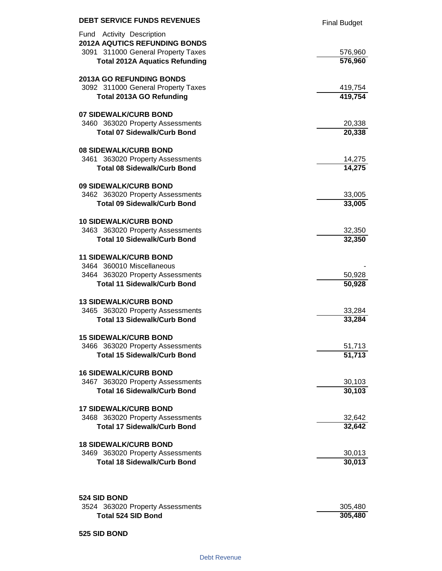| <b>DEBT SERVICE FUNDS REVENUES</b>                                                                                                               | <b>Final Budget</b> |
|--------------------------------------------------------------------------------------------------------------------------------------------------|---------------------|
| Fund Activity Description<br><b>2012A AQUTICS REFUNDING BONDS</b><br>3091 311000 General Property Taxes<br><b>Total 2012A Aquatics Refunding</b> | 576,960<br>576,960  |
|                                                                                                                                                  |                     |
| <b>2013A GO REFUNDING BONDS</b>                                                                                                                  |                     |
| 3092 311000 General Property Taxes                                                                                                               | 419,754             |
| <b>Total 2013A GO Refunding</b>                                                                                                                  | 419,754             |
| 07 SIDEWALK/CURB BOND                                                                                                                            |                     |
| 3460 363020 Property Assessments                                                                                                                 | 20,338              |
| <b>Total 07 Sidewalk/Curb Bond</b>                                                                                                               | 20,338              |
| <b>08 SIDEWALK/CURB BOND</b>                                                                                                                     |                     |
| 3461 363020 Property Assessments                                                                                                                 | 14,275              |
| <b>Total 08 Sidewalk/Curb Bond</b>                                                                                                               | 14,275              |
| 09 SIDEWALK/CURB BOND                                                                                                                            |                     |
| 3462 363020 Property Assessments                                                                                                                 | 33,005              |
| <b>Total 09 Sidewalk/Curb Bond</b>                                                                                                               | 33,005              |
| <b>10 SIDEWALK/CURB BOND</b>                                                                                                                     |                     |
| 3463 363020 Property Assessments                                                                                                                 | 32,350              |
| <b>Total 10 Sidewalk/Curb Bond</b>                                                                                                               | 32,350              |
| <b>11 SIDEWALK/CURB BOND</b>                                                                                                                     |                     |
| 3464 360010 Miscellaneous                                                                                                                        |                     |
| 3464 363020 Property Assessments                                                                                                                 | 50,928              |
| <b>Total 11 Sidewalk/Curb Bond</b>                                                                                                               | 50,928              |
| <b>13 SIDEWALK/CURB BOND</b>                                                                                                                     |                     |
| 3465 363020 Property Assessments                                                                                                                 | 33,284              |
| <b>Total 13 Sidewalk/Curb Bond</b>                                                                                                               | 33,284              |
| <b>15 SIDEWALK/CURB BOND</b>                                                                                                                     |                     |
| 3466 363020 Property Assessments                                                                                                                 | 51,713              |
| <b>Total 15 Sidewalk/Curb Bond</b>                                                                                                               | 51,713              |
| <b>16 SIDEWALK/CURB BOND</b>                                                                                                                     |                     |
| 3467 363020 Property Assessments                                                                                                                 | 30,103              |
| <b>Total 16 Sidewalk/Curb Bond</b>                                                                                                               | 30,103              |
| <b>17 SIDEWALK/CURB BOND</b>                                                                                                                     |                     |
| 3468 363020 Property Assessments                                                                                                                 | 32,642              |
| <b>Total 17 Sidewalk/Curb Bond</b>                                                                                                               | 32,642              |
| <b>18 SIDEWALK/CURB BOND</b>                                                                                                                     |                     |
| 3469 363020 Property Assessments                                                                                                                 | 30,013              |
| <b>Total 18 Sidewalk/Curb Bond</b>                                                                                                               | 30,013              |
|                                                                                                                                                  |                     |
| 524 SID BOND                                                                                                                                     |                     |
| 3524 363020 Property Assessments                                                                                                                 | 305,480             |
| <b>Total 524 SID Bond</b>                                                                                                                        | 305,480             |

#### **525 SID BOND**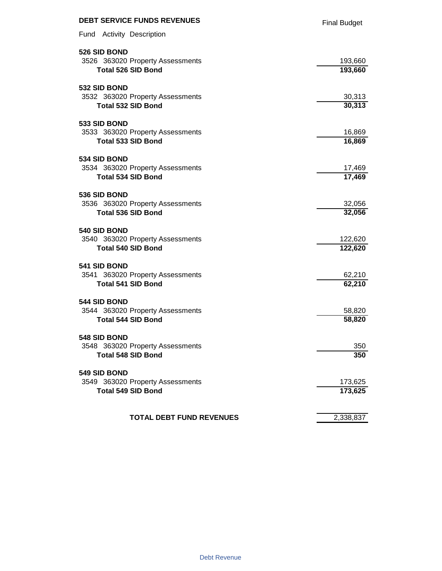| <b>DEBT SERVICE FUNDS REVENUES</b> | <b>Final Budget</b> |
|------------------------------------|---------------------|
| Fund Activity Description          |                     |
| 526 SID BOND                       |                     |
| 3526 363020 Property Assessments   | 193,660             |
| <b>Total 526 SID Bond</b>          | 193,660             |
| 532 SID BOND                       |                     |
| 3532 363020 Property Assessments   | 30,313              |
| <b>Total 532 SID Bond</b>          | 30,313              |
| 533 SID BOND                       |                     |
| 3533 363020 Property Assessments   | 16,869              |
| <b>Total 533 SID Bond</b>          | 16,869              |
| 534 SID BOND                       |                     |
| 3534 363020 Property Assessments   | 17,469              |
| <b>Total 534 SID Bond</b>          | 17,469              |
| 536 SID BOND                       |                     |
| 3536 363020 Property Assessments   | 32,056              |
| <b>Total 536 SID Bond</b>          | 32,056              |
| 540 SID BOND                       |                     |
| 3540 363020 Property Assessments   | 122,620             |
| <b>Total 540 SID Bond</b>          | 122,620             |
| 541 SID BOND                       |                     |
| 3541 363020 Property Assessments   | 62,210              |
| <b>Total 541 SID Bond</b>          | 62,210              |
| 544 SID BOND                       |                     |
| 3544 363020 Property Assessments   | 58,820              |
| <b>Total 544 SID Bond</b>          | 58,820              |
| 548 SID BOND                       |                     |
| 3548 363020 Property Assessments   | 350                 |
| <b>Total 548 SID Bond</b>          | 350                 |
| 549 SID BOND                       |                     |
| 3549 363020 Property Assessments   | 173,625             |
| <b>Total 549 SID Bond</b>          | 173,625             |
|                                    |                     |
| <b>TOTAL DEBT FUND REVENUES</b>    | 2,338,837           |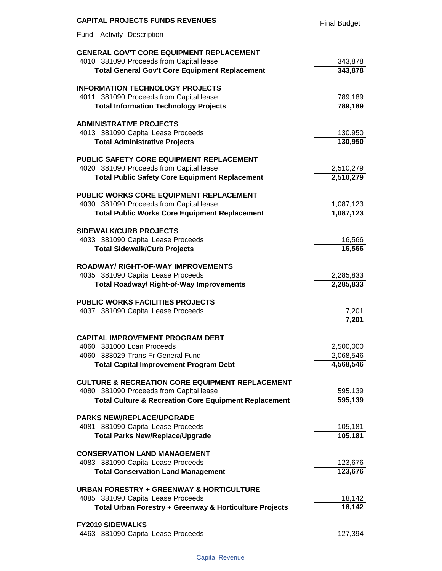| <b>CAPITAL PROJECTS FUNDS REVENUES</b>                                                          | <b>Final Budget</b>    |
|-------------------------------------------------------------------------------------------------|------------------------|
| Fund<br><b>Activity Description</b>                                                             |                        |
| <b>GENERAL GOV'T CORE EQUIPMENT REPLACEMENT</b>                                                 |                        |
| 4010 381090 Proceeds from Capital lease                                                         | 343,878                |
| <b>Total General Gov't Core Equipment Replacement</b>                                           | 343,878                |
| <b>INFORMATION TECHNOLOGY PROJECTS</b>                                                          |                        |
| 4011 381090 Proceeds from Capital lease                                                         | 789,189                |
| <b>Total Information Technology Projects</b>                                                    | 789,189                |
| <b>ADMINISTRATIVE PROJECTS</b>                                                                  |                        |
| 4013 381090 Capital Lease Proceeds                                                              | 130,950                |
| <b>Total Administrative Projects</b>                                                            | 130,950                |
| PUBLIC SAFETY CORE EQUIPMENT REPLACEMENT                                                        |                        |
| 4020 381090 Proceeds from Capital lease                                                         | 2,510,279              |
| <b>Total Public Safety Core Equipment Replacement</b>                                           | 2,510,279              |
| <b>PUBLIC WORKS CORE EQUIPMENT REPLACEMENT</b>                                                  |                        |
| 4030 381090 Proceeds from Capital lease<br><b>Total Public Works Core Equipment Replacement</b> | 1,087,123<br>1,087,123 |
|                                                                                                 |                        |
| <b>SIDEWALK/CURB PROJECTS</b><br>4033 381090 Capital Lease Proceeds                             | 16,566                 |
| <b>Total Sidewalk/Curb Projects</b>                                                             | 16,566                 |
|                                                                                                 |                        |
| <b>ROADWAY/ RIGHT-OF-WAY IMPROVEMENTS</b>                                                       |                        |
| 4035 381090 Capital Lease Proceeds                                                              | 2,285,833              |
| <b>Total Roadway/ Right-of-Way Improvements</b>                                                 | 2,285,833              |
| <b>PUBLIC WORKS FACILITIES PROJECTS</b>                                                         |                        |
| 4037 381090 Capital Lease Proceeds                                                              | 7,201                  |
|                                                                                                 | 7,201                  |
| <b>CAPITAL IMPROVEMENT PROGRAM DEBT</b>                                                         |                        |
| 4060 381000 Loan Proceeds                                                                       | 2,500,000              |
| 4060 383029 Trans Fr General Fund                                                               | 2,068,546              |
| <b>Total Capital Improvement Program Debt</b>                                                   | 4,568,546              |
| <b>CULTURE &amp; RECREATION CORE EQUIPMENT REPLACEMENT</b>                                      |                        |
| 4080 381090 Proceeds from Capital lease                                                         | 595,139<br>595,139     |
| <b>Total Culture &amp; Recreation Core Equipment Replacement</b>                                |                        |
| <b>PARKS NEW/REPLACE/UPGRADE</b>                                                                |                        |
| 4081 381090 Capital Lease Proceeds                                                              | 105,181                |
| <b>Total Parks New/Replace/Upgrade</b>                                                          | 105,181                |
| <b>CONSERVATION LAND MANAGEMENT</b>                                                             |                        |
| 4083 381090 Capital Lease Proceeds                                                              | 123,676                |
| <b>Total Conservation Land Management</b>                                                       | 123,676                |
| <b>URBAN FORESTRY + GREENWAY &amp; HORTICULTURE</b>                                             |                        |
| 4085 381090 Capital Lease Proceeds<br>Total Urban Forestry + Greenway & Horticulture Projects   | 18,142<br>18,142       |
|                                                                                                 |                        |
| <b>FY2019 SIDEWALKS</b>                                                                         |                        |
| 4463 381090 Capital Lease Proceeds                                                              | 127,394                |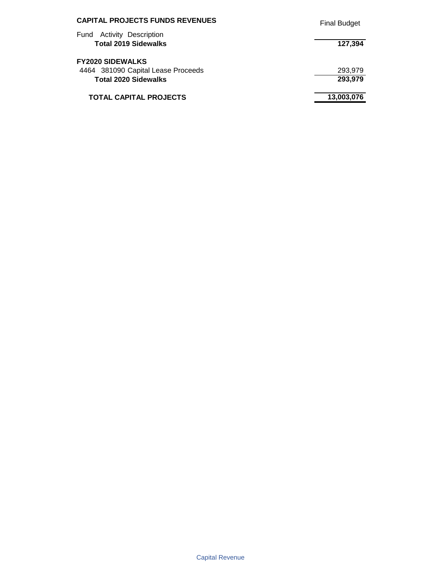| <b>CAPITAL PROJECTS FUNDS REVENUES</b>                             | <b>Final Budget</b> |
|--------------------------------------------------------------------|---------------------|
| <b>Activity Description</b><br>Fund<br><b>Total 2019 Sidewalks</b> | 127,394             |
| <b>FY2020 SIDEWALKS</b>                                            |                     |
| 4464 381090 Capital Lease Proceeds<br><b>Total 2020 Sidewalks</b>  | 293,979<br>293,979  |
| <b>TOTAL CAPITAL PROJECTS</b>                                      | 13,003,076          |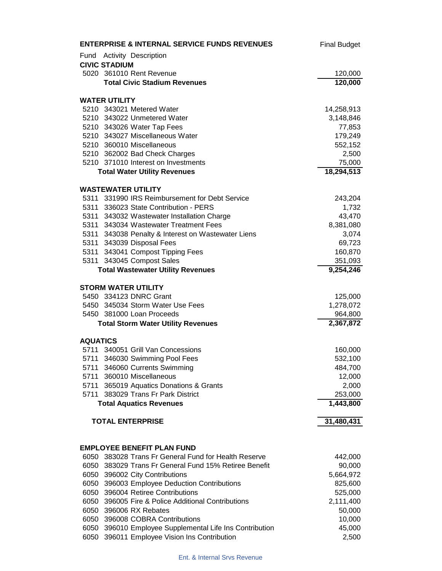|                 | <b>ENTERPRISE &amp; INTERNAL SERVICE FUNDS REVENUES</b> | <b>Final Budget</b> |
|-----------------|---------------------------------------------------------|---------------------|
|                 | Fund Activity Description                               |                     |
|                 | <b>CIVIC STADIUM</b>                                    |                     |
|                 | 5020 361010 Rent Revenue                                | 120,000             |
|                 | <b>Total Civic Stadium Revenues</b>                     | 120,000             |
|                 | <b>WATER UTILITY</b>                                    |                     |
|                 | 5210 343021 Metered Water                               | 14,258,913          |
|                 | 5210 343022 Unmetered Water                             | 3,148,846           |
|                 | 5210 343026 Water Tap Fees                              | 77,853              |
|                 | 5210 343027 Miscellaneous Water                         | 179,249             |
|                 | 5210 360010 Miscellaneous                               | 552,152             |
|                 | 5210 362002 Bad Check Charges                           | 2,500               |
|                 | 5210 371010 Interest on Investments                     | 75,000              |
|                 | <b>Total Water Utility Revenues</b>                     | 18,294,513          |
|                 | <b>WASTEWATER UTILITY</b>                               |                     |
|                 | 5311 331990 IRS Reimbursement for Debt Service          | 243,204             |
|                 | 5311 336023 State Contribution - PERS                   | 1,732               |
|                 | 5311 343032 Wastewater Installation Charge              | 43,470              |
|                 | 5311 343034 Wastewater Treatment Fees                   | 8,381,080           |
|                 | 5311 343038 Penalty & Interest on Wastewater Liens      | 3,074               |
|                 | 5311 343039 Disposal Fees                               | 69,723              |
|                 | 5311 343041 Compost Tipping Fees                        | 160,870             |
|                 | 5311 343045 Compost Sales                               | 351,093             |
|                 | <b>Total Wastewater Utility Revenues</b>                | 9,254,246           |
|                 | <b>STORM WATER UTILITY</b>                              |                     |
|                 | 5450 334123 DNRC Grant                                  | 125,000             |
|                 | 5450 345034 Storm Water Use Fees                        | 1,278,072           |
|                 | 5450 381000 Loan Proceeds                               | 964,800             |
|                 | <b>Total Storm Water Utility Revenues</b>               | 2,367,872           |
| <b>AQUATICS</b> |                                                         |                     |
|                 | 5711 340051 Grill Van Concessions                       | 160,000             |
|                 | 5711 346030 Swimming Pool Fees                          | 532,100             |
|                 | 5711 346060 Currents Swimming                           | 484,700             |
|                 | 5711 360010 Miscellaneous                               | 12,000              |
|                 | 5711 365019 Aquatics Donations & Grants                 | 2,000               |
|                 | 5711 383029 Trans Fr Park District                      | 253,000             |
|                 | <b>Total Aquatics Revenues</b>                          | 1,443,800           |
|                 | <b>TOTAL ENTERPRISE</b>                                 | 31,480,431          |
|                 |                                                         |                     |
|                 | <b>EMPLOYEE BENEFIT PLAN FUND</b>                       |                     |
| 6050            | 383028 Trans Fr General Fund for Health Reserve         | 442,000             |
|                 | 6050 383029 Trans Fr General Fund 15% Retiree Benefit   | 90,000              |
|                 | 6050 396002 City Contributions                          | 5,664,972           |
|                 | 6050 396003 Employee Deduction Contributions            | 825,600             |
|                 | 6050 396004 Retiree Contributions                       | 525,000             |
|                 | 6050 396005 Fire & Police Additional Contributions      | 2,111,400           |
|                 | 6050 396006 RX Rebates                                  | 50,000              |
|                 | 6050 396008 COBRA Contributions                         | 10,000              |
|                 | 6050 396010 Employee Supplemental Life Ins Contribution | 45,000              |
|                 | 6050 396011 Employee Vision Ins Contribution            | 2,500               |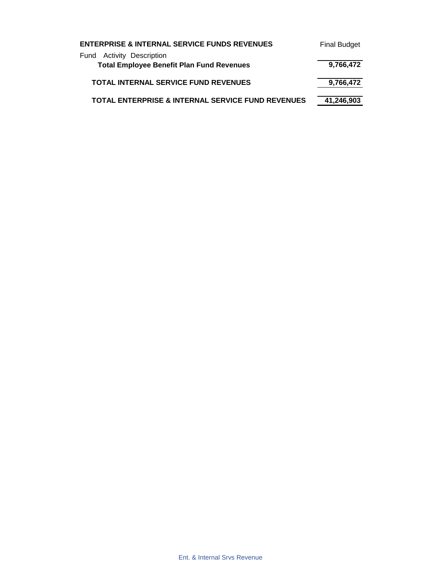| <b>ENTERPRISE &amp; INTERNAL SERVICE FUNDS REVENUES</b>                       | <b>Final Budget</b> |
|-------------------------------------------------------------------------------|---------------------|
| Fund Activity Description<br><b>Total Employee Benefit Plan Fund Revenues</b> | 9,766,472           |
| <b>TOTAL INTERNAL SERVICE FUND REVENUES</b>                                   | 9,766,472           |
| <b>TOTAL ENTERPRISE &amp; INTERNAL SERVICE FUND REVENUES</b>                  | 41,246,903          |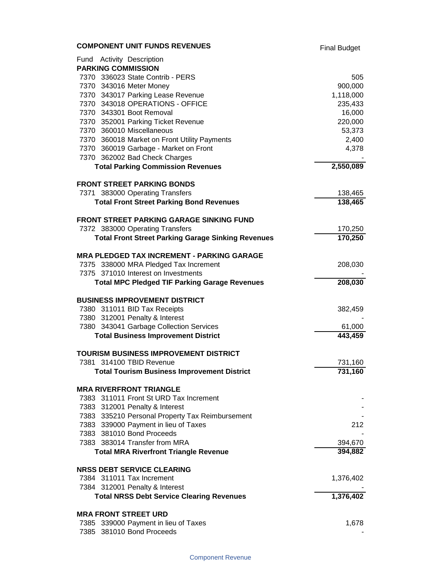| <b>COMPONENT UNIT FUNDS REVENUES</b>                                                    | <b>Final Budget</b> |
|-----------------------------------------------------------------------------------------|---------------------|
| Fund Activity Description                                                               |                     |
| <b>PARKING COMMISSION</b>                                                               |                     |
| 7370 336023 State Contrib - PERS                                                        | 505                 |
| 7370 343016 Meter Money                                                                 | 900,000             |
| 7370 343017 Parking Lease Revenue                                                       | 1,118,000           |
| 7370 343018 OPERATIONS - OFFICE                                                         | 235,433             |
| 7370 343301 Boot Removal                                                                | 16,000              |
| 7370 352001 Parking Ticket Revenue                                                      | 220,000             |
| 7370 360010 Miscellaneous                                                               | 53,373              |
| 7370 360018 Market on Front Utility Payments                                            | 2,400               |
| 7370 360019 Garbage - Market on Front                                                   | 4,378               |
| 7370 362002 Bad Check Charges                                                           |                     |
| <b>Total Parking Commission Revenues</b>                                                | 2,550,089           |
| <b>FRONT STREET PARKING BONDS</b>                                                       |                     |
| 7371 383000 Operating Transfers                                                         | 138,465             |
| <b>Total Front Street Parking Bond Revenues</b>                                         | 138,465             |
| <b>FRONT STREET PARKING GARAGE SINKING FUND</b>                                         |                     |
| 7372 383000 Operating Transfers                                                         | 170,250             |
| <b>Total Front Street Parking Garage Sinking Revenues</b>                               | 170,250             |
| <b>MRA PLEDGED TAX INCREMENT - PARKING GARAGE</b>                                       |                     |
| 7375 338000 MRA Pledged Tax Increment                                                   | 208,030             |
| 7375 371010 Interest on Investments                                                     |                     |
| <b>Total MPC Pledged TIF Parking Garage Revenues</b>                                    | 208,030             |
| <b>BUSINESS IMPROVEMENT DISTRICT</b>                                                    |                     |
| 7380 311011 BID Tax Receipts                                                            | 382,459             |
| 7380 312001 Penalty & Interest                                                          |                     |
| 7380 343041 Garbage Collection Services                                                 | 61,000              |
| <b>Total Business Improvement District</b>                                              | 443,459             |
| <b>TOURISM BUSINESS IMPROVEMENT DISTRICT</b>                                            |                     |
| 7381 314100 TBID Revenue                                                                | 731,160             |
| <b>Total Tourism Business Improvement District</b>                                      | 731,160             |
|                                                                                         |                     |
| <b>MRA RIVERFRONT TRIANGLE</b>                                                          |                     |
| 7383 311011 Front St URD Tax Increment                                                  |                     |
| 7383 312001 Penalty & Interest                                                          |                     |
| 7383 335210 Personal Property Tax Reimbursement<br>7383 339000 Payment in lieu of Taxes | 212                 |
| 7383 381010 Bond Proceeds                                                               |                     |
| 7383 383014 Transfer from MRA                                                           | 394,670             |
| <b>Total MRA Riverfront Triangle Revenue</b>                                            | 394,882             |
|                                                                                         |                     |
| <b>NRSS DEBT SERVICE CLEARING</b><br>7384 311011 Tax Increment                          |                     |
| 7384 312001 Penalty & Interest                                                          | 1,376,402           |
| <b>Total NRSS Debt Service Clearing Revenues</b>                                        | 1,376,402           |
|                                                                                         |                     |
| <b>MRA FRONT STREET URD</b>                                                             |                     |
| 7385 339000 Payment in lieu of Taxes<br>7385 381010 Bond Proceeds                       | 1,678               |
|                                                                                         |                     |

#### Component Revenue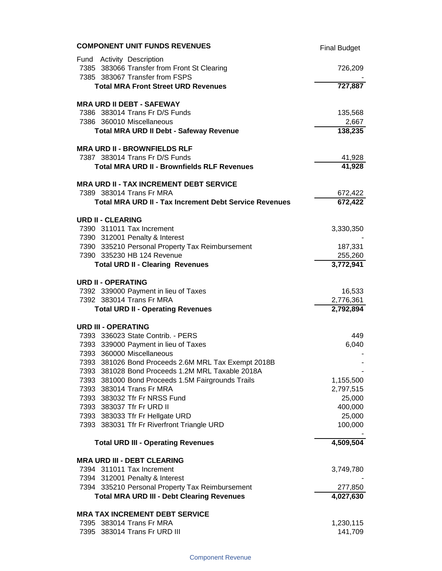| <b>COMPONENT UNIT FUNDS REVENUES</b>                                                                       | <b>Final Budget</b>  |
|------------------------------------------------------------------------------------------------------------|----------------------|
| Fund Activity Description<br>7385 383066 Transfer from Front St Clearing<br>7385 383067 Transfer from FSPS | 726,209              |
| <b>Total MRA Front Street URD Revenues</b>                                                                 | 727,887              |
| <b>MRA URD II DEBT - SAFEWAY</b>                                                                           |                      |
| 7386 383014 Trans Fr D/S Funds<br>7386 360010 Miscellaneous                                                | 135,568              |
| <b>Total MRA URD II Debt - Safeway Revenue</b>                                                             | 2,667<br>138,235     |
| <b>MRA URD II - BROWNFIELDS RLF</b>                                                                        |                      |
| 7387 383014 Trans Fr D/S Funds                                                                             | 41,928               |
| <b>Total MRA URD II - Brownfields RLF Revenues</b>                                                         | 41,928               |
| <b>MRA URD II - TAX INCREMENT DEBT SERVICE</b>                                                             |                      |
| 7389 383014 Trans Fr MRA                                                                                   | 672,422              |
| <b>Total MRA URD II - Tax Increment Debt Service Revenues</b>                                              | 672,422              |
| <b>URD II - CLEARING</b>                                                                                   |                      |
| 7390 311011 Tax Increment                                                                                  | 3,330,350            |
| 7390 312001 Penalty & Interest<br>7390 335210 Personal Property Tax Reimbursement                          | 187,331              |
| 7390 335230 HB 124 Revenue                                                                                 | 255,260              |
| <b>Total URD II - Clearing Revenues</b>                                                                    | 3,772,941            |
| <b>URD II - OPERATING</b>                                                                                  |                      |
| 7392 339000 Payment in lieu of Taxes                                                                       | 16,533               |
| 7392 383014 Trans Fr MRA                                                                                   | 2,776,361            |
| <b>Total URD II - Operating Revenues</b>                                                                   | 2,792,894            |
| <b>URD III - OPERATING</b>                                                                                 |                      |
| 7393 336023 State Contrib. - PERS                                                                          | 449                  |
| 7393 339000 Payment in lieu of Taxes                                                                       | 6,040                |
| 7393 360000 Miscellaneous                                                                                  |                      |
| 7393 381026 Bond Proceeds 2.6M MRL Tax Exempt 2018B<br>7393 381028 Bond Proceeds 1.2M MRL Taxable 2018A    |                      |
| 7393 381000 Bond Proceeds 1.5M Fairgrounds Trails                                                          | 1,155,500            |
| 7393 383014 Trans Fr MRA                                                                                   | 2,797,515            |
| 7393 383032 Tfr Fr NRSS Fund                                                                               | 25,000               |
| 7393 383037 Tfr Fr URD II                                                                                  | 400,000              |
| 7393 383033 Tfr Fr Hellgate URD                                                                            | 25,000               |
| 7393 383031 Tfr Fr Riverfront Triangle URD                                                                 | 100,000              |
| <b>Total URD III - Operating Revenues</b>                                                                  | 4,509,504            |
| <b>MRA URD III - DEBT CLEARING</b>                                                                         |                      |
| 7394 311011 Tax Increment                                                                                  | 3,749,780            |
| 7394 312001 Penalty & Interest                                                                             |                      |
| 7394 335210 Personal Property Tax Reimbursement<br><b>Total MRA URD III - Debt Clearing Revenues</b>       | 277,850<br>4,027,630 |
| <b>MRA TAX INCREMENT DEBT SERVICE</b>                                                                      |                      |
| 7395 383014 Trans Fr MRA                                                                                   | 1,230,115            |
| 7395 383014 Trans Fr URD III                                                                               | 141,709              |